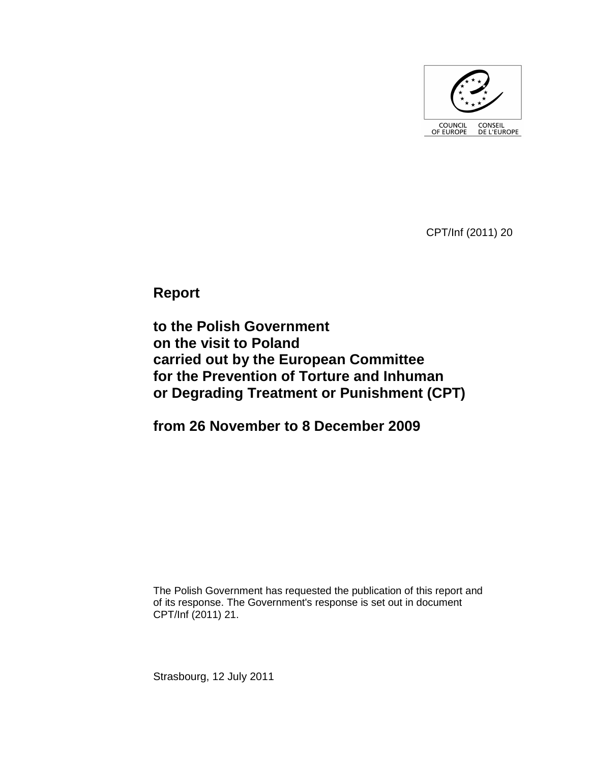

CPT/Inf (2011) 20

**Report** 

**to the Polish Government on the visit to Poland carried out by the European Committee for the Prevention of Torture and Inhuman or Degrading Treatment or Punishment (CPT)** 

**from 26 November to 8 December 2009** 

The Polish Government has requested the publication of this report and of its response. The Government's response is set out in document CPT/Inf (2011) 21.

Strasbourg, 12 July 2011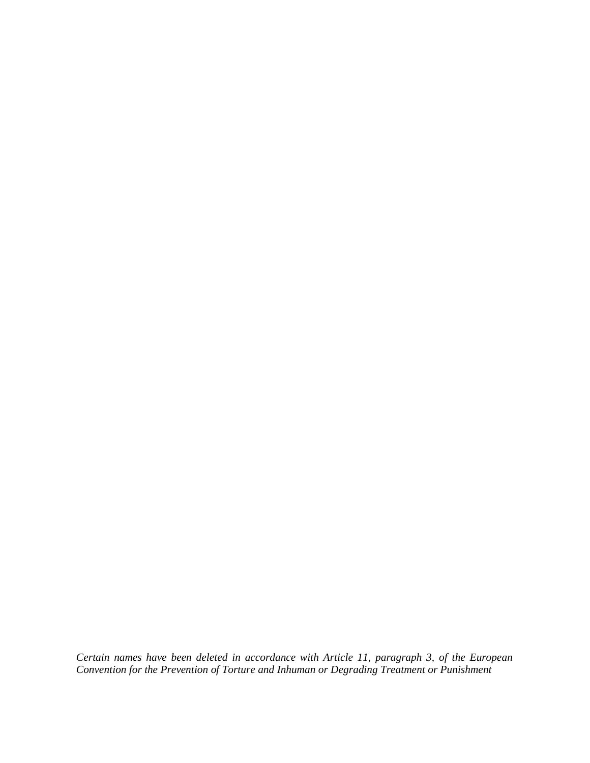*Certain names have been deleted in accordance with Article 11, paragraph 3, of the European Convention for the Prevention of Torture and Inhuman or Degrading Treatment or Punishment*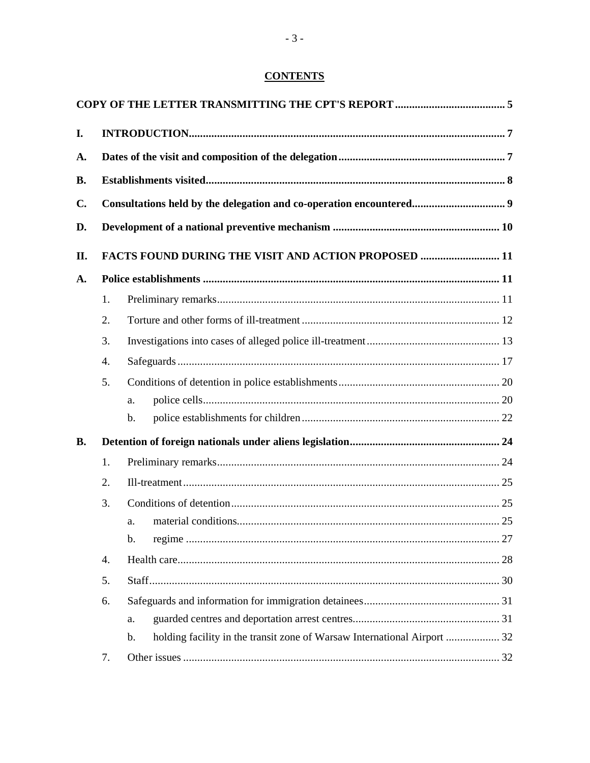# **CONTENTS**

| I.             |    |                                                      |  |  |  |
|----------------|----|------------------------------------------------------|--|--|--|
| A.             |    |                                                      |  |  |  |
| <b>B.</b>      |    |                                                      |  |  |  |
| $\mathbf{C}$ . |    |                                                      |  |  |  |
| D.             |    |                                                      |  |  |  |
| II.            |    | FACTS FOUND DURING THE VISIT AND ACTION PROPOSED  11 |  |  |  |
| A.             |    |                                                      |  |  |  |
|                | 1. |                                                      |  |  |  |
|                | 2. |                                                      |  |  |  |
|                | 3. |                                                      |  |  |  |
|                | 4. |                                                      |  |  |  |
|                | 5. |                                                      |  |  |  |
|                |    | a.                                                   |  |  |  |
|                |    | b.                                                   |  |  |  |
| <b>B.</b>      |    |                                                      |  |  |  |
|                | 1. |                                                      |  |  |  |
|                | 2. |                                                      |  |  |  |
|                | 3. |                                                      |  |  |  |
|                |    | a.                                                   |  |  |  |
|                |    | b.                                                   |  |  |  |
|                | 4. |                                                      |  |  |  |
|                | 5. |                                                      |  |  |  |
|                | 6. |                                                      |  |  |  |
|                |    | a.                                                   |  |  |  |
|                |    | b.                                                   |  |  |  |
|                | 7. |                                                      |  |  |  |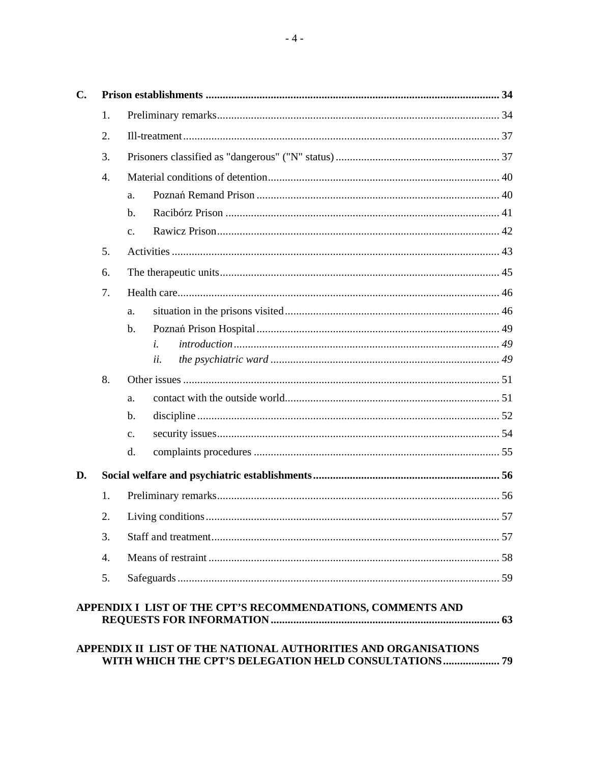|    | 1.<br>2.<br>3.<br>4. | a.<br>$\mathbf{b}$ .                                       |  |  |  |
|----|----------------------|------------------------------------------------------------|--|--|--|
|    |                      |                                                            |  |  |  |
|    |                      |                                                            |  |  |  |
|    |                      |                                                            |  |  |  |
|    |                      |                                                            |  |  |  |
|    |                      |                                                            |  |  |  |
|    |                      |                                                            |  |  |  |
|    |                      | $\mathbf{C}$ .                                             |  |  |  |
|    | 5.                   |                                                            |  |  |  |
|    | 6.                   |                                                            |  |  |  |
|    | 7.                   |                                                            |  |  |  |
|    |                      | a.                                                         |  |  |  |
|    |                      | $\mathbf{b}$ .                                             |  |  |  |
|    |                      | i.                                                         |  |  |  |
|    |                      | ii.                                                        |  |  |  |
|    | 8.                   |                                                            |  |  |  |
|    |                      | a.                                                         |  |  |  |
|    |                      | b.                                                         |  |  |  |
|    |                      | $\mathbf{C}$ .                                             |  |  |  |
|    |                      | d.                                                         |  |  |  |
| D. |                      |                                                            |  |  |  |
|    | 1.                   |                                                            |  |  |  |
|    | 2.                   |                                                            |  |  |  |
|    | 3.                   |                                                            |  |  |  |
|    | 4.                   |                                                            |  |  |  |
|    | 5.                   |                                                            |  |  |  |
|    |                      | APPENDIX I LIST OF THE CPT'S RECOMMENDATIONS, COMMENTS AND |  |  |  |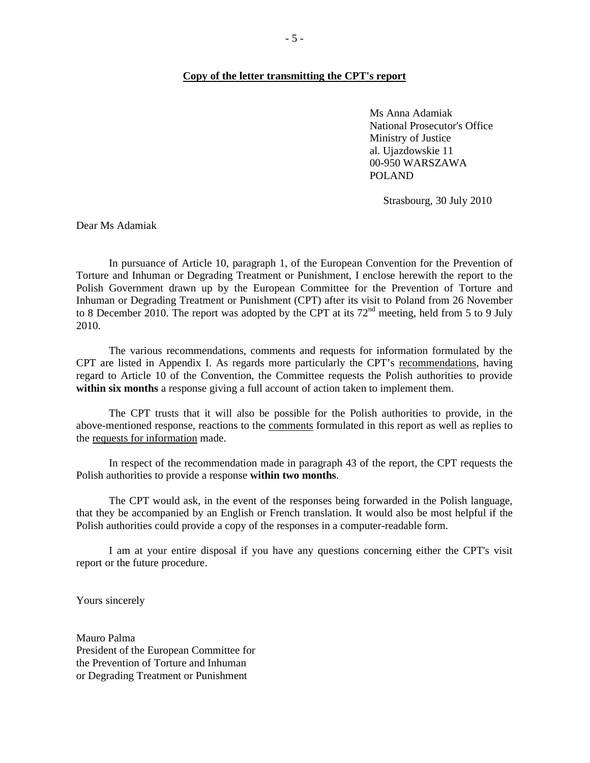#### **Copy of the letter transmitting the CPT's report**

 Ms Anna Adamiak National Prosecutor's Office Ministry of Justice al. Ujazdowskie 11 00-950 WARSZAWA POLAND

Strasbourg, 30 July 2010

Dear Ms Adamiak

 In pursuance of Article 10, paragraph 1, of the European Convention for the Prevention of Torture and Inhuman or Degrading Treatment or Punishment, I enclose herewith the report to the Polish Government drawn up by the European Committee for the Prevention of Torture and Inhuman or Degrading Treatment or Punishment (CPT) after its visit to Poland from 26 November to 8 December 2010. The report was adopted by the CPT at its  $72<sup>nd</sup>$  meeting, held from 5 to 9 July 2010.

The various recommendations, comments and requests for information formulated by the CPT are listed in Appendix I. As regards more particularly the CPT's recommendations, having regard to Article 10 of the Convention, the Committee requests the Polish authorities to provide **within six months** a response giving a full account of action taken to implement them.

The CPT trusts that it will also be possible for the Polish authorities to provide, in the above-mentioned response, reactions to the comments formulated in this report as well as replies to the requests for information made.

In respect of the recommendation made in paragraph 43 of the report, the CPT requests the Polish authorities to provide a response **within two months**.

The CPT would ask, in the event of the responses being forwarded in the Polish language, that they be accompanied by an English or French translation. It would also be most helpful if the Polish authorities could provide a copy of the responses in a computer-readable form.

 I am at your entire disposal if you have any questions concerning either the CPT's visit report or the future procedure.

Yours sincerely

Mauro Palma President of the European Committee for the Prevention of Torture and Inhuman or Degrading Treatment or Punishment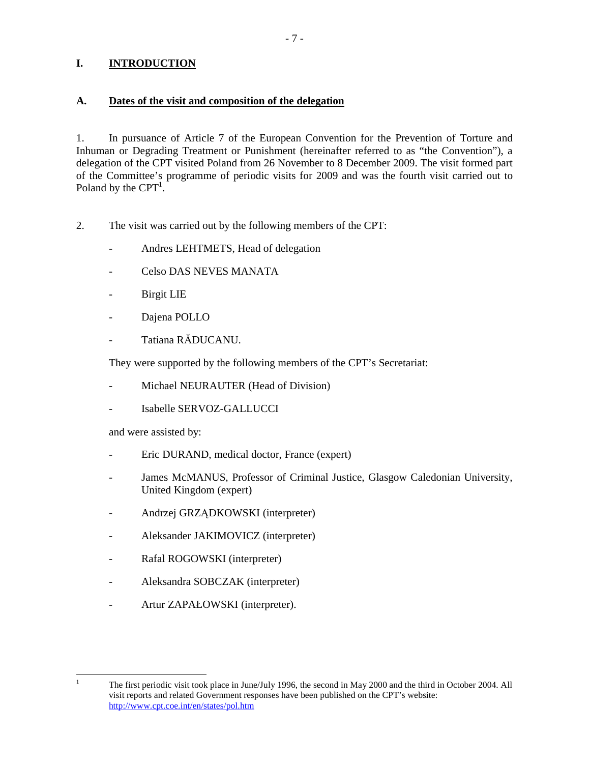## **I. INTRODUCTION**

## **A. Dates of the visit and composition of the delegation**

1. In pursuance of Article 7 of the European Convention for the Prevention of Torture and Inhuman or Degrading Treatment or Punishment (hereinafter referred to as "the Convention"), a delegation of the CPT visited Poland from 26 November to 8 December 2009. The visit formed part of the Committee's programme of periodic visits for 2009 and was the fourth visit carried out to Poland by the  $CPT<sup>1</sup>$ .

- 2. The visit was carried out by the following members of the CPT:
	- Andres LEHTMETS, Head of delegation
	- Celso DAS NEVES MANATA
	- Birgit LIE
	- Dajena POLLO
	- Tatiana RĂDUCANU.

They were supported by the following members of the CPT's Secretariat:

- Michael NEURAUTER (Head of Division)
- Isabelle SERVOZ-GALLUCCI

and were assisted by:

 $\frac{1}{1}$ 

- Eric DURAND, medical doctor, France (expert)
- James McMANUS, Professor of Criminal Justice, Glasgow Caledonian University, United Kingdom (expert)
- Andrzej GRZĄDKOWSKI (interpreter)
- Aleksander JAKIMOVICZ (interpreter)
- Rafal ROGOWSKI (interpreter)
- Aleksandra SOBCZAK (interpreter)
- Artur ZAPAŁOWSKI (interpreter).

The first periodic visit took place in June/July 1996, the second in May 2000 and the third in October 2004. All visit reports and related Government responses have been published on the CPT's website: http://www.cpt.coe.int/en/states/pol.htm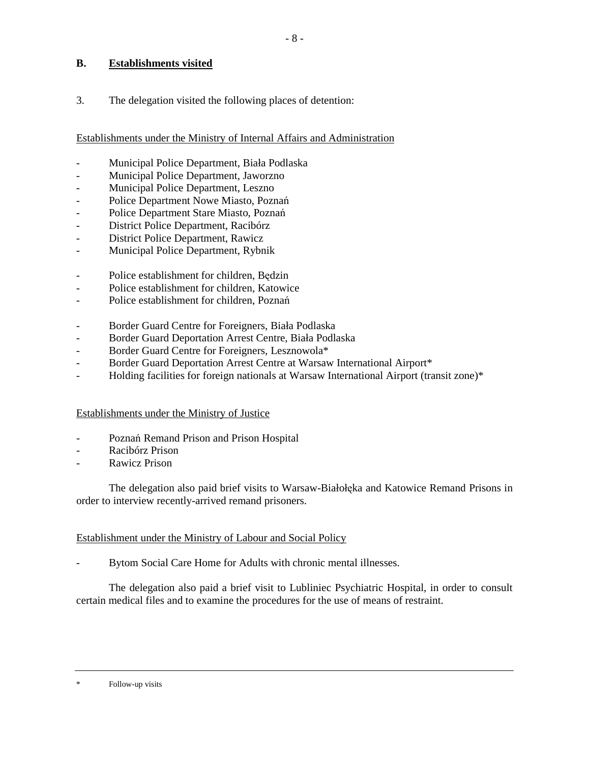### **B. Establishments visited**

3. The delegation visited the following places of detention:

### Establishments under the Ministry of Internal Affairs and Administration

- Municipal Police Department, Biała Podlaska
- Municipal Police Department, Jaworzno
- Municipal Police Department, Leszno
- Police Department Nowe Miasto, Poznań
- Police Department Stare Miasto, Poznań
- District Police Department, Racibórz
- District Police Department, Rawicz
- Municipal Police Department, Rybnik
- Police establishment for children, Będzin
- Police establishment for children, Katowice
- Police establishment for children, Poznań
- Border Guard Centre for Foreigners, Biała Podlaska
- Border Guard Deportation Arrest Centre, Biała Podlaska
- Border Guard Centre for Foreigners, Lesznowola\*
- Border Guard Deportation Arrest Centre at Warsaw International Airport\*
- Holding facilities for foreign nationals at Warsaw International Airport (transit zone)\*

### Establishments under the Ministry of Justice

- Poznań Remand Prison and Prison Hospital
- Racibórz Prison
- Rawicz Prison

 The delegation also paid brief visits to Warsaw-Białołęka and Katowice Remand Prisons in order to interview recently-arrived remand prisoners.

### Establishment under the Ministry of Labour and Social Policy

Bytom Social Care Home for Adults with chronic mental illnesses.

The delegation also paid a brief visit to Lubliniec Psychiatric Hospital, in order to consult certain medical files and to examine the procedures for the use of means of restraint.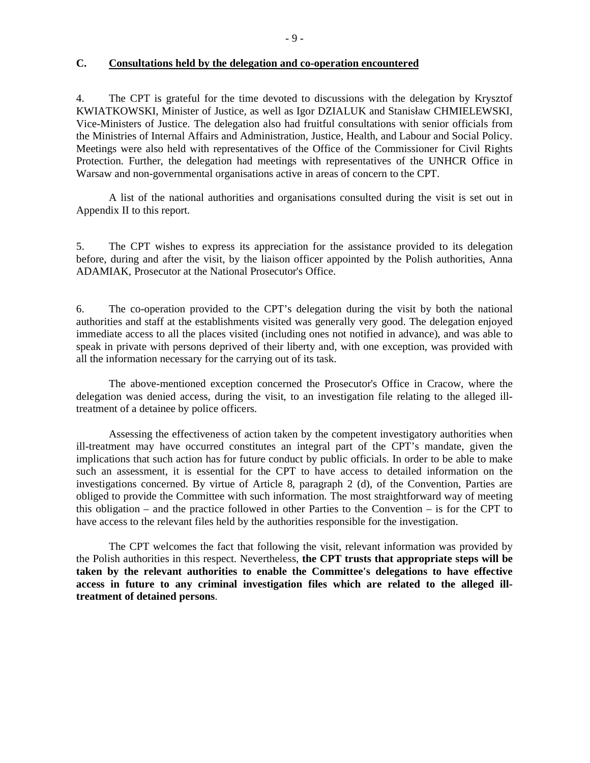#### **C. Consultations held by the delegation and co-operation encountered**

4. The CPT is grateful for the time devoted to discussions with the delegation by Krysztof KWIATKOWSKI, Minister of Justice, as well as Igor DZIALUK and Stanisław CHMIELEWSKI, Vice-Ministers of Justice. The delegation also had fruitful consultations with senior officials from the Ministries of Internal Affairs and Administration, Justice, Health, and Labour and Social Policy. Meetings were also held with representatives of the Office of the Commissioner for Civil Rights Protection. Further, the delegation had meetings with representatives of the UNHCR Office in Warsaw and non-governmental organisations active in areas of concern to the CPT.

A list of the national authorities and organisations consulted during the visit is set out in Appendix II to this report.

5. The CPT wishes to express its appreciation for the assistance provided to its delegation before, during and after the visit, by the liaison officer appointed by the Polish authorities, Anna ADAMIAK, Prosecutor at the National Prosecutor's Office.

6. The co-operation provided to the CPT's delegation during the visit by both the national authorities and staff at the establishments visited was generally very good. The delegation enjoyed immediate access to all the places visited (including ones not notified in advance), and was able to speak in private with persons deprived of their liberty and, with one exception, was provided with all the information necessary for the carrying out of its task.

The above-mentioned exception concerned the Prosecutor's Office in Cracow, where the delegation was denied access, during the visit, to an investigation file relating to the alleged illtreatment of a detainee by police officers.

Assessing the effectiveness of action taken by the competent investigatory authorities when ill-treatment may have occurred constitutes an integral part of the CPT's mandate, given the implications that such action has for future conduct by public officials. In order to be able to make such an assessment, it is essential for the CPT to have access to detailed information on the investigations concerned. By virtue of Article 8, paragraph 2 (d), of the Convention, Parties are obliged to provide the Committee with such information. The most straightforward way of meeting this obligation – and the practice followed in other Parties to the Convention – is for the CPT to have access to the relevant files held by the authorities responsible for the investigation.

The CPT welcomes the fact that following the visit, relevant information was provided by the Polish authorities in this respect. Nevertheless, **the CPT trusts that appropriate steps will be taken by the relevant authorities to enable the Committee's delegations to have effective access in future to any criminal investigation files which are related to the alleged illtreatment of detained persons**.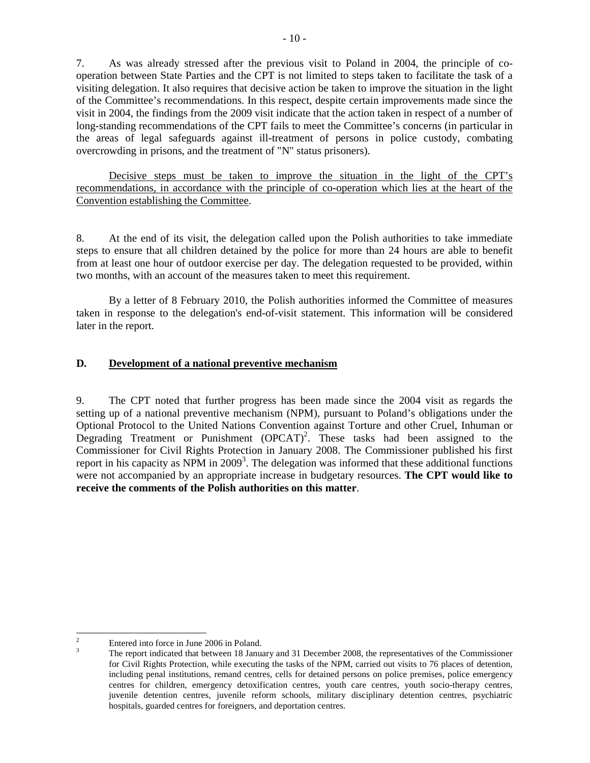7. As was already stressed after the previous visit to Poland in 2004, the principle of cooperation between State Parties and the CPT is not limited to steps taken to facilitate the task of a visiting delegation. It also requires that decisive action be taken to improve the situation in the light of the Committee's recommendations. In this respect, despite certain improvements made since the visit in 2004, the findings from the 2009 visit indicate that the action taken in respect of a number of long-standing recommendations of the CPT fails to meet the Committee's concerns (in particular in the areas of legal safeguards against ill-treatment of persons in police custody, combating overcrowding in prisons, and the treatment of "N" status prisoners).

Decisive steps must be taken to improve the situation in the light of the CPT's recommendations, in accordance with the principle of co-operation which lies at the heart of the Convention establishing the Committee.

8. At the end of its visit, the delegation called upon the Polish authorities to take immediate steps to ensure that all children detained by the police for more than 24 hours are able to benefit from at least one hour of outdoor exercise per day. The delegation requested to be provided, within two months, with an account of the measures taken to meet this requirement.

By a letter of 8 February 2010, the Polish authorities informed the Committee of measures taken in response to the delegation's end-of-visit statement. This information will be considered later in the report.

### **D. Development of a national preventive mechanism**

9. The CPT noted that further progress has been made since the 2004 visit as regards the setting up of a national preventive mechanism (NPM), pursuant to Poland's obligations under the Optional Protocol to the United Nations Convention against Torture and other Cruel, Inhuman or Degrading Treatment or Punishment (OPCAT)<sup>2</sup>. These tasks had been assigned to the Commissioner for Civil Rights Protection in January 2008. The Commissioner published his first report in his capacity as NPM in  $2009<sup>3</sup>$ . The delegation was informed that these additional functions were not accompanied by an appropriate increase in budgetary resources. **The CPT would like to receive the comments of the Polish authorities on this matter**.

 $\frac{1}{2}$  Entered into force in June 2006 in Poland. 3

The report indicated that between 18 January and 31 December 2008, the representatives of the Commissioner for Civil Rights Protection, while executing the tasks of the NPM, carried out visits to 76 places of detention, including penal institutions, remand centres, cells for detained persons on police premises, police emergency centres for children, emergency detoxification centres, youth care centres, youth socio-therapy centres, juvenile detention centres, juvenile reform schools, military disciplinary detention centres, psychiatric hospitals, guarded centres for foreigners, and deportation centres.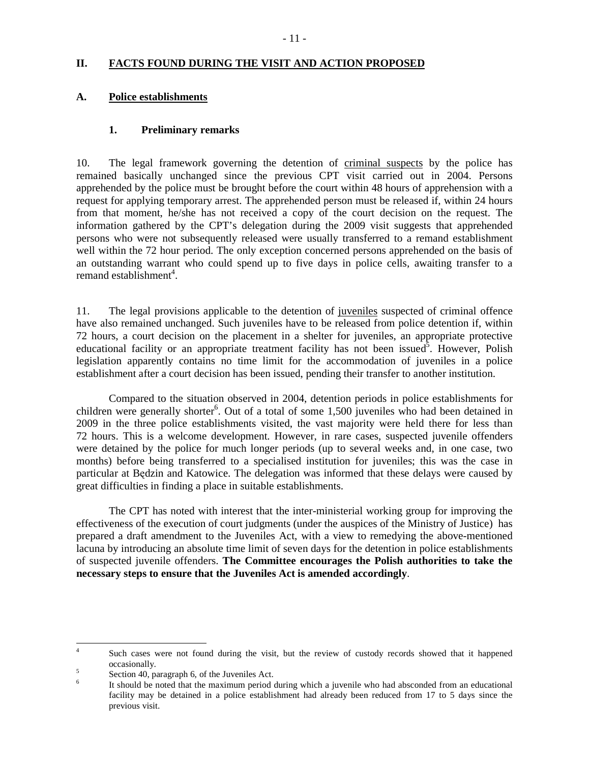#### **II. FACTS FOUND DURING THE VISIT AND ACTION PROPOSED**

#### **A. Police establishments**

#### **1. Preliminary remarks**

10. The legal framework governing the detention of criminal suspects by the police has remained basically unchanged since the previous CPT visit carried out in 2004. Persons apprehended by the police must be brought before the court within 48 hours of apprehension with a request for applying temporary arrest. The apprehended person must be released if, within 24 hours from that moment, he/she has not received a copy of the court decision on the request. The information gathered by the CPT's delegation during the 2009 visit suggests that apprehended persons who were not subsequently released were usually transferred to a remand establishment well within the 72 hour period. The only exception concerned persons apprehended on the basis of an outstanding warrant who could spend up to five days in police cells, awaiting transfer to a remand establishment<sup>4</sup>.

11. The legal provisions applicable to the detention of juveniles suspected of criminal offence have also remained unchanged. Such juveniles have to be released from police detention if, within 72 hours, a court decision on the placement in a shelter for juveniles, an appropriate protective educational facility or an appropriate treatment facility has not been issued<sup>3</sup>. However, Polish legislation apparently contains no time limit for the accommodation of juveniles in a police establishment after a court decision has been issued, pending their transfer to another institution.

Compared to the situation observed in 2004, detention periods in police establishments for children were generally shorter<sup>6</sup>. Out of a total of some 1,500 juveniles who had been detained in 2009 in the three police establishments visited, the vast majority were held there for less than 72 hours. This is a welcome development. However, in rare cases, suspected juvenile offenders were detained by the police for much longer periods (up to several weeks and, in one case, two months) before being transferred to a specialised institution for juveniles; this was the case in particular at Będzin and Katowice. The delegation was informed that these delays were caused by great difficulties in finding a place in suitable establishments.

The CPT has noted with interest that the inter-ministerial working group for improving the effectiveness of the execution of court judgments (under the auspices of the Ministry of Justice) has prepared a draft amendment to the Juveniles Act, with a view to remedying the above-mentioned lacuna by introducing an absolute time limit of seven days for the detention in police establishments of suspected juvenile offenders. **The Committee encourages the Polish authorities to take the necessary steps to ensure that the Juveniles Act is amended accordingly**.

 $\frac{1}{4}$  Such cases were not found during the visit, but the review of custody records showed that it happened occasionally.

<sup>5</sup> Section 40, paragraph 6, of the Juveniles Act.

<sup>6</sup> It should be noted that the maximum period during which a juvenile who had absconded from an educational facility may be detained in a police establishment had already been reduced from 17 to 5 days since the previous visit.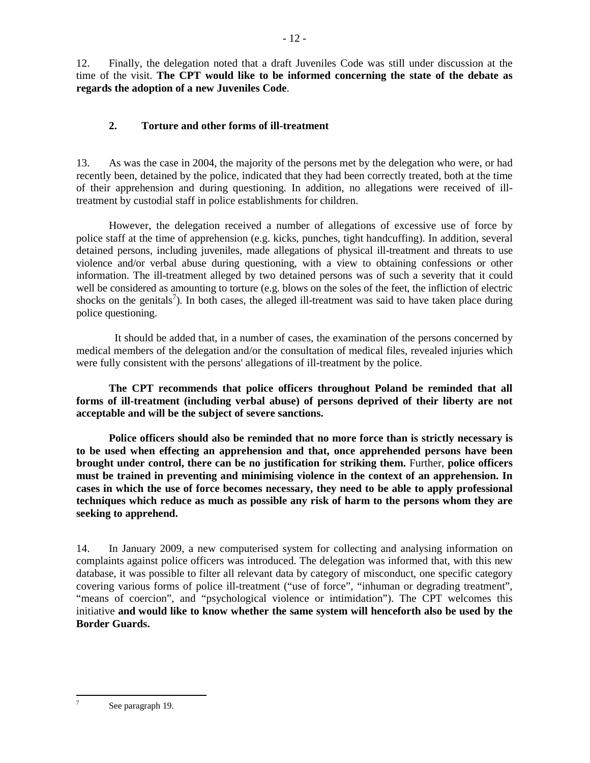12. Finally, the delegation noted that a draft Juveniles Code was still under discussion at the time of the visit. **The CPT would like to be informed concerning the state of the debate as regards the adoption of a new Juveniles Code**.

### **2. Torture and other forms of ill-treatment**

13. As was the case in 2004, the majority of the persons met by the delegation who were, or had recently been, detained by the police, indicated that they had been correctly treated, both at the time of their apprehension and during questioning. In addition, no allegations were received of illtreatment by custodial staff in police establishments for children.

However, the delegation received a number of allegations of excessive use of force by police staff at the time of apprehension (e.g. kicks, punches, tight handcuffing). In addition, several detained persons, including juveniles, made allegations of physical ill-treatment and threats to use violence and/or verbal abuse during questioning, with a view to obtaining confessions or other information. The ill-treatment alleged by two detained persons was of such a severity that it could well be considered as amounting to torture (e.g. blows on the soles of the feet, the infliction of electric shocks on the genitals<sup>7</sup>). In both cases, the alleged ill-treatment was said to have taken place during police questioning.

 It should be added that, in a number of cases, the examination of the persons concerned by medical members of the delegation and/or the consultation of medical files, revealed injuries which were fully consistent with the persons' allegations of ill-treatment by the police.

**The CPT recommends that police officers throughout Poland be reminded that all forms of ill-treatment (including verbal abuse) of persons deprived of their liberty are not acceptable and will be the subject of severe sanctions.** 

**Police officers should also be reminded that no more force than is strictly necessary is to be used when effecting an apprehension and that, once apprehended persons have been brought under control, there can be no justification for striking them.** Further, **police officers must be trained in preventing and minimising violence in the context of an apprehension. In cases in which the use of force becomes necessary, they need to be able to apply professional techniques which reduce as much as possible any risk of harm to the persons whom they are seeking to apprehend.**

14. In January 2009, a new computerised system for collecting and analysing information on complaints against police officers was introduced. The delegation was informed that, with this new database, it was possible to filter all relevant data by category of misconduct, one specific category covering various forms of police ill-treatment ("use of force", "inhuman or degrading treatment", "means of coercion", and "psychological violence or intimidation"). The CPT welcomes this initiative **and would like to know whether the same system will henceforth also be used by the Border Guards.**

-<br>7

See paragraph 19.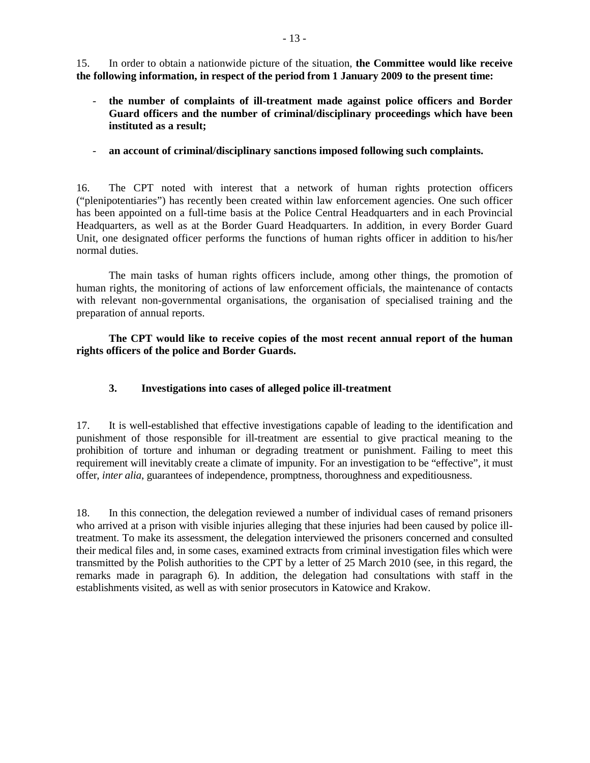15. In order to obtain a nationwide picture of the situation, **the Committee would like receive the following information, in respect of the period from 1 January 2009 to the present time:**

- **the number of complaints of ill-treatment made against police officers and Border Guard officers and the number of criminal/disciplinary proceedings which have been instituted as a result;**
- **an account of criminal/disciplinary sanctions imposed following such complaints.**

16. The CPT noted with interest that a network of human rights protection officers ("plenipotentiaries") has recently been created within law enforcement agencies. One such officer has been appointed on a full-time basis at the Police Central Headquarters and in each Provincial Headquarters, as well as at the Border Guard Headquarters. In addition, in every Border Guard Unit, one designated officer performs the functions of human rights officer in addition to his/her normal duties.

The main tasks of human rights officers include, among other things, the promotion of human rights, the monitoring of actions of law enforcement officials, the maintenance of contacts with relevant non-governmental organisations, the organisation of specialised training and the preparation of annual reports.

**The CPT would like to receive copies of the most recent annual report of the human rights officers of the police and Border Guards.** 

### **3. Investigations into cases of alleged police ill-treatment**

17. It is well-established that effective investigations capable of leading to the identification and punishment of those responsible for ill-treatment are essential to give practical meaning to the prohibition of torture and inhuman or degrading treatment or punishment. Failing to meet this requirement will inevitably create a climate of impunity. For an investigation to be "effective", it must offer, *inter alia*, guarantees of independence, promptness, thoroughness and expeditiousness.

18. In this connection, the delegation reviewed a number of individual cases of remand prisoners who arrived at a prison with visible injuries alleging that these injuries had been caused by police illtreatment. To make its assessment, the delegation interviewed the prisoners concerned and consulted their medical files and, in some cases, examined extracts from criminal investigation files which were transmitted by the Polish authorities to the CPT by a letter of 25 March 2010 (see, in this regard, the remarks made in paragraph 6). In addition, the delegation had consultations with staff in the establishments visited, as well as with senior prosecutors in Katowice and Krakow.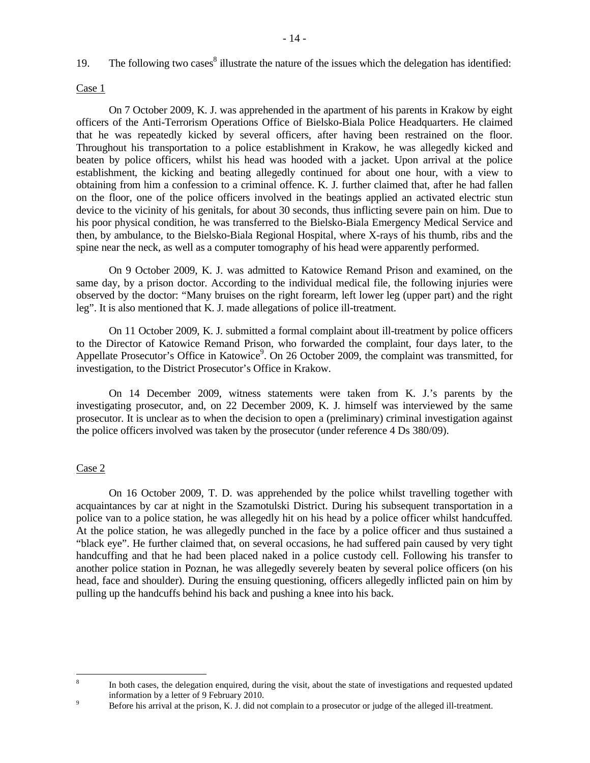### 19. The following two cases<sup>8</sup> illustrate the nature of the issues which the delegation has identified:

#### Case 1

 On 7 October 2009, K. J. was apprehended in the apartment of his parents in Krakow by eight officers of the Anti-Terrorism Operations Office of Bielsko-Biala Police Headquarters. He claimed that he was repeatedly kicked by several officers, after having been restrained on the floor. Throughout his transportation to a police establishment in Krakow, he was allegedly kicked and beaten by police officers, whilst his head was hooded with a jacket. Upon arrival at the police establishment, the kicking and beating allegedly continued for about one hour, with a view to obtaining from him a confession to a criminal offence. K. J. further claimed that, after he had fallen on the floor, one of the police officers involved in the beatings applied an activated electric stun device to the vicinity of his genitals, for about 30 seconds, thus inflicting severe pain on him. Due to his poor physical condition, he was transferred to the Bielsko-Biala Emergency Medical Service and then, by ambulance, to the Bielsko-Biala Regional Hospital, where X-rays of his thumb, ribs and the spine near the neck, as well as a computer tomography of his head were apparently performed.

 On 9 October 2009, K. J. was admitted to Katowice Remand Prison and examined, on the same day, by a prison doctor. According to the individual medical file, the following injuries were observed by the doctor: "Many bruises on the right forearm, left lower leg (upper part) and the right leg". It is also mentioned that K. J. made allegations of police ill-treatment.

 On 11 October 2009, K. J. submitted a formal complaint about ill-treatment by police officers to the Director of Katowice Remand Prison, who forwarded the complaint, four days later, to the Appellate Prosecutor's Office in Katowice<sup>9</sup>. On 26 October 2009, the complaint was transmitted, for investigation, to the District Prosecutor's Office in Krakow.

 On 14 December 2009, witness statements were taken from K. J.'s parents by the investigating prosecutor, and, on 22 December 2009, K. J. himself was interviewed by the same prosecutor. It is unclear as to when the decision to open a (preliminary) criminal investigation against the police officers involved was taken by the prosecutor (under reference 4 Ds 380/09).

#### Case 2

 On 16 October 2009, T. D. was apprehended by the police whilst travelling together with acquaintances by car at night in the Szamotulski District. During his subsequent transportation in a police van to a police station, he was allegedly hit on his head by a police officer whilst handcuffed. At the police station, he was allegedly punched in the face by a police officer and thus sustained a "black eye". He further claimed that, on several occasions, he had suffered pain caused by very tight handcuffing and that he had been placed naked in a police custody cell. Following his transfer to another police station in Poznan, he was allegedly severely beaten by several police officers (on his head, face and shoulder). During the ensuing questioning, officers allegedly inflicted pain on him by pulling up the handcuffs behind his back and pushing a knee into his back.

 8 In both cases, the delegation enquired, during the visit, about the state of investigations and requested updated information by a letter of 9 February 2010.

<sup>9</sup> Before his arrival at the prison, K. J. did not complain to a prosecutor or judge of the alleged ill-treatment.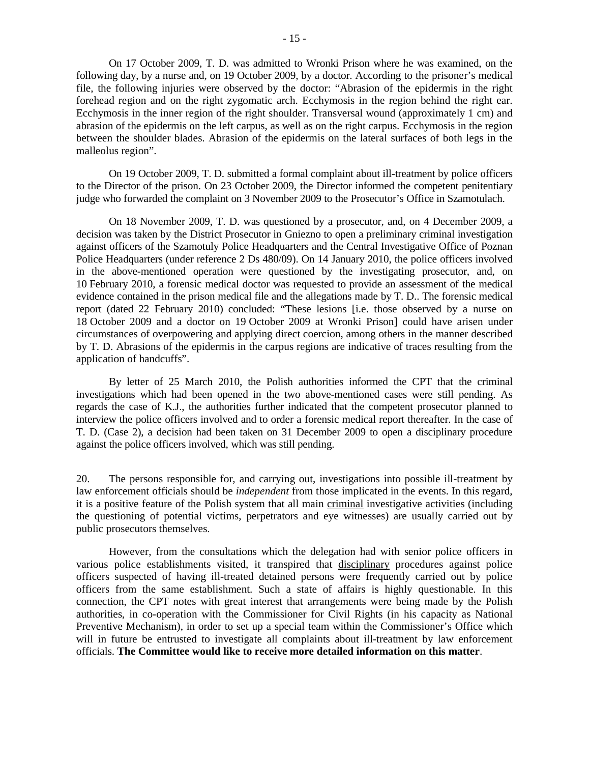On 17 October 2009, T. D. was admitted to Wronki Prison where he was examined, on the following day, by a nurse and, on 19 October 2009, by a doctor. According to the prisoner's medical file, the following injuries were observed by the doctor: "Abrasion of the epidermis in the right forehead region and on the right zygomatic arch. Ecchymosis in the region behind the right ear. Ecchymosis in the inner region of the right shoulder. Transversal wound (approximately 1 cm) and abrasion of the epidermis on the left carpus, as well as on the right carpus. Ecchymosis in the region between the shoulder blades. Abrasion of the epidermis on the lateral surfaces of both legs in the malleolus region".

 On 19 October 2009, T. D. submitted a formal complaint about ill-treatment by police officers to the Director of the prison. On 23 October 2009, the Director informed the competent penitentiary judge who forwarded the complaint on 3 November 2009 to the Prosecutor's Office in Szamotulach.

 On 18 November 2009, T. D. was questioned by a prosecutor, and, on 4 December 2009, a decision was taken by the District Prosecutor in Gniezno to open a preliminary criminal investigation against officers of the Szamotuly Police Headquarters and the Central Investigative Office of Poznan Police Headquarters (under reference 2 Ds 480/09). On 14 January 2010, the police officers involved in the above-mentioned operation were questioned by the investigating prosecutor, and, on 10 February 2010, a forensic medical doctor was requested to provide an assessment of the medical evidence contained in the prison medical file and the allegations made by T. D.. The forensic medical report (dated 22 February 2010) concluded: "These lesions [i.e. those observed by a nurse on 18 October 2009 and a doctor on 19 October 2009 at Wronki Prison] could have arisen under circumstances of overpowering and applying direct coercion, among others in the manner described by T. D. Abrasions of the epidermis in the carpus regions are indicative of traces resulting from the application of handcuffs".

 By letter of 25 March 2010, the Polish authorities informed the CPT that the criminal investigations which had been opened in the two above-mentioned cases were still pending. As regards the case of K.J., the authorities further indicated that the competent prosecutor planned to interview the police officers involved and to order a forensic medical report thereafter. In the case of T. D. (Case 2), a decision had been taken on 31 December 2009 to open a disciplinary procedure against the police officers involved, which was still pending.

20. The persons responsible for, and carrying out, investigations into possible ill-treatment by law enforcement officials should be *independent* from those implicated in the events. In this regard, it is a positive feature of the Polish system that all main criminal investigative activities (including the questioning of potential victims, perpetrators and eye witnesses) are usually carried out by public prosecutors themselves.

 However, from the consultations which the delegation had with senior police officers in various police establishments visited, it transpired that disciplinary procedures against police officers suspected of having ill-treated detained persons were frequently carried out by police officers from the same establishment. Such a state of affairs is highly questionable. In this connection, the CPT notes with great interest that arrangements were being made by the Polish authorities, in co-operation with the Commissioner for Civil Rights (in his capacity as National Preventive Mechanism), in order to set up a special team within the Commissioner's Office which will in future be entrusted to investigate all complaints about ill-treatment by law enforcement officials. **The Committee would like to receive more detailed information on this matter**.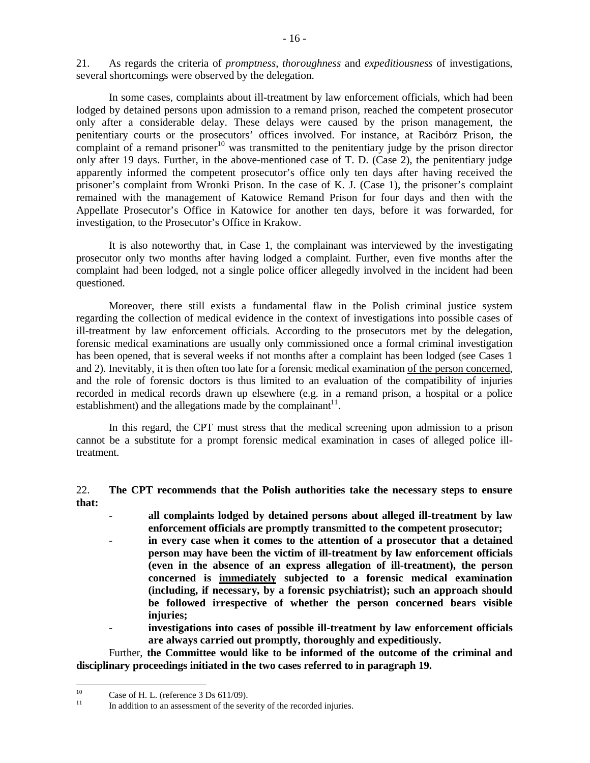21. As regards the criteria of *promptness*, *thoroughness* and *expeditiousness* of investigations, several shortcomings were observed by the delegation.

 In some cases, complaints about ill-treatment by law enforcement officials, which had been lodged by detained persons upon admission to a remand prison, reached the competent prosecutor only after a considerable delay. These delays were caused by the prison management, the penitentiary courts or the prosecutors' offices involved. For instance, at Racibórz Prison, the complaint of a remand prisoner<sup>10</sup> was transmitted to the penitentiary judge by the prison director only after 19 days. Further, in the above-mentioned case of T. D. (Case 2), the penitentiary judge apparently informed the competent prosecutor's office only ten days after having received the prisoner's complaint from Wronki Prison. In the case of K. J. (Case 1), the prisoner's complaint remained with the management of Katowice Remand Prison for four days and then with the Appellate Prosecutor's Office in Katowice for another ten days, before it was forwarded, for investigation, to the Prosecutor's Office in Krakow.

 It is also noteworthy that, in Case 1, the complainant was interviewed by the investigating prosecutor only two months after having lodged a complaint. Further, even five months after the complaint had been lodged, not a single police officer allegedly involved in the incident had been questioned.

 Moreover, there still exists a fundamental flaw in the Polish criminal justice system regarding the collection of medical evidence in the context of investigations into possible cases of ill-treatment by law enforcement officials. According to the prosecutors met by the delegation, forensic medical examinations are usually only commissioned once a formal criminal investigation has been opened, that is several weeks if not months after a complaint has been lodged (see Cases 1 and 2). Inevitably, it is then often too late for a forensic medical examination of the person concerned, and the role of forensic doctors is thus limited to an evaluation of the compatibility of injuries recorded in medical records drawn up elsewhere (e.g. in a remand prison, a hospital or a police establishment) and the allegations made by the complainant $11$ .

 In this regard, the CPT must stress that the medical screening upon admission to a prison cannot be a substitute for a prompt forensic medical examination in cases of alleged police illtreatment.

22. **The CPT recommends that the Polish authorities take the necessary steps to ensure that:** 

- **all complaints lodged by detained persons about alleged ill-treatment by law enforcement officials are promptly transmitted to the competent prosecutor;** 

- in every case when it comes to the attention of a prosecutor that a detained **person may have been the victim of ill-treatment by law enforcement officials (even in the absence of an express allegation of ill-treatment), the person concerned is immediately subjected to a forensic medical examination (including, if necessary, by a forensic psychiatrist); such an approach should be followed irrespective of whether the person concerned bears visible injuries;**
- investigations into cases of possible ill-treatment by law enforcement officials **are always carried out promptly, thoroughly and expeditiously.**

Further, **the Committee would like to be informed of the outcome of the criminal and disciplinary proceedings initiated in the two cases referred to in paragraph 19.** 

 $10<sup>10</sup>$ <sup>10</sup> Case of H. L. (reference 3 Ds 611/09).

In addition to an assessment of the severity of the recorded injuries.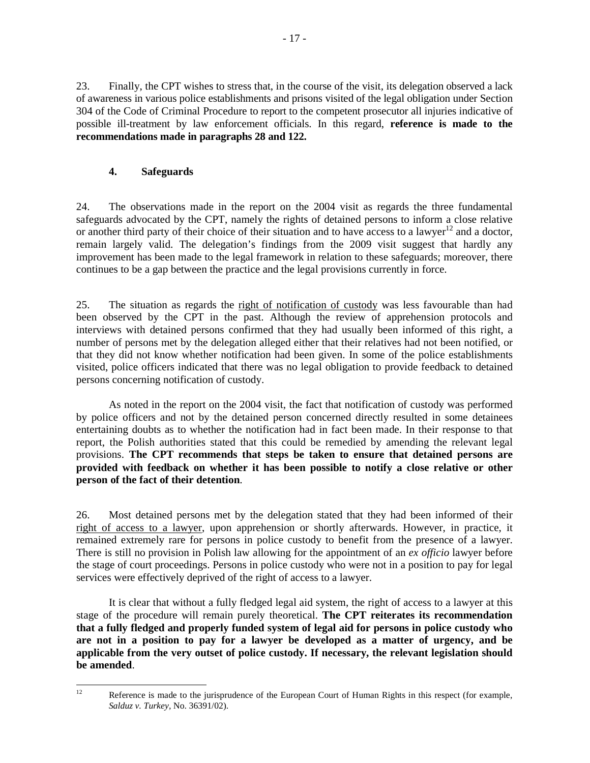23. Finally, the CPT wishes to stress that, in the course of the visit, its delegation observed a lack of awareness in various police establishments and prisons visited of the legal obligation under Section 304 of the Code of Criminal Procedure to report to the competent prosecutor all injuries indicative of possible ill-treatment by law enforcement officials. In this regard, **reference is made to the recommendations made in paragraphs 28 and 122.**

### **4. Safeguards**

24. The observations made in the report on the 2004 visit as regards the three fundamental safeguards advocated by the CPT, namely the rights of detained persons to inform a close relative or another third party of their choice of their situation and to have access to a lawyer<sup>12</sup> and a doctor, remain largely valid. The delegation's findings from the 2009 visit suggest that hardly any improvement has been made to the legal framework in relation to these safeguards; moreover, there continues to be a gap between the practice and the legal provisions currently in force.

25. The situation as regards the right of notification of custody was less favourable than had been observed by the CPT in the past. Although the review of apprehension protocols and interviews with detained persons confirmed that they had usually been informed of this right, a number of persons met by the delegation alleged either that their relatives had not been notified, or that they did not know whether notification had been given. In some of the police establishments visited, police officers indicated that there was no legal obligation to provide feedback to detained persons concerning notification of custody.

As noted in the report on the 2004 visit, the fact that notification of custody was performed by police officers and not by the detained person concerned directly resulted in some detainees entertaining doubts as to whether the notification had in fact been made. In their response to that report, the Polish authorities stated that this could be remedied by amending the relevant legal provisions. **The CPT recommends that steps be taken to ensure that detained persons are provided with feedback on whether it has been possible to notify a close relative or other person of the fact of their detention**.

26. Most detained persons met by the delegation stated that they had been informed of their right of access to a lawyer, upon apprehension or shortly afterwards. However, in practice, it remained extremely rare for persons in police custody to benefit from the presence of a lawyer. There is still no provision in Polish law allowing for the appointment of an *ex officio* lawyer before the stage of court proceedings. Persons in police custody who were not in a position to pay for legal services were effectively deprived of the right of access to a lawyer.

It is clear that without a fully fledged legal aid system, the right of access to a lawyer at this stage of the procedure will remain purely theoretical. **The CPT reiterates its recommendation that a fully fledged and properly funded system of legal aid for persons in police custody who are not in a position to pay for a lawyer be developed as a matter of urgency, and be applicable from the very outset of police custody. If necessary, the relevant legislation should be amended**.

 $12<sup>12</sup>$ 

Reference is made to the jurisprudence of the European Court of Human Rights in this respect (for example, *Salduz v. Turkey,* No. 36391/02).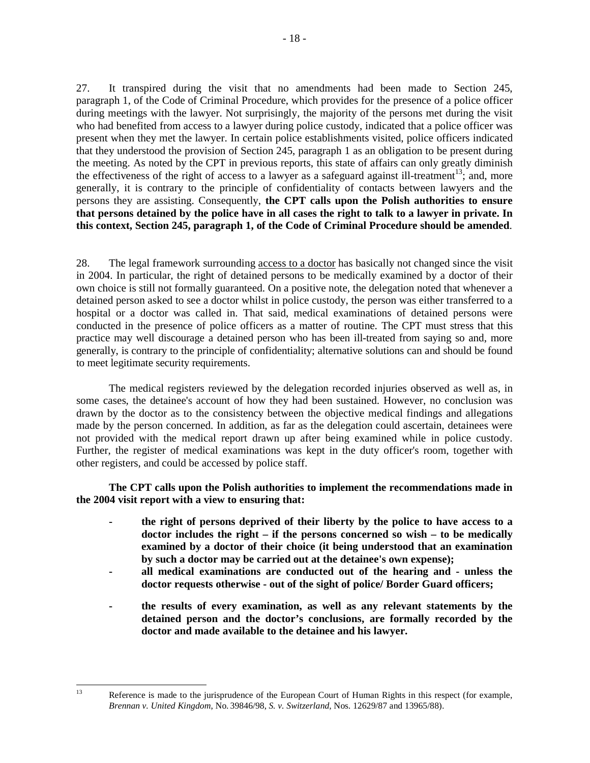27. It transpired during the visit that no amendments had been made to Section 245, paragraph 1, of the Code of Criminal Procedure, which provides for the presence of a police officer during meetings with the lawyer. Not surprisingly, the majority of the persons met during the visit who had benefited from access to a lawyer during police custody, indicated that a police officer was present when they met the lawyer. In certain police establishments visited, police officers indicated that they understood the provision of Section 245, paragraph 1 as an obligation to be present during the meeting. As noted by the CPT in previous reports, this state of affairs can only greatly diminish the effectiveness of the right of access to a lawyer as a safeguard against ill-treatment<sup>13</sup>; and, more generally, it is contrary to the principle of confidentiality of contacts between lawyers and the persons they are assisting. Consequently, **the CPT calls upon the Polish authorities to ensure that persons detained by the police have in all cases the right to talk to a lawyer in private. In this context, Section 245, paragraph 1, of the Code of Criminal Procedure should be amended**.

28. The legal framework surrounding access to a doctor has basically not changed since the visit in 2004. In particular, the right of detained persons to be medically examined by a doctor of their own choice is still not formally guaranteed. On a positive note, the delegation noted that whenever a detained person asked to see a doctor whilst in police custody, the person was either transferred to a hospital or a doctor was called in. That said, medical examinations of detained persons were conducted in the presence of police officers as a matter of routine. The CPT must stress that this practice may well discourage a detained person who has been ill-treated from saying so and, more generally, is contrary to the principle of confidentiality; alternative solutions can and should be found to meet legitimate security requirements.

The medical registers reviewed by the delegation recorded injuries observed as well as, in some cases, the detainee's account of how they had been sustained. However, no conclusion was drawn by the doctor as to the consistency between the objective medical findings and allegations made by the person concerned. In addition, as far as the delegation could ascertain, detainees were not provided with the medical report drawn up after being examined while in police custody. Further, the register of medical examinations was kept in the duty officer's room, together with other registers, and could be accessed by police staff.

**The CPT calls upon the Polish authorities to implement the recommendations made in the 2004 visit report with a view to ensuring that:**

- **the right of persons deprived of their liberty by the police to have access to a doctor includes the right – if the persons concerned so wish – to be medically examined by a doctor of their choice (it being understood that an examination by such a doctor may be carried out at the detainee's own expense);**
- **all medical examinations are conducted out of the hearing and unless the doctor requests otherwise - out of the sight of police/ Border Guard officers;**
- **the results of every examination, as well as any relevant statements by the detained person and the doctor's conclusions, are formally recorded by the doctor and made available to the detainee and his lawyer.**

 $13$ 

Reference is made to the jurisprudence of the European Court of Human Rights in this respect (for example, *Brennan v. United Kingdom*, No. 39846/98, *S. v. Switzerland,* Nos. 12629/87 and 13965/88).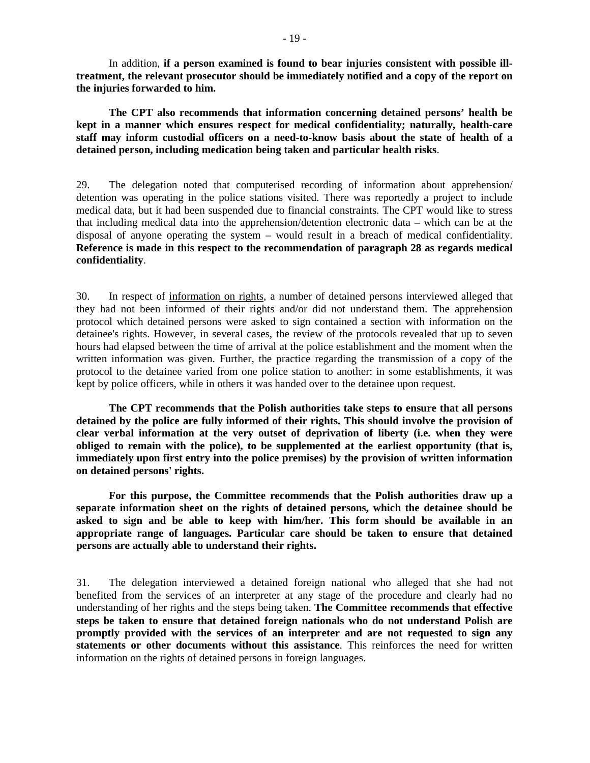In addition, **if a person examined is found to bear injuries consistent with possible illtreatment, the relevant prosecutor should be immediately notified and a copy of the report on the injuries forwarded to him.** 

**The CPT also recommends that information concerning detained persons' health be kept in a manner which ensures respect for medical confidentiality; naturally, health-care staff may inform custodial officers on a need-to-know basis about the state of health of a detained person, including medication being taken and particular health risks**.

29. The delegation noted that computerised recording of information about apprehension/ detention was operating in the police stations visited. There was reportedly a project to include medical data, but it had been suspended due to financial constraints. The CPT would like to stress that including medical data into the apprehension/detention electronic data – which can be at the disposal of anyone operating the system – would result in a breach of medical confidentiality. **Reference is made in this respect to the recommendation of paragraph 28 as regards medical confidentiality**.

30. In respect of information on rights, a number of detained persons interviewed alleged that they had not been informed of their rights and/or did not understand them. The apprehension protocol which detained persons were asked to sign contained a section with information on the detainee's rights. However, in several cases, the review of the protocols revealed that up to seven hours had elapsed between the time of arrival at the police establishment and the moment when the written information was given. Further, the practice regarding the transmission of a copy of the protocol to the detainee varied from one police station to another: in some establishments, it was kept by police officers, while in others it was handed over to the detainee upon request.

**The CPT recommends that the Polish authorities take steps to ensure that all persons detained by the police are fully informed of their rights. This should involve the provision of clear verbal information at the very outset of deprivation of liberty (i.e. when they were obliged to remain with the police), to be supplemented at the earliest opportunity (that is, immediately upon first entry into the police premises) by the provision of written information on detained persons' rights.**

**For this purpose, the Committee recommends that the Polish authorities draw up a separate information sheet on the rights of detained persons, which the detainee should be asked to sign and be able to keep with him/her. This form should be available in an appropriate range of languages. Particular care should be taken to ensure that detained persons are actually able to understand their rights.** 

31. The delegation interviewed a detained foreign national who alleged that she had not benefited from the services of an interpreter at any stage of the procedure and clearly had no understanding of her rights and the steps being taken. **The Committee recommends that effective steps be taken to ensure that detained foreign nationals who do not understand Polish are promptly provided with the services of an interpreter and are not requested to sign any statements or other documents without this assistance**. This reinforces the need for written information on the rights of detained persons in foreign languages.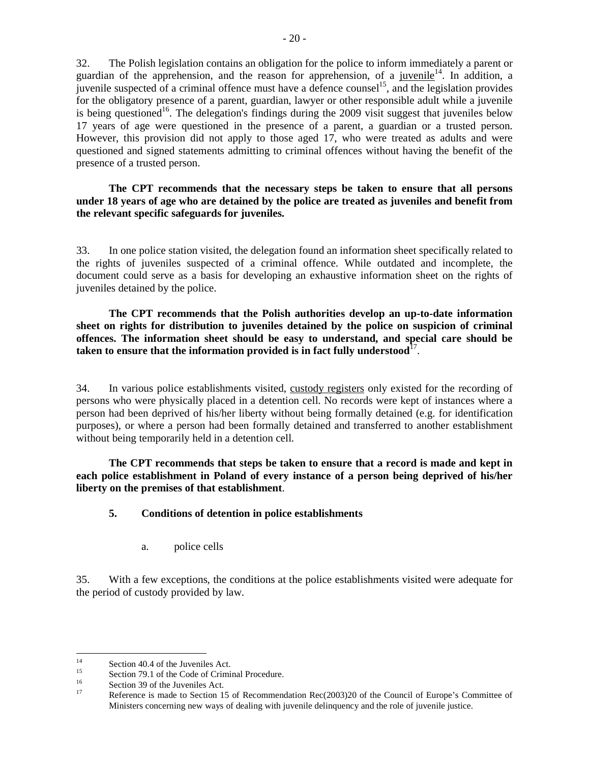32. The Polish legislation contains an obligation for the police to inform immediately a parent or guardian of the apprehension, and the reason for apprehension, of a juvenile<sup>14</sup>. In addition, a juvenile suspected of a criminal offence must have a defence counsel<sup>15</sup>, and the legislation provides for the obligatory presence of a parent, guardian, lawyer or other responsible adult while a juvenile is being questioned<sup>16</sup>. The delegation's findings during the 2009 visit suggest that juveniles below 17 years of age were questioned in the presence of a parent, a guardian or a trusted person. However, this provision did not apply to those aged 17, who were treated as adults and were questioned and signed statements admitting to criminal offences without having the benefit of the presence of a trusted person.

**The CPT recommends that the necessary steps be taken to ensure that all persons under 18 years of age who are detained by the police are treated as juveniles and benefit from the relevant specific safeguards for juveniles.**

33. In one police station visited, the delegation found an information sheet specifically related to the rights of juveniles suspected of a criminal offence. While outdated and incomplete, the document could serve as a basis for developing an exhaustive information sheet on the rights of juveniles detained by the police.

**The CPT recommends that the Polish authorities develop an up-to-date information sheet on rights for distribution to juveniles detained by the police on suspicion of criminal offences. The information sheet should be easy to understand, and special care should be**  taken to ensure that the information provided is in fact fully understood<sup>17</sup>.

34. In various police establishments visited, custody registers only existed for the recording of persons who were physically placed in a detention cell. No records were kept of instances where a person had been deprived of his/her liberty without being formally detained (e.g. for identification purposes), or where a person had been formally detained and transferred to another establishment without being temporarily held in a detention cell.

 **The CPT recommends that steps be taken to ensure that a record is made and kept in each police establishment in Poland of every instance of a person being deprived of his/her liberty on the premises of that establishment**.

### **5. Conditions of detention in police establishments**

a. police cells

35. With a few exceptions, the conditions at the police establishments visited were adequate for the period of custody provided by law.

 $14$ <sup>14</sup> Section 40.4 of the Juveniles Act.

 $15$  Section 79.1 of the Code of Criminal Procedure.

 $\frac{16}{17}$  Section 39 of the Juveniles Act.

<sup>17</sup> Reference is made to Section 15 of Recommendation Rec(2003)20 of the Council of Europe's Committee of Ministers concerning new ways of dealing with juvenile delinquency and the role of juvenile justice.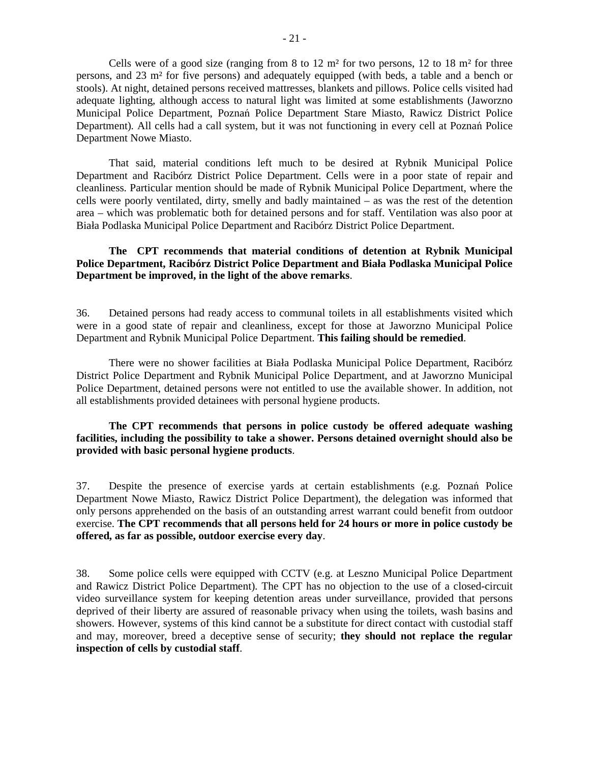Cells were of a good size (ranging from 8 to 12  $m<sup>2</sup>$  for two persons, 12 to 18  $m<sup>2</sup>$  for three persons, and 23 m² for five persons) and adequately equipped (with beds, a table and a bench or stools). At night, detained persons received mattresses, blankets and pillows. Police cells visited had adequate lighting, although access to natural light was limited at some establishments (Jaworzno Municipal Police Department, Poznań Police Department Stare Miasto, Rawicz District Police Department). All cells had a call system, but it was not functioning in every cell at Poznań Police Department Nowe Miasto.

 That said, material conditions left much to be desired at Rybnik Municipal Police Department and Racibórz District Police Department. Cells were in a poor state of repair and cleanliness. Particular mention should be made of Rybnik Municipal Police Department, where the cells were poorly ventilated, dirty, smelly and badly maintained – as was the rest of the detention area – which was problematic both for detained persons and for staff. Ventilation was also poor at Biała Podlaska Municipal Police Department and Racibórz District Police Department.

#### **The CPT recommends that material conditions of detention at Rybnik Municipal Police Department, Racibórz District Police Department and Biała Podlaska Municipal Police Department be improved, in the light of the above remarks**.

36. Detained persons had ready access to communal toilets in all establishments visited which were in a good state of repair and cleanliness, except for those at Jaworzno Municipal Police Department and Rybnik Municipal Police Department. **This failing should be remedied**.

 There were no shower facilities at Biała Podlaska Municipal Police Department, Racibórz District Police Department and Rybnik Municipal Police Department, and at Jaworzno Municipal Police Department, detained persons were not entitled to use the available shower. In addition, not all establishments provided detainees with personal hygiene products.

#### **The CPT recommends that persons in police custody be offered adequate washing facilities, including the possibility to take a shower. Persons detained overnight should also be provided with basic personal hygiene products**.

37. Despite the presence of exercise yards at certain establishments (e.g. Poznań Police Department Nowe Miasto, Rawicz District Police Department), the delegation was informed that only persons apprehended on the basis of an outstanding arrest warrant could benefit from outdoor exercise. **The CPT recommends that all persons held for 24 hours or more in police custody be offered, as far as possible, outdoor exercise every day**.

38. Some police cells were equipped with CCTV (e.g. at Leszno Municipal Police Department and Rawicz District Police Department). The CPT has no objection to the use of a closed-circuit video surveillance system for keeping detention areas under surveillance, provided that persons deprived of their liberty are assured of reasonable privacy when using the toilets, wash basins and showers. However, systems of this kind cannot be a substitute for direct contact with custodial staff and may, moreover, breed a deceptive sense of security; **they should not replace the regular inspection of cells by custodial staff**.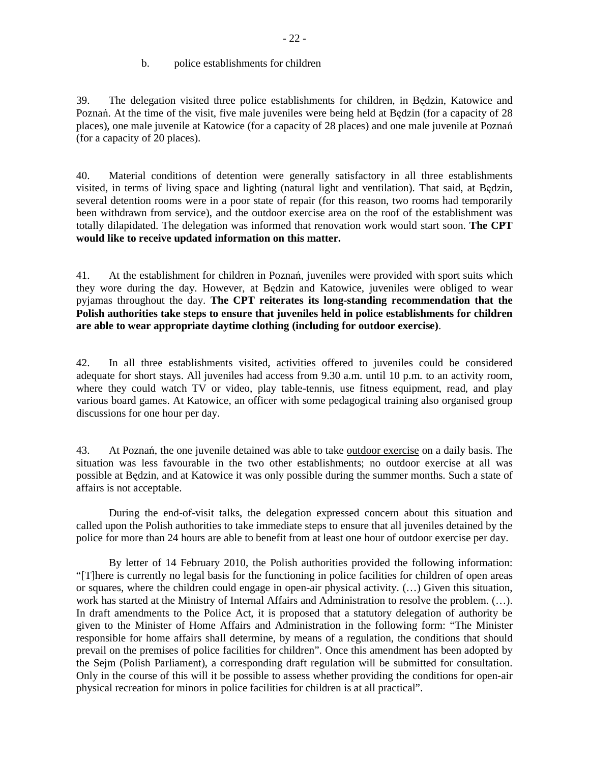#### b. police establishments for children

39. The delegation visited three police establishments for children, in Będzin, Katowice and Poznań. At the time of the visit, five male juveniles were being held at Będzin (for a capacity of 28 places), one male juvenile at Katowice (for a capacity of 28 places) and one male juvenile at Poznań (for a capacity of 20 places).

40. Material conditions of detention were generally satisfactory in all three establishments visited, in terms of living space and lighting (natural light and ventilation). That said, at Będzin, several detention rooms were in a poor state of repair (for this reason, two rooms had temporarily been withdrawn from service), and the outdoor exercise area on the roof of the establishment was totally dilapidated. The delegation was informed that renovation work would start soon. **The CPT would like to receive updated information on this matter.** 

41. At the establishment for children in Poznań, juveniles were provided with sport suits which they wore during the day. However, at Będzin and Katowice, juveniles were obliged to wear pyjamas throughout the day. **The CPT reiterates its long-standing recommendation that the Polish authorities take steps to ensure that juveniles held in police establishments for children are able to wear appropriate daytime clothing (including for outdoor exercise)**.

42. In all three establishments visited, activities offered to juveniles could be considered adequate for short stays. All juveniles had access from 9.30 a.m. until 10 p.m. to an activity room, where they could watch TV or video, play table-tennis, use fitness equipment, read, and play various board games. At Katowice, an officer with some pedagogical training also organised group discussions for one hour per day.

43. At Poznań, the one juvenile detained was able to take outdoor exercise on a daily basis. The situation was less favourable in the two other establishments; no outdoor exercise at all was possible at Będzin, and at Katowice it was only possible during the summer months. Such a state of affairs is not acceptable.

During the end-of-visit talks, the delegation expressed concern about this situation and called upon the Polish authorities to take immediate steps to ensure that all juveniles detained by the police for more than 24 hours are able to benefit from at least one hour of outdoor exercise per day.

By letter of 14 February 2010, the Polish authorities provided the following information: "[T]here is currently no legal basis for the functioning in police facilities for children of open areas or squares, where the children could engage in open-air physical activity. (…) Given this situation, work has started at the Ministry of Internal Affairs and Administration to resolve the problem. (…). In draft amendments to the Police Act, it is proposed that a statutory delegation of authority be given to the Minister of Home Affairs and Administration in the following form: "The Minister responsible for home affairs shall determine, by means of a regulation, the conditions that should prevail on the premises of police facilities for children". Once this amendment has been adopted by the Sejm (Polish Parliament), a corresponding draft regulation will be submitted for consultation. Only in the course of this will it be possible to assess whether providing the conditions for open-air physical recreation for minors in police facilities for children is at all practical".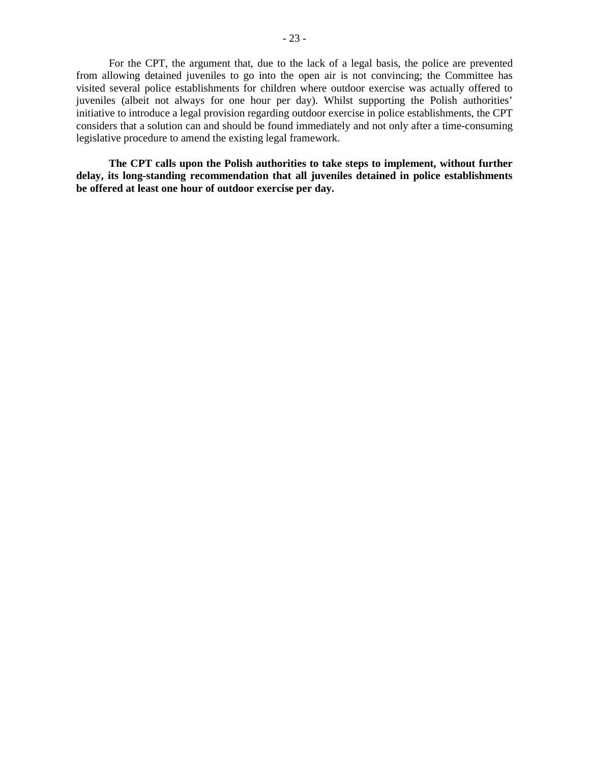For the CPT, the argument that, due to the lack of a legal basis, the police are prevented from allowing detained juveniles to go into the open air is not convincing; the Committee has visited several police establishments for children where outdoor exercise was actually offered to juveniles (albeit not always for one hour per day). Whilst supporting the Polish authorities' initiative to introduce a legal provision regarding outdoor exercise in police establishments, the CPT considers that a solution can and should be found immediately and not only after a time-consuming legislative procedure to amend the existing legal framework.

 **The CPT calls upon the Polish authorities to take steps to implement, without further delay, its long-standing recommendation that all juveniles detained in police establishments be offered at least one hour of outdoor exercise per day.**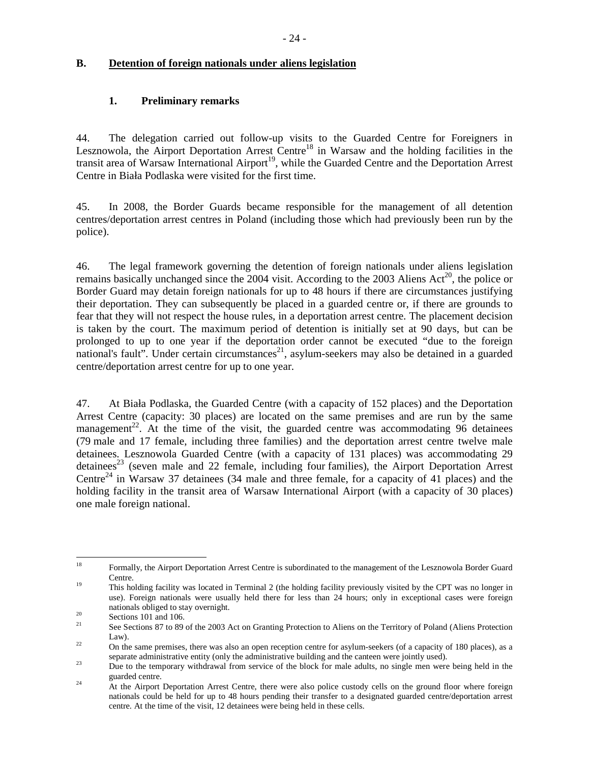### **1. Preliminary remarks**

44. The delegation carried out follow-up visits to the Guarded Centre for Foreigners in Lesznowola, the Airport Deportation Arrest Centre<sup>18</sup> in Warsaw and the holding facilities in the transit area of Warsaw International Airport<sup>19</sup>, while the Guarded Centre and the Deportation Arrest Centre in Biała Podlaska were visited for the first time.

45. In 2008, the Border Guards became responsible for the management of all detention centres/deportation arrest centres in Poland (including those which had previously been run by the police).

46. The legal framework governing the detention of foreign nationals under aliens legislation remains basically unchanged since the 2004 visit. According to the 2003 Aliens  $Act^{20}$ , the police or Border Guard may detain foreign nationals for up to 48 hours if there are circumstances justifying their deportation. They can subsequently be placed in a guarded centre or, if there are grounds to fear that they will not respect the house rules, in a deportation arrest centre. The placement decision is taken by the court. The maximum period of detention is initially set at 90 days, but can be prolonged to up to one year if the deportation order cannot be executed "due to the foreign national's fault". Under certain circumstances<sup>21</sup>, asylum-seekers may also be detained in a guarded centre/deportation arrest centre for up to one year.

47. At Biała Podlaska, the Guarded Centre (with a capacity of 152 places) and the Deportation Arrest Centre (capacity: 30 places) are located on the same premises and are run by the same management<sup>22</sup>. At the time of the visit, the guarded centre was accommodating 96 detainees (79 male and 17 female, including three families) and the deportation arrest centre twelve male detainees. Lesznowola Guarded Centre (with a capacity of 131 places) was accommodating 29 detainees<sup>23</sup> (seven male and 22 female, including four families), the Airport Deportation Arrest Centre<sup>24</sup> in Warsaw 37 detainees (34 male and three female, for a capacity of 41 places) and the holding facility in the transit area of Warsaw International Airport (with a capacity of 30 places) one male foreign national.

<sup>18</sup> <sup>18</sup> Formally, the Airport Deportation Arrest Centre is subordinated to the management of the Lesznowola Border Guard Centre.

<sup>&</sup>lt;sup>19</sup> This holding facility was located in Terminal 2 (the holding facility previously visited by the CPT was no longer in use). Foreign nationals were usually held there for less than 24 hours; only in exceptional cases were foreign nationals obliged to stay overnight.

 $rac{20}{21}$  Sections 101 and 106.

See Sections 87 to 89 of the 2003 Act on Granting Protection to Aliens on the Territory of Poland (Aliens Protection Law).

<sup>&</sup>lt;sup>22</sup> On the same premises, there was also an open reception centre for asylum-seekers (of a capacity of 180 places), as a separate administrative entity (only the administrative building and the canteen were jointly used).

<sup>&</sup>lt;sup>23</sup> Due to the temporary withdrawal from service of the block for male adults, no single men were being held in the guarded centre.

<sup>&</sup>lt;sup>24</sup> At the Airport Deportation Arrest Centre, there were also police custody cells on the ground floor where foreign nationals could be held for up to 48 hours pending their transfer to a designated guarded centre/deportation arrest centre. At the time of the visit, 12 detainees were being held in these cells.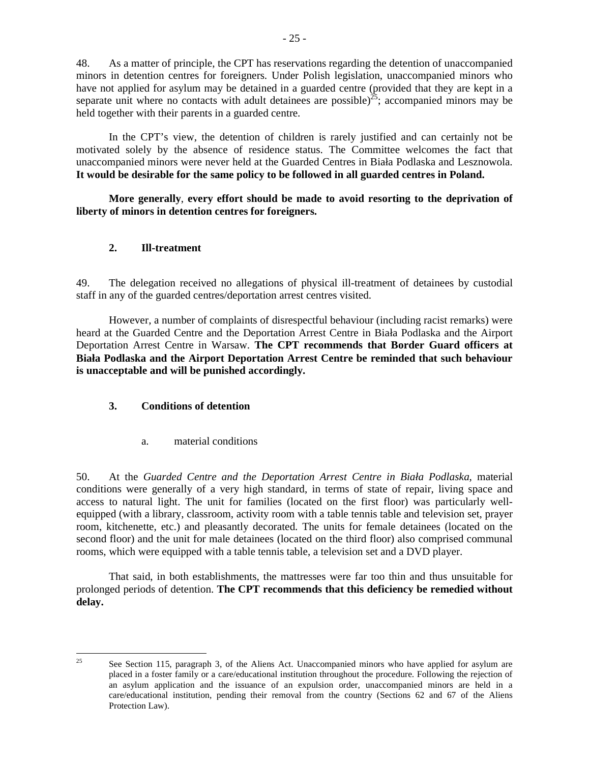48. As a matter of principle, the CPT has reservations regarding the detention of unaccompanied minors in detention centres for foreigners. Under Polish legislation, unaccompanied minors who have not applied for asylum may be detained in a guarded centre (provided that they are kept in a separate unit where no contacts with adult detainees are possible)<sup>25</sup>; accompanied minors may be held together with their parents in a guarded centre.

In the CPT's view, the detention of children is rarely justified and can certainly not be motivated solely by the absence of residence status. The Committee welcomes the fact that unaccompanied minors were never held at the Guarded Centres in Biała Podlaska and Lesznowola. **It would be desirable for the same policy to be followed in all guarded centres in Poland.** 

**More generally**, **every effort should be made to avoid resorting to the deprivation of liberty of minors in detention centres for foreigners.** 

#### **2. Ill-treatment**

49. The delegation received no allegations of physical ill-treatment of detainees by custodial staff in any of the guarded centres/deportation arrest centres visited.

However, a number of complaints of disrespectful behaviour (including racist remarks) were heard at the Guarded Centre and the Deportation Arrest Centre in Biała Podlaska and the Airport Deportation Arrest Centre in Warsaw. **The CPT recommends that Border Guard officers at Biała Podlaska and the Airport Deportation Arrest Centre be reminded that such behaviour is unacceptable and will be punished accordingly.**

### **3. Conditions of detention**

a. material conditions

50. At the *Guarded Centre and the Deportation Arrest Centre in Biała Podlaska*, material conditions were generally of a very high standard, in terms of state of repair, living space and access to natural light. The unit for families (located on the first floor) was particularly wellequipped (with a library, classroom, activity room with a table tennis table and television set, prayer room, kitchenette, etc.) and pleasantly decorated. The units for female detainees (located on the second floor) and the unit for male detainees (located on the third floor) also comprised communal rooms, which were equipped with a table tennis table, a television set and a DVD player.

That said, in both establishments, the mattresses were far too thin and thus unsuitable for prolonged periods of detention. **The CPT recommends that this deficiency be remedied without delay.** 

 $25$ 

See Section 115, paragraph 3, of the Aliens Act. Unaccompanied minors who have applied for asylum are placed in a foster family or a care/educational institution throughout the procedure. Following the rejection of an asylum application and the issuance of an expulsion order, unaccompanied minors are held in a care/educational institution, pending their removal from the country (Sections 62 and 67 of the Aliens Protection Law).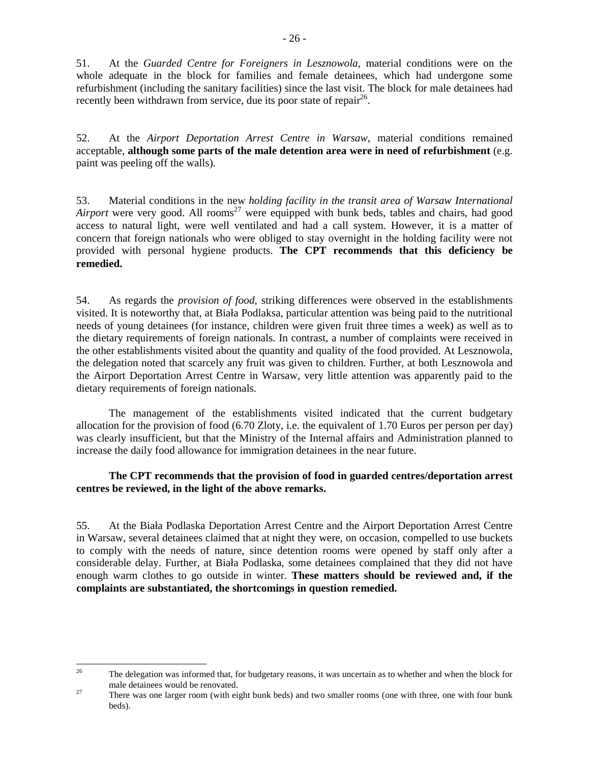51. At the *Guarded Centre for Foreigners in Lesznowola*, material conditions were on the whole adequate in the block for families and female detainees, which had undergone some refurbishment (including the sanitary facilities) since the last visit. The block for male detainees had recently been withdrawn from service, due its poor state of repair $^{26}$ .

52. At the *Airport Deportation Arrest Centre in Warsaw*, material conditions remained acceptable, **although some parts of the male detention area were in need of refurbishment** (e.g. paint was peeling off the walls).

53. Material conditions in the new *holding facility in the transit area of Warsaw International*  Airport were very good. All rooms<sup>27</sup> were equipped with bunk beds, tables and chairs, had good access to natural light, were well ventilated and had a call system. However, it is a matter of concern that foreign nationals who were obliged to stay overnight in the holding facility were not provided with personal hygiene products. **The CPT recommends that this deficiency be remedied.**

54. As regards the *provision of food*, striking differences were observed in the establishments visited. It is noteworthy that, at Biała Podlaksa, particular attention was being paid to the nutritional needs of young detainees (for instance, children were given fruit three times a week) as well as to the dietary requirements of foreign nationals. In contrast, a number of complaints were received in the other establishments visited about the quantity and quality of the food provided. At Lesznowola, the delegation noted that scarcely any fruit was given to children. Further, at both Lesznowola and the Airport Deportation Arrest Centre in Warsaw, very little attention was apparently paid to the dietary requirements of foreign nationals.

The management of the establishments visited indicated that the current budgetary allocation for the provision of food (6.70 Zloty, i.e. the equivalent of 1.70 Euros per person per day) was clearly insufficient, but that the Ministry of the Internal affairs and Administration planned to increase the daily food allowance for immigration detainees in the near future.

#### **The CPT recommends that the provision of food in guarded centres/deportation arrest centres be reviewed, in the light of the above remarks.**

55. At the Biała Podlaska Deportation Arrest Centre and the Airport Deportation Arrest Centre in Warsaw, several detainees claimed that at night they were, on occasion, compelled to use buckets to comply with the needs of nature, since detention rooms were opened by staff only after a considerable delay. Further, at Biała Podlaska, some detainees complained that they did not have enough warm clothes to go outside in winter. **These matters should be reviewed and, if the complaints are substantiated, the shortcomings in question remedied.** 

<sup>26</sup> The delegation was informed that, for budgetary reasons, it was uncertain as to whether and when the block for male detainees would be renovated.

<sup>&</sup>lt;sup>27</sup> There was one larger room (with eight bunk beds) and two smaller rooms (one with three, one with four bunk beds).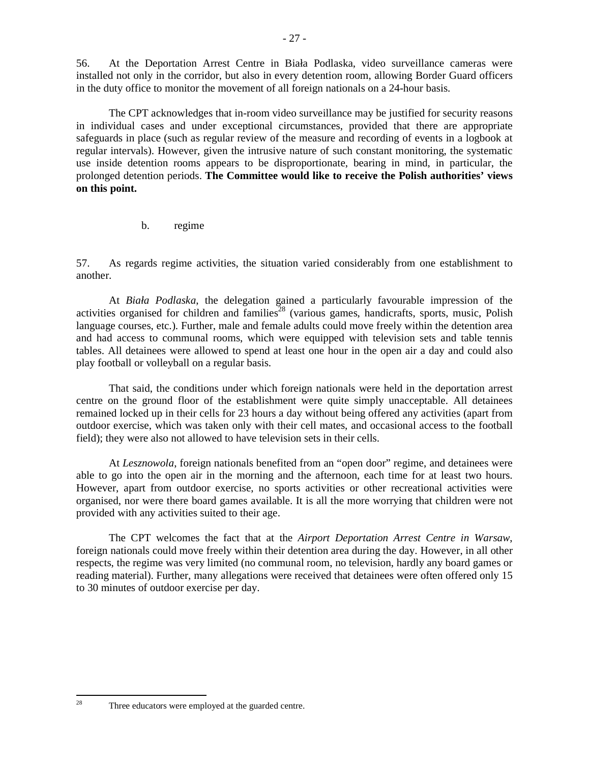56. At the Deportation Arrest Centre in Biała Podlaska, video surveillance cameras were installed not only in the corridor, but also in every detention room, allowing Border Guard officers in the duty office to monitor the movement of all foreign nationals on a 24-hour basis.

The CPT acknowledges that in-room video surveillance may be justified for security reasons in individual cases and under exceptional circumstances, provided that there are appropriate safeguards in place (such as regular review of the measure and recording of events in a logbook at regular intervals). However, given the intrusive nature of such constant monitoring, the systematic use inside detention rooms appears to be disproportionate, bearing in mind, in particular, the prolonged detention periods. **The Committee would like to receive the Polish authorities' views on this point.** 

b. regime

57. As regards regime activities, the situation varied considerably from one establishment to another.

 At *Biała Podlaska*, the delegation gained a particularly favourable impression of the activities organised for children and families<sup>28</sup> (various games, handicrafts, sports, music, Polish language courses, etc.). Further, male and female adults could move freely within the detention area and had access to communal rooms, which were equipped with television sets and table tennis tables. All detainees were allowed to spend at least one hour in the open air a day and could also play football or volleyball on a regular basis.

That said, the conditions under which foreign nationals were held in the deportation arrest centre on the ground floor of the establishment were quite simply unacceptable. All detainees remained locked up in their cells for 23 hours a day without being offered any activities (apart from outdoor exercise, which was taken only with their cell mates, and occasional access to the football field); they were also not allowed to have television sets in their cells.

 At *Lesznowola*, foreign nationals benefited from an "open door" regime, and detainees were able to go into the open air in the morning and the afternoon, each time for at least two hours. However, apart from outdoor exercise, no sports activities or other recreational activities were organised, nor were there board games available. It is all the more worrying that children were not provided with any activities suited to their age.

 The CPT welcomes the fact that at the *Airport Deportation Arrest Centre in Warsaw*, foreign nationals could move freely within their detention area during the day. However, in all other respects, the regime was very limited (no communal room, no television, hardly any board games or reading material). Further, many allegations were received that detainees were often offered only 15 to 30 minutes of outdoor exercise per day.

28

Three educators were employed at the guarded centre.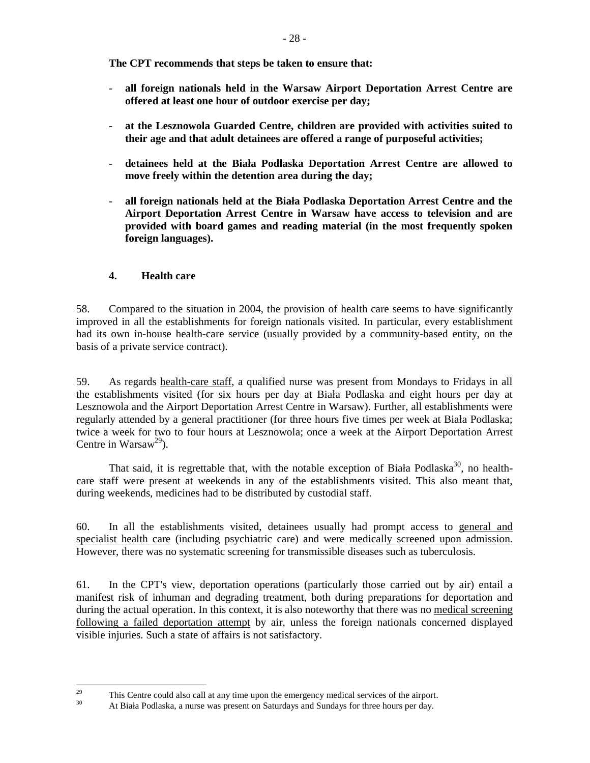**The CPT recommends that steps be taken to ensure that:** 

- **all foreign nationals held in the Warsaw Airport Deportation Arrest Centre are offered at least one hour of outdoor exercise per day;**
- **at the Lesznowola Guarded Centre, children are provided with activities suited to their age and that adult detainees are offered a range of purposeful activities;**
- **detainees held at the Biała Podlaska Deportation Arrest Centre are allowed to move freely within the detention area during the day;**
- **all foreign nationals held at the Biała Podlaska Deportation Arrest Centre and the Airport Deportation Arrest Centre in Warsaw have access to television and are provided with board games and reading material (in the most frequently spoken foreign languages).**

### **4. Health care**

58. Compared to the situation in 2004, the provision of health care seems to have significantly improved in all the establishments for foreign nationals visited. In particular, every establishment had its own in-house health-care service (usually provided by a community-based entity, on the basis of a private service contract).

59. As regards health-care staff, a qualified nurse was present from Mondays to Fridays in all the establishments visited (for six hours per day at Biała Podlaska and eight hours per day at Lesznowola and the Airport Deportation Arrest Centre in Warsaw). Further, all establishments were regularly attended by a general practitioner (for three hours five times per week at Biała Podlaska; twice a week for two to four hours at Lesznowola; once a week at the Airport Deportation Arrest Centre in Warsaw<sup>29</sup>).

That said, it is regrettable that, with the notable exception of Biała Podlaska<sup>30</sup>, no healthcare staff were present at weekends in any of the establishments visited. This also meant that, during weekends, medicines had to be distributed by custodial staff.

60. In all the establishments visited, detainees usually had prompt access to general and specialist health care (including psychiatric care) and were medically screened upon admission. However, there was no systematic screening for transmissible diseases such as tuberculosis.

61. In the CPT's view, deportation operations (particularly those carried out by air) entail a manifest risk of inhuman and degrading treatment, both during preparations for deportation and during the actual operation. In this context, it is also noteworthy that there was no medical screening following a failed deportation attempt by air, unless the foreign nationals concerned displayed visible injuries. Such a state of affairs is not satisfactory.

 $29$ <sup>29</sup> This Centre could also call at any time upon the emergency medical services of the airport.

<sup>30</sup> At Biała Podlaska, a nurse was present on Saturdays and Sundays for three hours per day.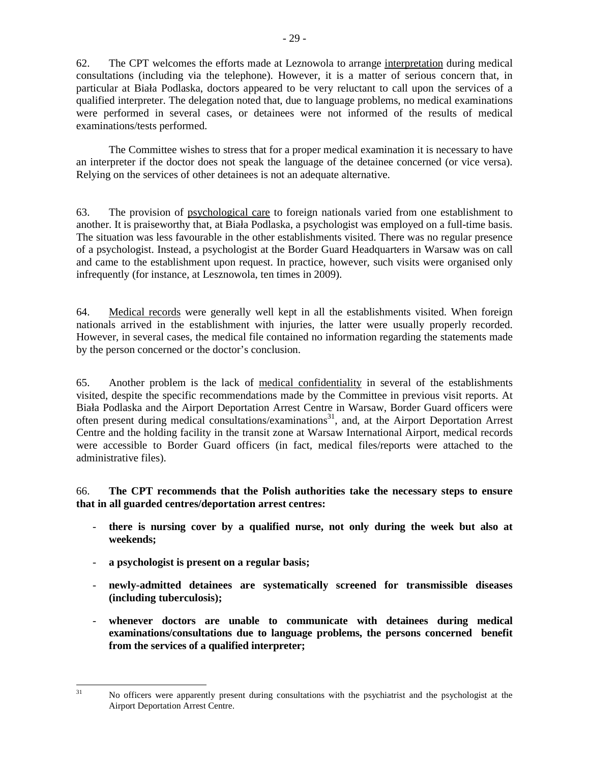62. The CPT welcomes the efforts made at Leznowola to arrange interpretation during medical consultations (including via the telephone). However, it is a matter of serious concern that, in particular at Biała Podlaska, doctors appeared to be very reluctant to call upon the services of a qualified interpreter. The delegation noted that, due to language problems, no medical examinations were performed in several cases, or detainees were not informed of the results of medical examinations/tests performed.

The Committee wishes to stress that for a proper medical examination it is necessary to have an interpreter if the doctor does not speak the language of the detainee concerned (or vice versa). Relying on the services of other detainees is not an adequate alternative.

63. The provision of psychological care to foreign nationals varied from one establishment to another. It is praiseworthy that, at Biała Podlaska, a psychologist was employed on a full-time basis. The situation was less favourable in the other establishments visited. There was no regular presence of a psychologist. Instead, a psychologist at the Border Guard Headquarters in Warsaw was on call and came to the establishment upon request. In practice, however, such visits were organised only infrequently (for instance, at Lesznowola, ten times in 2009).

64. Medical records were generally well kept in all the establishments visited. When foreign nationals arrived in the establishment with injuries, the latter were usually properly recorded. However, in several cases, the medical file contained no information regarding the statements made by the person concerned or the doctor's conclusion.

65. Another problem is the lack of medical confidentiality in several of the establishments visited, despite the specific recommendations made by the Committee in previous visit reports. At Biała Podlaska and the Airport Deportation Arrest Centre in Warsaw, Border Guard officers were often present during medical consultations/examinations<sup>31</sup>, and, at the Airport Deportation Arrest Centre and the holding facility in the transit zone at Warsaw International Airport, medical records were accessible to Border Guard officers (in fact, medical files/reports were attached to the administrative files).

66. **The CPT recommends that the Polish authorities take the necessary steps to ensure that in all guarded centres/deportation arrest centres:** 

- **there is nursing cover by a qualified nurse, not only during the week but also at weekends;**
- a psychologist is present on a regular basis;
- **newly-admitted detainees are systematically screened for transmissible diseases (including tuberculosis);**
- **whenever doctors are unable to communicate with detainees during medical examinations/consultations due to language problems, the persons concerned benefit from the services of a qualified interpreter;**

 $31$ <sup>31</sup> No officers were apparently present during consultations with the psychiatrist and the psychologist at the Airport Deportation Arrest Centre.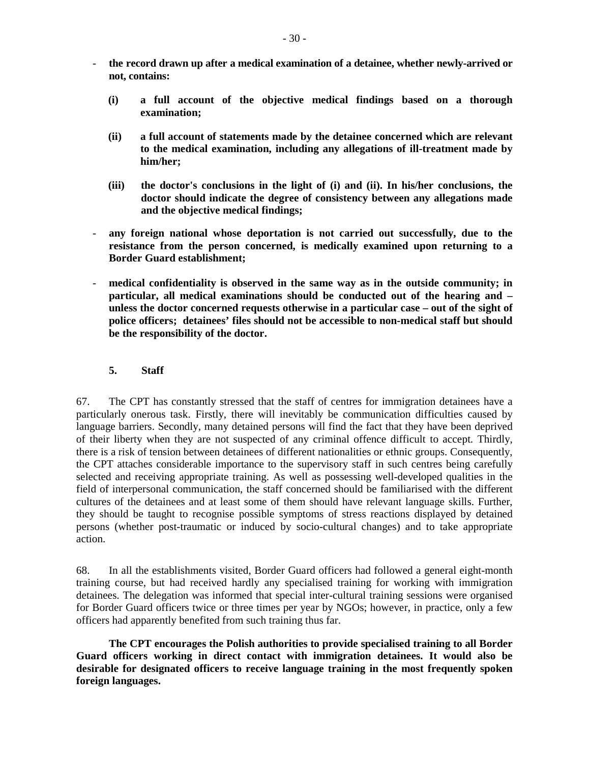- **the record drawn up after a medical examination of a detainee, whether newly-arrived or not, contains:** 
	- **(i) a full account of the objective medical findings based on a thorough examination;**
	- **(ii) a full account of statements made by the detainee concerned which are relevant to the medical examination, including any allegations of ill-treatment made by him/her;**
	- **(iii) the doctor's conclusions in the light of (i) and (ii). In his/her conclusions, the doctor should indicate the degree of consistency between any allegations made and the objective medical findings;**
- any foreign national whose deportation is not carried out successfully, due to the **resistance from the person concerned, is medically examined upon returning to a Border Guard establishment;**
- medical confidentiality is observed in the same way as in the outside community; in **particular, all medical examinations should be conducted out of the hearing and – unless the doctor concerned requests otherwise in a particular case – out of the sight of police officers; detainees' files should not be accessible to non-medical staff but should be the responsibility of the doctor.**

#### **5. Staff**

67. The CPT has constantly stressed that the staff of centres for immigration detainees have a particularly onerous task. Firstly, there will inevitably be communication difficulties caused by language barriers. Secondly, many detained persons will find the fact that they have been deprived of their liberty when they are not suspected of any criminal offence difficult to accept. Thirdly, there is a risk of tension between detainees of different nationalities or ethnic groups. Consequently, the CPT attaches considerable importance to the supervisory staff in such centres being carefully selected and receiving appropriate training. As well as possessing well-developed qualities in the field of interpersonal communication, the staff concerned should be familiarised with the different cultures of the detainees and at least some of them should have relevant language skills. Further, they should be taught to recognise possible symptoms of stress reactions displayed by detained persons (whether post-traumatic or induced by socio-cultural changes) and to take appropriate action.

68. In all the establishments visited, Border Guard officers had followed a general eight-month training course, but had received hardly any specialised training for working with immigration detainees. The delegation was informed that special inter-cultural training sessions were organised for Border Guard officers twice or three times per year by NGOs; however, in practice, only a few officers had apparently benefited from such training thus far.

**The CPT encourages the Polish authorities to provide specialised training to all Border Guard officers working in direct contact with immigration detainees. It would also be desirable for designated officers to receive language training in the most frequently spoken foreign languages.**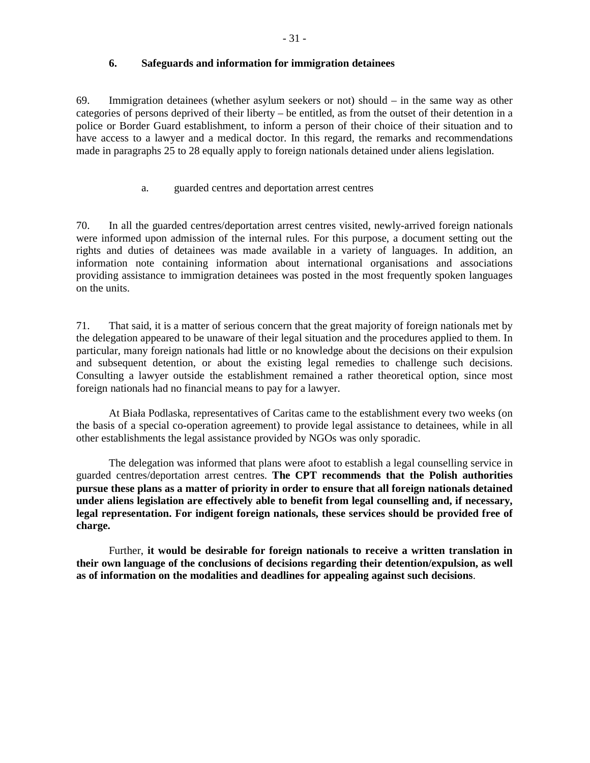69. Immigration detainees (whether asylum seekers or not) should – in the same way as other categories of persons deprived of their liberty – be entitled, as from the outset of their detention in a police or Border Guard establishment, to inform a person of their choice of their situation and to have access to a lawyer and a medical doctor. In this regard, the remarks and recommendations made in paragraphs 25 to 28 equally apply to foreign nationals detained under aliens legislation.

a. guarded centres and deportation arrest centres

70. In all the guarded centres/deportation arrest centres visited, newly-arrived foreign nationals were informed upon admission of the internal rules. For this purpose, a document setting out the rights and duties of detainees was made available in a variety of languages. In addition, an information note containing information about international organisations and associations providing assistance to immigration detainees was posted in the most frequently spoken languages on the units.

71. That said, it is a matter of serious concern that the great majority of foreign nationals met by the delegation appeared to be unaware of their legal situation and the procedures applied to them. In particular, many foreign nationals had little or no knowledge about the decisions on their expulsion and subsequent detention, or about the existing legal remedies to challenge such decisions. Consulting a lawyer outside the establishment remained a rather theoretical option, since most foreign nationals had no financial means to pay for a lawyer.

At Biała Podlaska, representatives of Caritas came to the establishment every two weeks (on the basis of a special co-operation agreement) to provide legal assistance to detainees, while in all other establishments the legal assistance provided by NGOs was only sporadic.

The delegation was informed that plans were afoot to establish a legal counselling service in guarded centres/deportation arrest centres. **The CPT recommends that the Polish authorities pursue these plans as a matter of priority in order to ensure that all foreign nationals detained under aliens legislation are effectively able to benefit from legal counselling and, if necessary, legal representation. For indigent foreign nationals, these services should be provided free of charge.** 

Further, **it would be desirable for foreign nationals to receive a written translation in their own language of the conclusions of decisions regarding their detention/expulsion, as well as of information on the modalities and deadlines for appealing against such decisions**.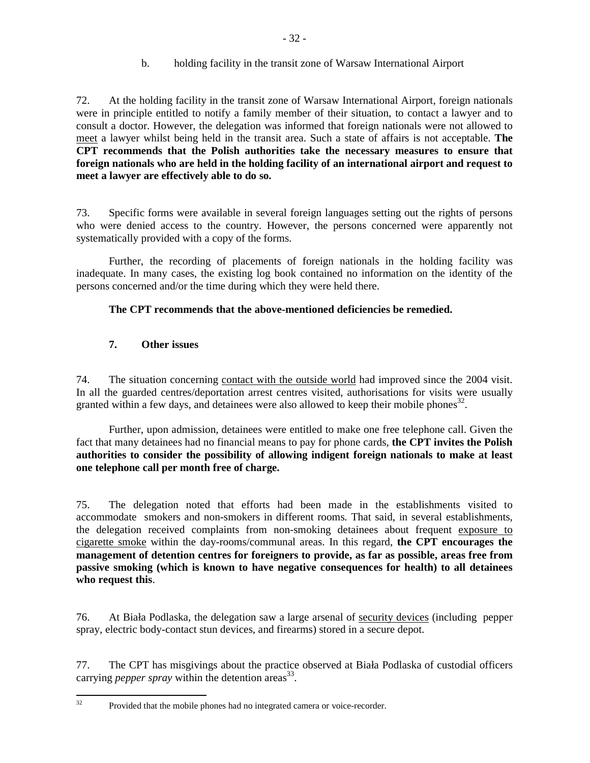72. At the holding facility in the transit zone of Warsaw International Airport, foreign nationals were in principle entitled to notify a family member of their situation, to contact a lawyer and to consult a doctor. However, the delegation was informed that foreign nationals were not allowed to meet a lawyer whilst being held in the transit area. Such a state of affairs is not acceptable. **The CPT recommends that the Polish authorities take the necessary measures to ensure that foreign nationals who are held in the holding facility of an international airport and request to meet a lawyer are effectively able to do so.**

73. Specific forms were available in several foreign languages setting out the rights of persons who were denied access to the country. However, the persons concerned were apparently not systematically provided with a copy of the forms.

 Further, the recording of placements of foreign nationals in the holding facility was inadequate. In many cases, the existing log book contained no information on the identity of the persons concerned and/or the time during which they were held there.

## **The CPT recommends that the above-mentioned deficiencies be remedied.**

## **7. Other issues**

74. The situation concerning contact with the outside world had improved since the 2004 visit. In all the guarded centres/deportation arrest centres visited, authorisations for visits were usually granted within a few days, and detainees were also allowed to keep their mobile phones<sup>32</sup>.

 Further, upon admission, detainees were entitled to make one free telephone call. Given the fact that many detainees had no financial means to pay for phone cards, **the CPT invites the Polish authorities to consider the possibility of allowing indigent foreign nationals to make at least one telephone call per month free of charge.** 

75. The delegation noted that efforts had been made in the establishments visited to accommodate smokers and non-smokers in different rooms. That said, in several establishments, the delegation received complaints from non-smoking detainees about frequent exposure to cigarette smoke within the day-rooms/communal areas. In this regard, **the CPT encourages the management of detention centres for foreigners to provide, as far as possible, areas free from passive smoking (which is known to have negative consequences for health) to all detainees who request this**.

76. At Biała Podlaska, the delegation saw a large arsenal of security devices (including pepper spray, electric body-contact stun devices, and firearms) stored in a secure depot.

77. The CPT has misgivings about the practice observed at Biała Podlaska of custodial officers carrying *pepper spray* within the detention areas<sup>33</sup>.

 $32$ Provided that the mobile phones had no integrated camera or voice-recorder.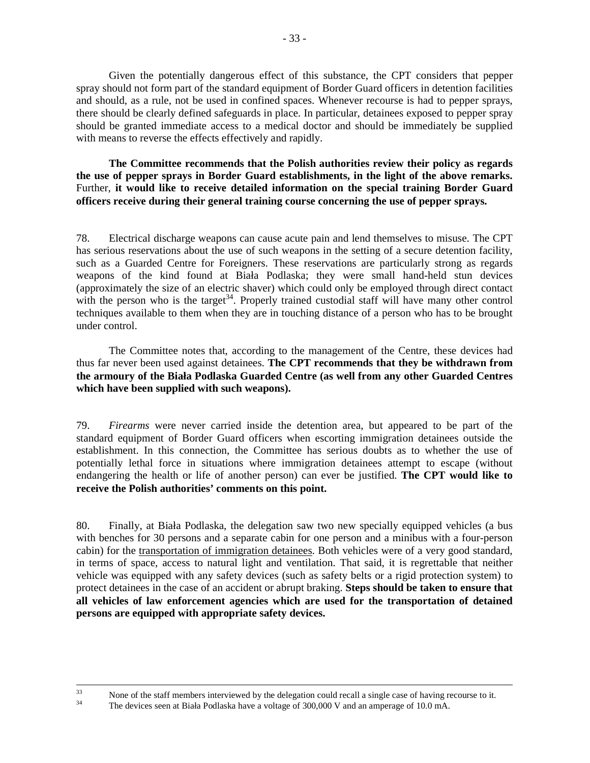Given the potentially dangerous effect of this substance, the CPT considers that pepper spray should not form part of the standard equipment of Border Guard officers in detention facilities and should, as a rule, not be used in confined spaces. Whenever recourse is had to pepper sprays, there should be clearly defined safeguards in place. In particular, detainees exposed to pepper spray should be granted immediate access to a medical doctor and should be immediately be supplied with means to reverse the effects effectively and rapidly.

**The Committee recommends that the Polish authorities review their policy as regards the use of pepper sprays in Border Guard establishments, in the light of the above remarks.** Further, **it would like to receive detailed information on the special training Border Guard officers receive during their general training course concerning the use of pepper sprays.**

78. Electrical discharge weapons can cause acute pain and lend themselves to misuse. The CPT has serious reservations about the use of such weapons in the setting of a secure detention facility, such as a Guarded Centre for Foreigners. These reservations are particularly strong as regards weapons of the kind found at Biała Podlaska; they were small hand-held stun devices (approximately the size of an electric shaver) which could only be employed through direct contact with the person who is the target<sup>34</sup>. Properly trained custodial staff will have many other control techniques available to them when they are in touching distance of a person who has to be brought under control.

The Committee notes that, according to the management of the Centre, these devices had thus far never been used against detainees. **The CPT recommends that they be withdrawn from the armoury of the Biała Podlaska Guarded Centre (as well from any other Guarded Centres which have been supplied with such weapons).** 

79. *Firearms* were never carried inside the detention area, but appeared to be part of the standard equipment of Border Guard officers when escorting immigration detainees outside the establishment. In this connection, the Committee has serious doubts as to whether the use of potentially lethal force in situations where immigration detainees attempt to escape (without endangering the health or life of another person) can ever be justified. **The CPT would like to receive the Polish authorities' comments on this point.** 

80. Finally, at Biała Podlaska, the delegation saw two new specially equipped vehicles (a bus with benches for 30 persons and a separate cabin for one person and a minibus with a four-person cabin) for the transportation of immigration detainees. Both vehicles were of a very good standard, in terms of space, access to natural light and ventilation. That said, it is regrettable that neither vehicle was equipped with any safety devices (such as safety belts or a rigid protection system) to protect detainees in the case of an accident or abrupt braking. **Steps should be taken to ensure that all vehicles of law enforcement agencies which are used for the transportation of detained persons are equipped with appropriate safety devices.** 

 $33$ 33 None of the staff members interviewed by the delegation could recall a single case of having recourse to it.

The devices seen at Biała Podlaska have a voltage of 300,000 V and an amperage of 10.0 mA.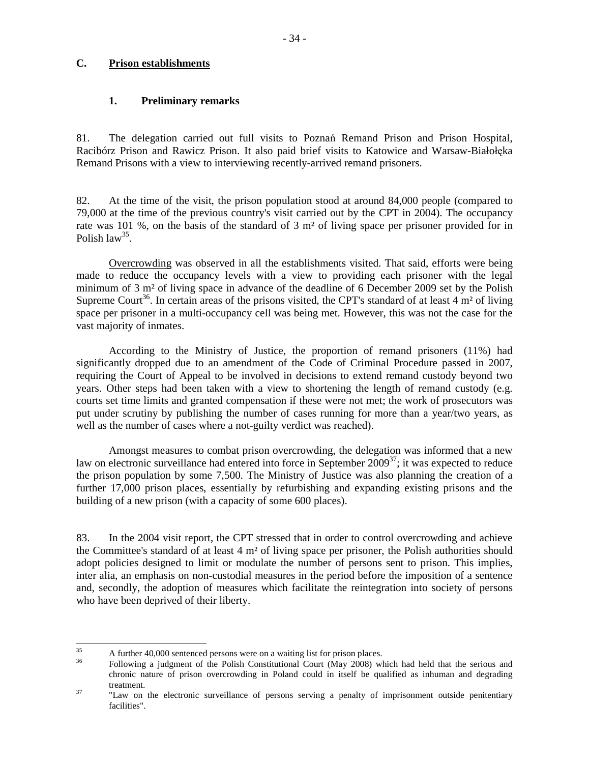#### **C. Prison establishments**

#### **1. Preliminary remarks**

81. The delegation carried out full visits to Poznań Remand Prison and Prison Hospital, Racibórz Prison and Rawicz Prison. It also paid brief visits to Katowice and Warsaw-Białołęka Remand Prisons with a view to interviewing recently-arrived remand prisoners.

82. At the time of the visit, the prison population stood at around 84,000 people (compared to 79,000 at the time of the previous country's visit carried out by the CPT in 2004). The occupancy rate was 101 %, on the basis of the standard of 3 m² of living space per prisoner provided for in Polish law<sup>35</sup>.

 Overcrowding was observed in all the establishments visited. That said, efforts were being made to reduce the occupancy levels with a view to providing each prisoner with the legal minimum of 3 m² of living space in advance of the deadline of 6 December 2009 set by the Polish Supreme Court<sup>36</sup>. In certain areas of the prisons visited, the CPT's standard of at least  $4 \text{ m}^2$  of living space per prisoner in a multi-occupancy cell was being met. However, this was not the case for the vast majority of inmates.

According to the Ministry of Justice, the proportion of remand prisoners (11%) had significantly dropped due to an amendment of the Code of Criminal Procedure passed in 2007, requiring the Court of Appeal to be involved in decisions to extend remand custody beyond two years. Other steps had been taken with a view to shortening the length of remand custody (e.g. courts set time limits and granted compensation if these were not met; the work of prosecutors was put under scrutiny by publishing the number of cases running for more than a year/two years, as well as the number of cases where a not-guilty verdict was reached).

Amongst measures to combat prison overcrowding, the delegation was informed that a new law on electronic surveillance had entered into force in September  $2009^{37}$ ; it was expected to reduce the prison population by some 7,500. The Ministry of Justice was also planning the creation of a further 17,000 prison places, essentially by refurbishing and expanding existing prisons and the building of a new prison (with a capacity of some 600 places).

83. In the 2004 visit report, the CPT stressed that in order to control overcrowding and achieve the Committee's standard of at least 4 m² of living space per prisoner, the Polish authorities should adopt policies designed to limit or modulate the number of persons sent to prison. This implies, inter alia, an emphasis on non-custodial measures in the period before the imposition of a sentence and, secondly, the adoption of measures which facilitate the reintegration into society of persons who have been deprived of their liberty.

 $35$  $\frac{35}{16}$  A further 40,000 sentenced persons were on a waiting list for prison places.

<sup>36</sup> Following a judgment of the Polish Constitutional Court (May 2008) which had held that the serious and chronic nature of prison overcrowding in Poland could in itself be qualified as inhuman and degrading treatment.

<sup>&</sup>lt;sup>37</sup> "Law on the electronic surveillance of persons serving a penalty of imprisonment outside penitentiary facilities".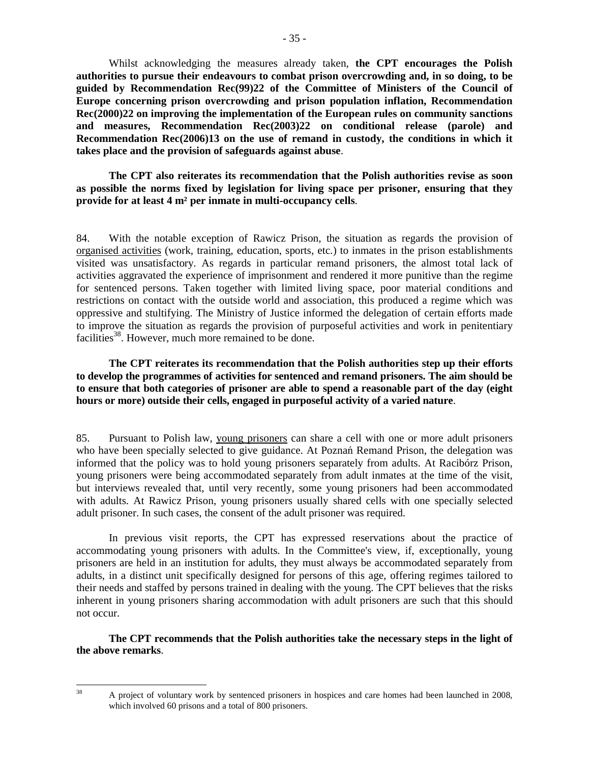Whilst acknowledging the measures already taken, **the CPT encourages the Polish authorities to pursue their endeavours to combat prison overcrowding and, in so doing, to be guided by Recommendation Rec(99)22 of the Committee of Ministers of the Council of Europe concerning prison overcrowding and prison population inflation, Recommendation Rec(2000)22 on improving the implementation of the European rules on community sanctions and measures, Recommendation Rec(2003)22 on conditional release (parole) and Recommendation Rec(2006)13 on the use of remand in custody, the conditions in which it takes place and the provision of safeguards against abuse**.

**The CPT also reiterates its recommendation that the Polish authorities revise as soon as possible the norms fixed by legislation for living space per prisoner, ensuring that they provide for at least 4 m² per inmate in multi-occupancy cells**.

84. With the notable exception of Rawicz Prison, the situation as regards the provision of organised activities (work, training, education, sports, etc.) to inmates in the prison establishments visited was unsatisfactory. As regards in particular remand prisoners, the almost total lack of activities aggravated the experience of imprisonment and rendered it more punitive than the regime for sentenced persons. Taken together with limited living space, poor material conditions and restrictions on contact with the outside world and association, this produced a regime which was oppressive and stultifying. The Ministry of Justice informed the delegation of certain efforts made to improve the situation as regards the provision of purposeful activities and work in penitentiary facilities<sup>38</sup>. However, much more remained to be done.

**The CPT reiterates its recommendation that the Polish authorities step up their efforts to develop the programmes of activities for sentenced and remand prisoners. The aim should be to ensure that both categories of prisoner are able to spend a reasonable part of the day (eight hours or more) outside their cells, engaged in purposeful activity of a varied nature**.

85. Pursuant to Polish law, young prisoners can share a cell with one or more adult prisoners who have been specially selected to give guidance. At Poznań Remand Prison, the delegation was informed that the policy was to hold young prisoners separately from adults. At Racibórz Prison, young prisoners were being accommodated separately from adult inmates at the time of the visit, but interviews revealed that, until very recently, some young prisoners had been accommodated with adults. At Rawicz Prison, young prisoners usually shared cells with one specially selected adult prisoner. In such cases, the consent of the adult prisoner was required.

In previous visit reports, the CPT has expressed reservations about the practice of accommodating young prisoners with adults. In the Committee's view, if, exceptionally, young prisoners are held in an institution for adults, they must always be accommodated separately from adults, in a distinct unit specifically designed for persons of this age, offering regimes tailored to their needs and staffed by persons trained in dealing with the young. The CPT believes that the risks inherent in young prisoners sharing accommodation with adult prisoners are such that this should not occur.

**The CPT recommends that the Polish authorities take the necessary steps in the light of the above remarks**.

<sup>38</sup> 

<sup>38</sup> A project of voluntary work by sentenced prisoners in hospices and care homes had been launched in 2008, which involved 60 prisons and a total of 800 prisoners.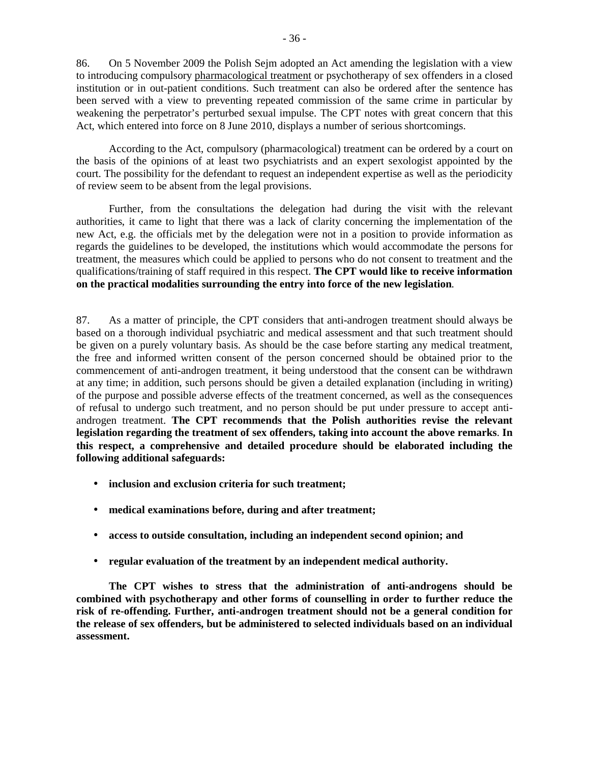86. On 5 November 2009 the Polish Sejm adopted an Act amending the legislation with a view to introducing compulsory pharmacological treatment or psychotherapy of sex offenders in a closed institution or in out-patient conditions. Such treatment can also be ordered after the sentence has been served with a view to preventing repeated commission of the same crime in particular by weakening the perpetrator's perturbed sexual impulse. The CPT notes with great concern that this Act, which entered into force on 8 June 2010, displays a number of serious shortcomings.

According to the Act, compulsory (pharmacological) treatment can be ordered by a court on the basis of the opinions of at least two psychiatrists and an expert sexologist appointed by the court. The possibility for the defendant to request an independent expertise as well as the periodicity of review seem to be absent from the legal provisions.

Further, from the consultations the delegation had during the visit with the relevant authorities, it came to light that there was a lack of clarity concerning the implementation of the new Act, e.g. the officials met by the delegation were not in a position to provide information as regards the guidelines to be developed, the institutions which would accommodate the persons for treatment, the measures which could be applied to persons who do not consent to treatment and the qualifications/training of staff required in this respect. **The CPT would like to receive information on the practical modalities surrounding the entry into force of the new legislation**.

87. As a matter of principle, the CPT considers that anti-androgen treatment should always be based on a thorough individual psychiatric and medical assessment and that such treatment should be given on a purely voluntary basis. As should be the case before starting any medical treatment, the free and informed written consent of the person concerned should be obtained prior to the commencement of anti-androgen treatment, it being understood that the consent can be withdrawn at any time; in addition, such persons should be given a detailed explanation (including in writing) of the purpose and possible adverse effects of the treatment concerned, as well as the consequences of refusal to undergo such treatment, and no person should be put under pressure to accept antiandrogen treatment. **The CPT recommends that the Polish authorities revise the relevant legislation regarding the treatment of sex offenders, taking into account the above remarks**. **In this respect, a comprehensive and detailed procedure should be elaborated including the following additional safeguards:** 

- **inclusion and exclusion criteria for such treatment;**
- **medical examinations before, during and after treatment;**
- **access to outside consultation, including an independent second opinion; and**
- **regular evaluation of the treatment by an independent medical authority.**

**The CPT wishes to stress that the administration of anti-androgens should be combined with psychotherapy and other forms of counselling in order to further reduce the risk of re-offending. Further, anti-androgen treatment should not be a general condition for the release of sex offenders, but be administered to selected individuals based on an individual assessment.**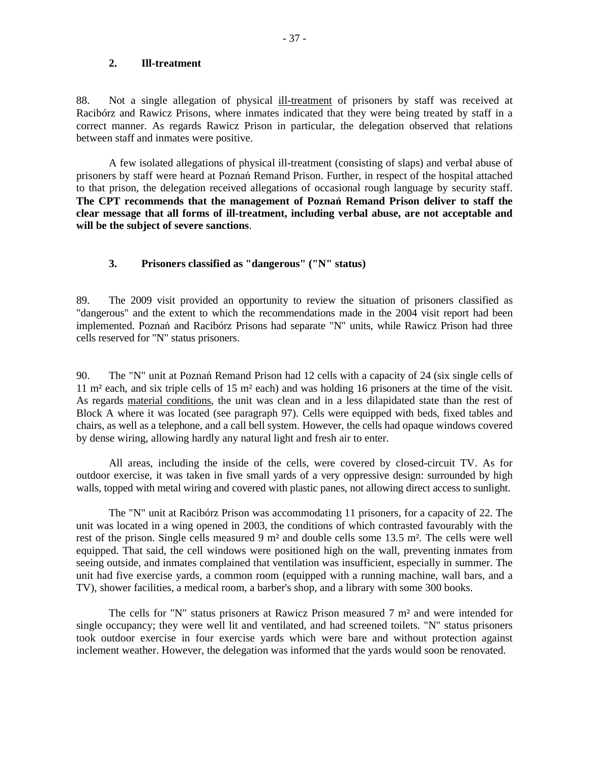#### **2. Ill-treatment**

88. Not a single allegation of physical ill-treatment of prisoners by staff was received at Racibórz and Rawicz Prisons, where inmates indicated that they were being treated by staff in a correct manner. As regards Rawicz Prison in particular, the delegation observed that relations between staff and inmates were positive.

A few isolated allegations of physical ill-treatment (consisting of slaps) and verbal abuse of prisoners by staff were heard at Poznań Remand Prison. Further, in respect of the hospital attached to that prison, the delegation received allegations of occasional rough language by security staff. **The CPT recommends that the management of Pozna**ń **Remand Prison deliver to staff the clear message that all forms of ill-treatment, including verbal abuse, are not acceptable and will be the subject of severe sanctions**.

#### **3. Prisoners classified as "dangerous" ("N" status)**

89. The 2009 visit provided an opportunity to review the situation of prisoners classified as "dangerous" and the extent to which the recommendations made in the 2004 visit report had been implemented. Poznań and Racibórz Prisons had separate "N" units, while Rawicz Prison had three cells reserved for "N" status prisoners.

90. The "N" unit at Poznań Remand Prison had 12 cells with a capacity of 24 (six single cells of 11 m² each, and six triple cells of 15 m² each) and was holding 16 prisoners at the time of the visit. As regards material conditions, the unit was clean and in a less dilapidated state than the rest of Block A where it was located (see paragraph 97). Cells were equipped with beds, fixed tables and chairs, as well as a telephone, and a call bell system. However, the cells had opaque windows covered by dense wiring, allowing hardly any natural light and fresh air to enter.

All areas, including the inside of the cells, were covered by closed-circuit TV. As for outdoor exercise, it was taken in five small yards of a very oppressive design: surrounded by high walls, topped with metal wiring and covered with plastic panes, not allowing direct access to sunlight.

The "N" unit at Racibórz Prison was accommodating 11 prisoners, for a capacity of 22. The unit was located in a wing opened in 2003, the conditions of which contrasted favourably with the rest of the prison. Single cells measured 9 m² and double cells some 13.5 m². The cells were well equipped. That said, the cell windows were positioned high on the wall, preventing inmates from seeing outside, and inmates complained that ventilation was insufficient, especially in summer. The unit had five exercise yards, a common room (equipped with a running machine, wall bars, and a TV), shower facilities, a medical room, a barber's shop, and a library with some 300 books.

 The cells for "N" status prisoners at Rawicz Prison measured 7 m² and were intended for single occupancy; they were well lit and ventilated, and had screened toilets. "N" status prisoners took outdoor exercise in four exercise yards which were bare and without protection against inclement weather. However, the delegation was informed that the yards would soon be renovated.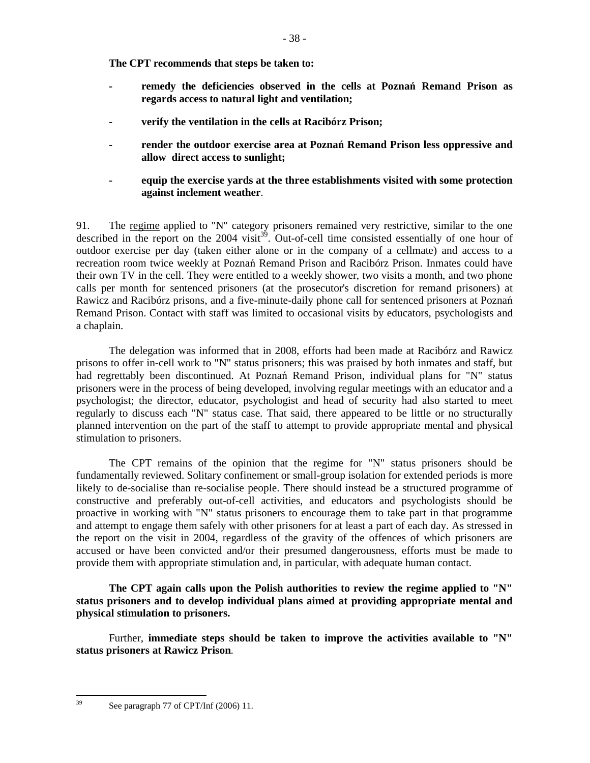**The CPT recommends that steps be taken to:** 

- **remedy the deficiencies observed in the cells at Pozna**ń **Remand Prison as regards access to natural light and ventilation;**
- **verify the ventilation in the cells at Racibórz Prison;**
- **render the outdoor exercise area at Pozna**ń **Remand Prison less oppressive and allow direct access to sunlight;**
- **equip the exercise yards at the three establishments visited with some protection against inclement weather**.

91. The regime applied to "N" category prisoners remained very restrictive, similar to the one described in the report on the  $2004$  visit<sup>39</sup>. Out-of-cell time consisted essentially of one hour of outdoor exercise per day (taken either alone or in the company of a cellmate) and access to a recreation room twice weekly at Poznań Remand Prison and Racibórz Prison. Inmates could have their own TV in the cell. They were entitled to a weekly shower, two visits a month, and two phone calls per month for sentenced prisoners (at the prosecutor's discretion for remand prisoners) at Rawicz and Racibórz prisons, and a five-minute-daily phone call for sentenced prisoners at Poznań Remand Prison. Contact with staff was limited to occasional visits by educators, psychologists and a chaplain.

The delegation was informed that in 2008, efforts had been made at Racibórz and Rawicz prisons to offer in-cell work to "N" status prisoners; this was praised by both inmates and staff, but had regrettably been discontinued. At Poznań Remand Prison, individual plans for "N" status prisoners were in the process of being developed, involving regular meetings with an educator and a psychologist; the director, educator, psychologist and head of security had also started to meet regularly to discuss each "N" status case. That said, there appeared to be little or no structurally planned intervention on the part of the staff to attempt to provide appropriate mental and physical stimulation to prisoners.

 The CPT remains of the opinion that the regime for "N" status prisoners should be fundamentally reviewed. Solitary confinement or small-group isolation for extended periods is more likely to de-socialise than re-socialise people. There should instead be a structured programme of constructive and preferably out-of-cell activities, and educators and psychologists should be proactive in working with "N" status prisoners to encourage them to take part in that programme and attempt to engage them safely with other prisoners for at least a part of each day. As stressed in the report on the visit in 2004, regardless of the gravity of the offences of which prisoners are accused or have been convicted and/or their presumed dangerousness, efforts must be made to provide them with appropriate stimulation and, in particular, with adequate human contact.

**The CPT again calls upon the Polish authorities to review the regime applied to "N" status prisoners and to develop individual plans aimed at providing appropriate mental and physical stimulation to prisoners.** 

Further, **immediate steps should be taken to improve the activities available to "N" status prisoners at Rawicz Prison**.

39

See paragraph 77 of CPT/Inf (2006) 11.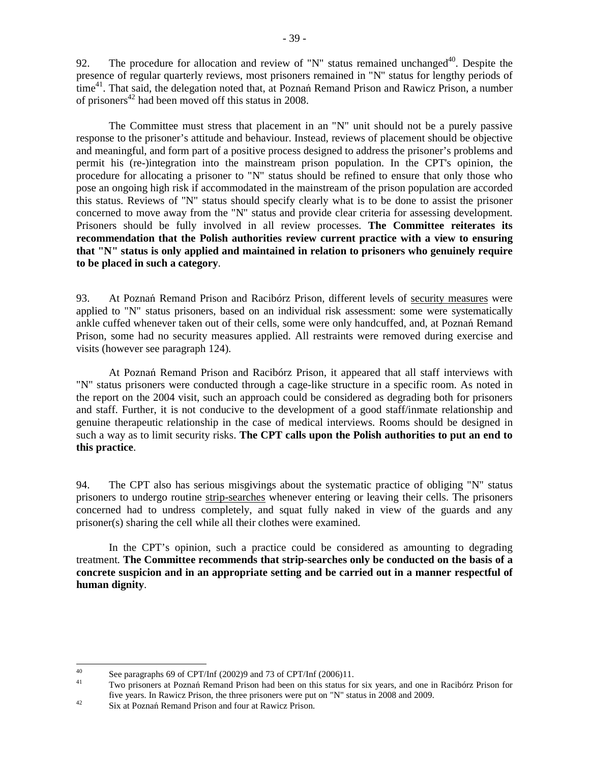92. The procedure for allocation and review of "N" status remained unchanged<sup>40</sup>. Despite the presence of regular quarterly reviews, most prisoners remained in "N" status for lengthy periods of  $time<sup>41</sup>$ . That said, the delegation noted that, at Poznań Remand Prison and Rawicz Prison, a number of prisoners<sup>42</sup> had been moved off this status in 2008.

The Committee must stress that placement in an "N" unit should not be a purely passive response to the prisoner's attitude and behaviour. Instead, reviews of placement should be objective and meaningful, and form part of a positive process designed to address the prisoner's problems and permit his (re-)integration into the mainstream prison population. In the CPT's opinion, the procedure for allocating a prisoner to "N" status should be refined to ensure that only those who pose an ongoing high risk if accommodated in the mainstream of the prison population are accorded this status. Reviews of "N" status should specify clearly what is to be done to assist the prisoner concerned to move away from the "N" status and provide clear criteria for assessing development. Prisoners should be fully involved in all review processes. **The Committee reiterates its recommendation that the Polish authorities review current practice with a view to ensuring that "N" status is only applied and maintained in relation to prisoners who genuinely require to be placed in such a category**.

93. At Poznań Remand Prison and Racibórz Prison, different levels of security measures were applied to "N" status prisoners, based on an individual risk assessment: some were systematically ankle cuffed whenever taken out of their cells, some were only handcuffed, and, at Poznań Remand Prison, some had no security measures applied. All restraints were removed during exercise and visits (however see paragraph 124).

At Poznań Remand Prison and Racibórz Prison, it appeared that all staff interviews with "N" status prisoners were conducted through a cage-like structure in a specific room. As noted in the report on the 2004 visit, such an approach could be considered as degrading both for prisoners and staff. Further, it is not conducive to the development of a good staff/inmate relationship and genuine therapeutic relationship in the case of medical interviews. Rooms should be designed in such a way as to limit security risks. **The CPT calls upon the Polish authorities to put an end to this practice**.

94. The CPT also has serious misgivings about the systematic practice of obliging "N" status prisoners to undergo routine strip-searches whenever entering or leaving their cells. The prisoners concerned had to undress completely, and squat fully naked in view of the guards and any prisoner(s) sharing the cell while all their clothes were examined.

In the CPT's opinion, such a practice could be considered as amounting to degrading treatment. **The Committee recommends that strip-searches only be conducted on the basis of a concrete suspicion and in an appropriate setting and be carried out in a manner respectful of human dignity**.

 $40<sup>2</sup>$ <sup>40</sup> See paragraphs 69 of CPT/Inf  $(2002)9$  and 73 of CPT/Inf  $(2006)11$ .

<sup>41</sup> Two prisoners at Poznań Remand Prison had been on this status for six years, and one in Racibórz Prison for five years. In Rawicz Prison, the three prisoners were put on "N" status in 2008 and 2009.

<sup>42</sup> Six at Poznań Remand Prison and four at Rawicz Prison.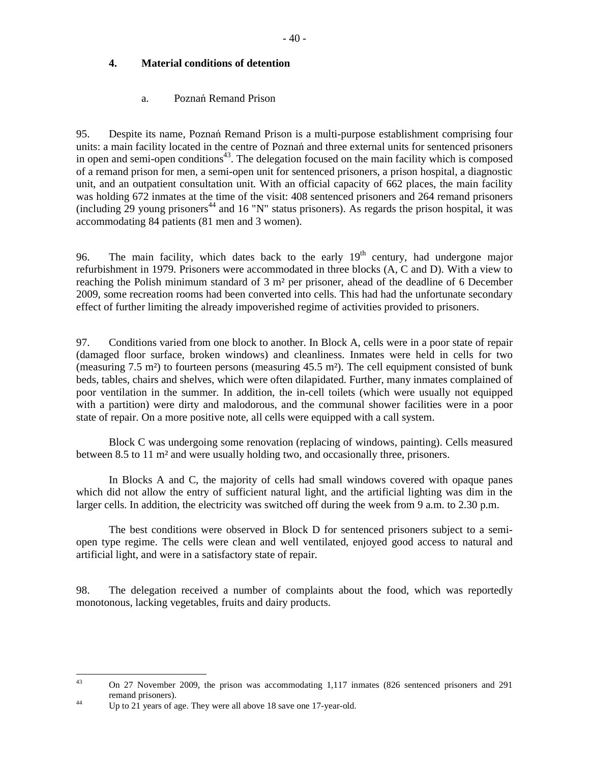# **4. Material conditions of detention**

# a. Poznań Remand Prison

95. Despite its name, Poznań Remand Prison is a multi-purpose establishment comprising four units: a main facility located in the centre of Poznań and three external units for sentenced prisoners in open and semi-open conditions<sup>43</sup>. The delegation focused on the main facility which is composed of a remand prison for men, a semi-open unit for sentenced prisoners, a prison hospital, a diagnostic unit, and an outpatient consultation unit. With an official capacity of 662 places, the main facility was holding 672 inmates at the time of the visit: 408 sentenced prisoners and 264 remand prisoners (including  $\overline{29}$  young prisoners<sup>44</sup> and 16 "N" status prisoners). As regards the prison hospital, it was accommodating 84 patients (81 men and 3 women).

96. The main facility, which dates back to the early  $19<sup>th</sup>$  century, had undergone major refurbishment in 1979. Prisoners were accommodated in three blocks (A, C and D). With a view to reaching the Polish minimum standard of 3 m² per prisoner, ahead of the deadline of 6 December 2009, some recreation rooms had been converted into cells. This had had the unfortunate secondary effect of further limiting the already impoverished regime of activities provided to prisoners.

97. Conditions varied from one block to another. In Block A, cells were in a poor state of repair (damaged floor surface, broken windows) and cleanliness. Inmates were held in cells for two (measuring 7.5 m<sup>2</sup>) to fourteen persons (measuring  $45.5$  m<sup>2</sup>). The cell equipment consisted of bunk beds, tables, chairs and shelves, which were often dilapidated. Further, many inmates complained of poor ventilation in the summer. In addition, the in-cell toilets (which were usually not equipped with a partition) were dirty and malodorous, and the communal shower facilities were in a poor state of repair. On a more positive note, all cells were equipped with a call system.

Block C was undergoing some renovation (replacing of windows, painting). Cells measured between 8.5 to 11 m² and were usually holding two, and occasionally three, prisoners.

 In Blocks A and C, the majority of cells had small windows covered with opaque panes which did not allow the entry of sufficient natural light, and the artificial lighting was dim in the larger cells. In addition, the electricity was switched off during the week from 9 a.m. to 2.30 p.m.

 The best conditions were observed in Block D for sentenced prisoners subject to a semiopen type regime. The cells were clean and well ventilated, enjoyed good access to natural and artificial light, and were in a satisfactory state of repair.

98. The delegation received a number of complaints about the food, which was reportedly monotonous, lacking vegetables, fruits and dairy products.

 $43$ <sup>43</sup> On 27 November 2009, the prison was accommodating 1,117 inmates (826 sentenced prisoners and 291 remand prisoners).

<sup>&</sup>lt;sup>44</sup> Up to 21 years of age. They were all above 18 save one 17-year-old.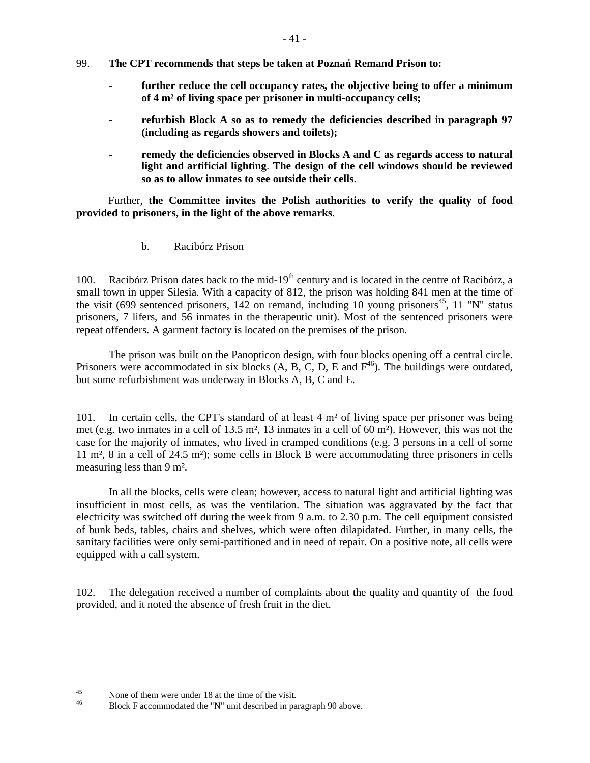- 99. **The CPT recommends that steps be taken at Pozna**ń **Remand Prison to:** 
	- further reduce the cell occupancy rates, the objective being to offer a minimum **of 4 m² of living space per prisoner in multi-occupancy cells;**
	- **refurbish Block A so as to remedy the deficiencies described in paragraph 97 (including as regards showers and toilets);**
	- remedy the deficiencies observed in Blocks A and C as regards access to natural **light and artificial lighting**. **The design of the cell windows should be reviewed so as to allow inmates to see outside their cells**.

Further, **the Committee invites the Polish authorities to verify the quality of food provided to prisoners, in the light of the above remarks**.

b. Racibórz Prison

100. Racibórz Prison dates back to the mid-19<sup>th</sup> century and is located in the centre of Racibórz, a small town in upper Silesia. With a capacity of 812, the prison was holding 841 men at the time of the visit (699 sentenced prisoners, 142 on remand, including 10 young prisoners<sup>45</sup>, 11 "N" status prisoners, 7 lifers, and 56 inmates in the therapeutic unit). Most of the sentenced prisoners were repeat offenders. A garment factory is located on the premises of the prison.

The prison was built on the Panopticon design, with four blocks opening off a central circle. Prisoners were accommodated in six blocks  $(A, B, C, D, E$  and  $F<sup>46</sup>$ ). The buildings were outdated, but some refurbishment was underway in Blocks A, B, C and E.

101. In certain cells, the CPT's standard of at least 4 m² of living space per prisoner was being met (e.g. two inmates in a cell of 13.5 m², 13 inmates in a cell of 60 m²). However, this was not the case for the majority of inmates, who lived in cramped conditions (e.g. 3 persons in a cell of some 11 m², 8 in a cell of 24.5 m²); some cells in Block B were accommodating three prisoners in cells measuring less than 9 m².

In all the blocks, cells were clean; however, access to natural light and artificial lighting was insufficient in most cells, as was the ventilation. The situation was aggravated by the fact that electricity was switched off during the week from 9 a.m. to 2.30 p.m. The cell equipment consisted of bunk beds, tables, chairs and shelves, which were often dilapidated. Further, in many cells, the sanitary facilities were only semi-partitioned and in need of repair. On a positive note, all cells were equipped with a call system.

102. The delegation received a number of complaints about the quality and quantity of the food provided, and it noted the absence of fresh fruit in the diet.

 $45$ <sup>45</sup> None of them were under 18 at the time of the visit.

Block F accommodated the "N" unit described in paragraph 90 above.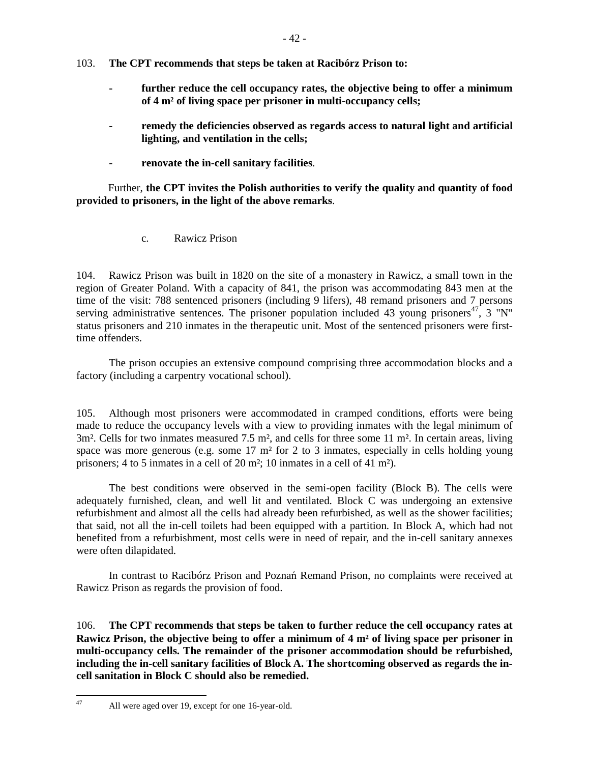- 103. **The CPT recommends that steps be taken at Racibórz Prison to:** 
	- **further reduce the cell occupancy rates, the objective being to offer a minimum of 4 m² of living space per prisoner in multi-occupancy cells;**
	- **remedy the deficiencies observed as regards access to natural light and artificial lighting, and ventilation in the cells;**
	- **renovate the in-cell sanitary facilities**.

Further, **the CPT invites the Polish authorities to verify the quality and quantity of food provided to prisoners, in the light of the above remarks**.

c. Rawicz Prison

104. Rawicz Prison was built in 1820 on the site of a monastery in Rawicz, a small town in the region of Greater Poland. With a capacity of 841, the prison was accommodating 843 men at the time of the visit: 788 sentenced prisoners (including 9 lifers), 48 remand prisoners and 7 persons serving administrative sentences. The prisoner population included 43 young prisoners<sup>47</sup>, 3 "N" status prisoners and 210 inmates in the therapeutic unit. Most of the sentenced prisoners were firsttime offenders.

 The prison occupies an extensive compound comprising three accommodation blocks and a factory (including a carpentry vocational school).

105. Although most prisoners were accommodated in cramped conditions, efforts were being made to reduce the occupancy levels with a view to providing inmates with the legal minimum of 3m². Cells for two inmates measured 7.5 m², and cells for three some 11 m². In certain areas, living space was more generous (e.g. some  $17 \text{ m}^2$  for 2 to 3 inmates, especially in cells holding young prisoners; 4 to 5 inmates in a cell of 20 m²; 10 inmates in a cell of 41 m²).

The best conditions were observed in the semi-open facility (Block B). The cells were adequately furnished, clean, and well lit and ventilated. Block C was undergoing an extensive refurbishment and almost all the cells had already been refurbished, as well as the shower facilities; that said, not all the in-cell toilets had been equipped with a partition. In Block A, which had not benefited from a refurbishment, most cells were in need of repair, and the in-cell sanitary annexes were often dilapidated.

In contrast to Racibórz Prison and Poznań Remand Prison, no complaints were received at Rawicz Prison as regards the provision of food.

106. **The CPT recommends that steps be taken to further reduce the cell occupancy rates at Rawicz Prison, the objective being to offer a minimum of 4 m² of living space per prisoner in multi-occupancy cells. The remainder of the prisoner accommodation should be refurbished, including the in-cell sanitary facilities of Block A. The shortcoming observed as regards the incell sanitation in Block C should also be remedied.**

47

All were aged over 19, except for one 16-year-old.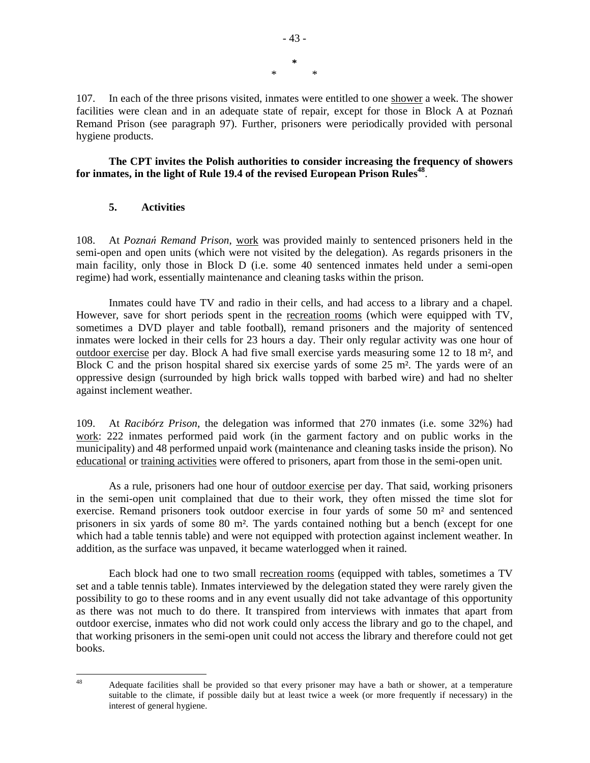**\***  \* \*

107. In each of the three prisons visited, inmates were entitled to one shower a week. The shower facilities were clean and in an adequate state of repair, except for those in Block A at Poznań Remand Prison (see paragraph 97). Further, prisoners were periodically provided with personal hygiene products.

**The CPT invites the Polish authorities to consider increasing the frequency of showers for inmates, in the light of Rule 19.4 of the revised European Prison Rules<sup>48</sup>** .

# **5. Activities**

108. At *Pozna*ń *Remand Prison*, work was provided mainly to sentenced prisoners held in the semi-open and open units (which were not visited by the delegation). As regards prisoners in the main facility, only those in Block D (i.e. some 40 sentenced inmates held under a semi-open regime) had work, essentially maintenance and cleaning tasks within the prison.

Inmates could have TV and radio in their cells, and had access to a library and a chapel. However, save for short periods spent in the recreation rooms (which were equipped with TV, sometimes a DVD player and table football), remand prisoners and the majority of sentenced inmates were locked in their cells for 23 hours a day. Their only regular activity was one hour of outdoor exercise per day. Block A had five small exercise yards measuring some 12 to 18 m², and Block C and the prison hospital shared six exercise yards of some 25 m². The yards were of an oppressive design (surrounded by high brick walls topped with barbed wire) and had no shelter against inclement weather.

109. At *Racibórz Prison*, the delegation was informed that 270 inmates (i.e. some 32%) had work: 222 inmates performed paid work (in the garment factory and on public works in the municipality) and 48 performed unpaid work (maintenance and cleaning tasks inside the prison). No educational or training activities were offered to prisoners, apart from those in the semi-open unit.

As a rule, prisoners had one hour of <u>outdoor exercise</u> per day. That said, working prisoners in the semi-open unit complained that due to their work, they often missed the time slot for exercise. Remand prisoners took outdoor exercise in four yards of some 50 m² and sentenced prisoners in six yards of some 80 m². The yards contained nothing but a bench (except for one which had a table tennis table) and were not equipped with protection against inclement weather. In addition, as the surface was unpaved, it became waterlogged when it rained.

Each block had one to two small recreation rooms (equipped with tables, sometimes a TV set and a table tennis table). Inmates interviewed by the delegation stated they were rarely given the possibility to go to these rooms and in any event usually did not take advantage of this opportunity as there was not much to do there. It transpired from interviews with inmates that apart from outdoor exercise, inmates who did not work could only access the library and go to the chapel, and that working prisoners in the semi-open unit could not access the library and therefore could not get books.

<sup>48</sup> 

Adequate facilities shall be provided so that every prisoner may have a bath or shower, at a temperature suitable to the climate, if possible daily but at least twice a week (or more frequently if necessary) in the interest of general hygiene.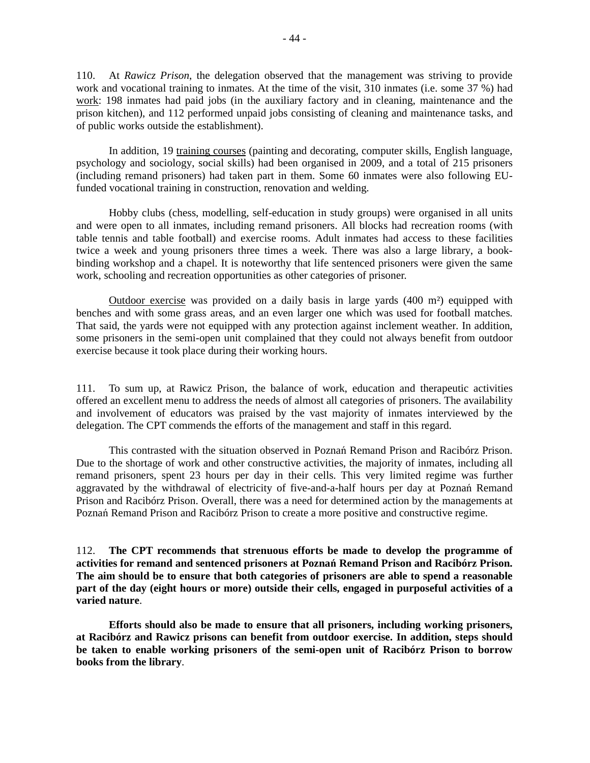110. At *Rawicz Prison*, the delegation observed that the management was striving to provide work and vocational training to inmates. At the time of the visit, 310 inmates (i.e. some 37 %) had work: 198 inmates had paid jobs (in the auxiliary factory and in cleaning, maintenance and the prison kitchen), and 112 performed unpaid jobs consisting of cleaning and maintenance tasks, and of public works outside the establishment).

 In addition, 19 training courses (painting and decorating, computer skills, English language, psychology and sociology, social skills) had been organised in 2009, and a total of 215 prisoners (including remand prisoners) had taken part in them. Some 60 inmates were also following EUfunded vocational training in construction, renovation and welding.

 Hobby clubs (chess, modelling, self-education in study groups) were organised in all units and were open to all inmates, including remand prisoners. All blocks had recreation rooms (with table tennis and table football) and exercise rooms. Adult inmates had access to these facilities twice a week and young prisoners three times a week. There was also a large library, a bookbinding workshop and a chapel. It is noteworthy that life sentenced prisoners were given the same work, schooling and recreation opportunities as other categories of prisoner.

Outdoor exercise was provided on a daily basis in large yards (400 m²) equipped with benches and with some grass areas, and an even larger one which was used for football matches. That said, the yards were not equipped with any protection against inclement weather. In addition, some prisoners in the semi-open unit complained that they could not always benefit from outdoor exercise because it took place during their working hours.

111. To sum up, at Rawicz Prison, the balance of work, education and therapeutic activities offered an excellent menu to address the needs of almost all categories of prisoners. The availability and involvement of educators was praised by the vast majority of inmates interviewed by the delegation. The CPT commends the efforts of the management and staff in this regard.

 This contrasted with the situation observed in Poznań Remand Prison and Racibórz Prison. Due to the shortage of work and other constructive activities, the majority of inmates, including all remand prisoners, spent 23 hours per day in their cells. This very limited regime was further aggravated by the withdrawal of electricity of five-and-a-half hours per day at Poznań Remand Prison and Racibórz Prison. Overall, there was a need for determined action by the managements at Poznań Remand Prison and Racibórz Prison to create a more positive and constructive regime.

112. **The CPT recommends that strenuous efforts be made to develop the programme of activities for remand and sentenced prisoners at Pozna**ń **Remand Prison and Racibórz Prison. The aim should be to ensure that both categories of prisoners are able to spend a reasonable part of the day (eight hours or more) outside their cells, engaged in purposeful activities of a varied nature**.

**Efforts should also be made to ensure that all prisoners, including working prisoners, at Racibórz and Rawicz prisons can benefit from outdoor exercise. In addition, steps should be taken to enable working prisoners of the semi-open unit of Racibórz Prison to borrow books from the library**.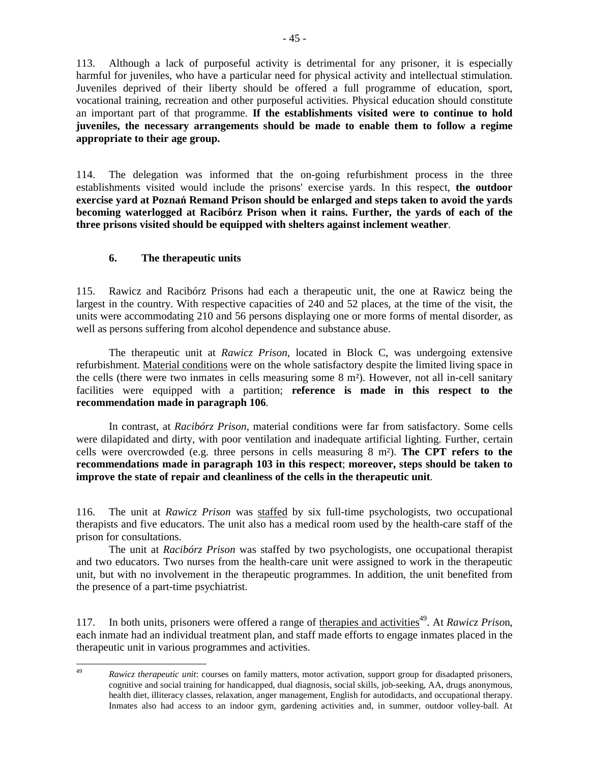113. Although a lack of purposeful activity is detrimental for any prisoner, it is especially harmful for juveniles, who have a particular need for physical activity and intellectual stimulation. Juveniles deprived of their liberty should be offered a full programme of education, sport, vocational training, recreation and other purposeful activities. Physical education should constitute an important part of that programme. **If the establishments visited were to continue to hold juveniles, the necessary arrangements should be made to enable them to follow a regime appropriate to their age group.** 

114. The delegation was informed that the on-going refurbishment process in the three establishments visited would include the prisons' exercise yards. In this respect, **the outdoor exercise yard at Pozna**ń **Remand Prison should be enlarged and steps taken to avoid the yards becoming waterlogged at Racibórz Prison when it rains. Further, the yards of each of the three prisons visited should be equipped with shelters against inclement weather**.

# **6. The therapeutic units**

115. Rawicz and Racibórz Prisons had each a therapeutic unit, the one at Rawicz being the largest in the country. With respective capacities of 240 and 52 places, at the time of the visit, the units were accommodating 210 and 56 persons displaying one or more forms of mental disorder, as well as persons suffering from alcohol dependence and substance abuse.

 The therapeutic unit at *Rawicz Prison*, located in Block C, was undergoing extensive refurbishment. Material conditions were on the whole satisfactory despite the limited living space in the cells (there were two inmates in cells measuring some 8 m²). However, not all in-cell sanitary facilities were equipped with a partition; **reference is made in this respect to the recommendation made in paragraph 106**.

 In contrast, at *Racibórz Prison*, material conditions were far from satisfactory. Some cells were dilapidated and dirty, with poor ventilation and inadequate artificial lighting. Further, certain cells were overcrowded (e.g. three persons in cells measuring 8 m²). **The CPT refers to the recommendations made in paragraph 103 in this respect**; **moreover, steps should be taken to improve the state of repair and cleanliness of the cells in the therapeutic unit**.

116. The unit at *Rawicz Prison* was staffed by six full-time psychologists, two occupational therapists and five educators. The unit also has a medical room used by the health-care staff of the prison for consultations.

The unit at *Racibórz Prison* was staffed by two psychologists, one occupational therapist and two educators. Two nurses from the health-care unit were assigned to work in the therapeutic unit, but with no involvement in the therapeutic programmes. In addition, the unit benefited from the presence of a part-time psychiatrist.

117. In both units, prisoners were offered a range of therapies and activities<sup>49</sup>. At *Rawicz Prison*, each inmate had an individual treatment plan, and staff made efforts to engage inmates placed in the therapeutic unit in various programmes and activities.

<sup>&</sup>lt;sup>-</sup><br>49 *Rawicz therapeutic unit*: courses on family matters, motor activation, support group for disadapted prisoners, cognitive and social training for handicapped, dual diagnosis, social skills, job-seeking, AA, drugs anonymous, health diet, illiteracy classes, relaxation, anger management, English for autodidacts, and occupational therapy. Inmates also had access to an indoor gym, gardening activities and, in summer, outdoor volley-ball. At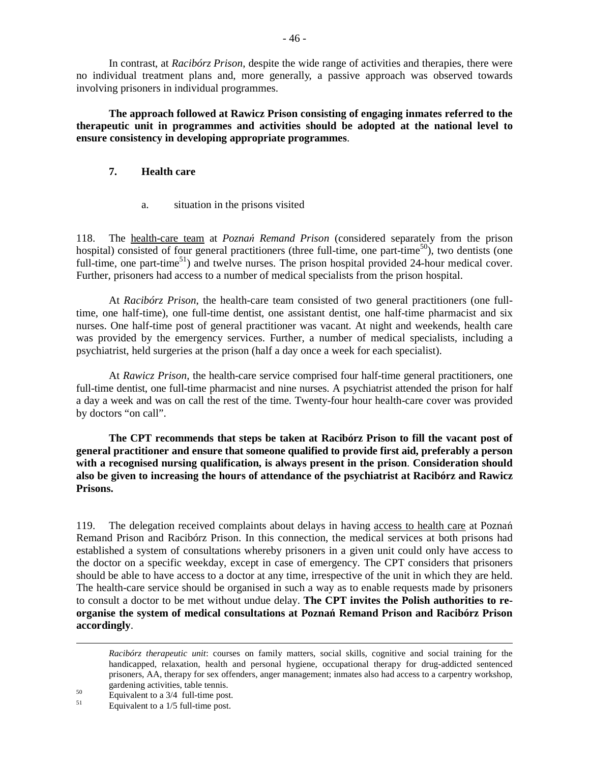In contrast, at *Racibórz Prison*, despite the wide range of activities and therapies, there were no individual treatment plans and, more generally, a passive approach was observed towards involving prisoners in individual programmes.

**The approach followed at Rawicz Prison consisting of engaging inmates referred to the therapeutic unit in programmes and activities should be adopted at the national level to ensure consistency in developing appropriate programmes**.

## **7. Health care**

a. situation in the prisons visited

118. The health-care team at *Pozna*ń *Remand Prison* (considered separately from the prison hospital) consisted of four general practitioners (three full-time, one part-time<sup>50</sup>), two dentists (one full-time, one part-time<sup>51</sup>) and twelve nurses. The prison hospital provided 24-hour medical cover. Further, prisoners had access to a number of medical specialists from the prison hospital.

At *Racibórz Prison*, the health-care team consisted of two general practitioners (one fulltime, one half-time), one full-time dentist, one assistant dentist, one half-time pharmacist and six nurses. One half-time post of general practitioner was vacant. At night and weekends, health care was provided by the emergency services. Further, a number of medical specialists, including a psychiatrist, held surgeries at the prison (half a day once a week for each specialist).

At *Rawicz Prison*, the health-care service comprised four half-time general practitioners, one full-time dentist, one full-time pharmacist and nine nurses. A psychiatrist attended the prison for half a day a week and was on call the rest of the time. Twenty-four hour health-care cover was provided by doctors "on call".

**The CPT recommends that steps be taken at Racibórz Prison to fill the vacant post of general practitioner and ensure that someone qualified to provide first aid, preferably a person with a recognised nursing qualification, is always present in the prison**. **Consideration should also be given to increasing the hours of attendance of the psychiatrist at Racibórz and Rawicz Prisons.** 

119. The delegation received complaints about delays in having access to health care at Poznań Remand Prison and Racibórz Prison. In this connection, the medical services at both prisons had established a system of consultations whereby prisoners in a given unit could only have access to the doctor on a specific weekday, except in case of emergency. The CPT considers that prisoners should be able to have access to a doctor at any time, irrespective of the unit in which they are held. The health-care service should be organised in such a way as to enable requests made by prisoners to consult a doctor to be met without undue delay. **The CPT invites the Polish authorities to reorganise the system of medical consultations at Pozna**ń **Remand Prison and Racibórz Prison accordingly**.

*Racibórz therapeutic unit*: courses on family matters, social skills, cognitive and social training for the handicapped, relaxation, health and personal hygiene, occupational therapy for drug-addicted sentenced prisoners, AA, therapy for sex offenders, anger management; inmates also had access to a carpentry workshop, gardening activities, table tennis.

 $\ddot{\phantom{a}}$ 

 $^{50}$  Equivalent to a 3/4 full-time post.

Equivalent to a 1/5 full-time post.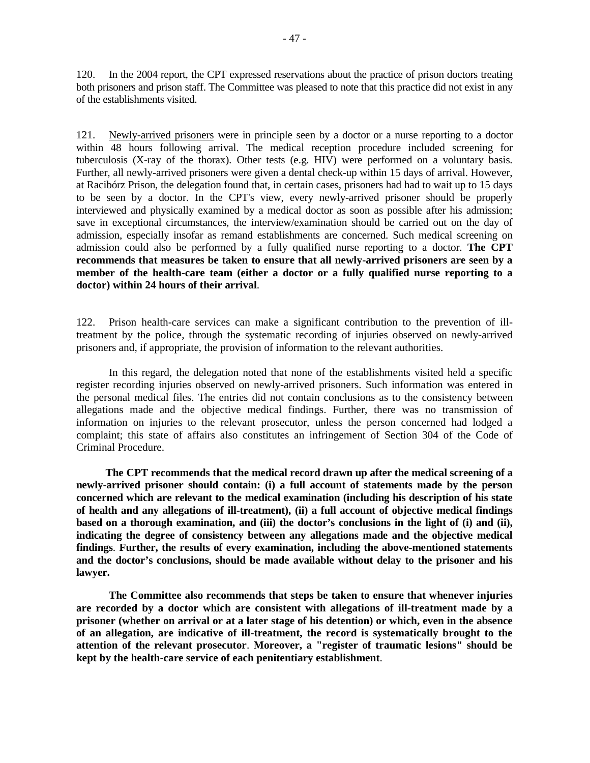120. In the 2004 report, the CPT expressed reservations about the practice of prison doctors treating both prisoners and prison staff. The Committee was pleased to note that this practice did not exist in any of the establishments visited.

121. Newly-arrived prisoners were in principle seen by a doctor or a nurse reporting to a doctor within 48 hours following arrival. The medical reception procedure included screening for tuberculosis (X-ray of the thorax). Other tests (e.g. HIV) were performed on a voluntary basis. Further, all newly-arrived prisoners were given a dental check-up within 15 days of arrival. However, at Racibórz Prison, the delegation found that, in certain cases, prisoners had had to wait up to 15 days to be seen by a doctor. In the CPT's view, every newly-arrived prisoner should be properly interviewed and physically examined by a medical doctor as soon as possible after his admission; save in exceptional circumstances, the interview/examination should be carried out on the day of admission, especially insofar as remand establishments are concerned. Such medical screening on admission could also be performed by a fully qualified nurse reporting to a doctor. **The CPT recommends that measures be taken to ensure that all newly-arrived prisoners are seen by a member of the health-care team (either a doctor or a fully qualified nurse reporting to a doctor) within 24 hours of their arrival**.

122. Prison health-care services can make a significant contribution to the prevention of illtreatment by the police, through the systematic recording of injuries observed on newly-arrived prisoners and, if appropriate, the provision of information to the relevant authorities.

In this regard, the delegation noted that none of the establishments visited held a specific register recording injuries observed on newly-arrived prisoners. Such information was entered in the personal medical files. The entries did not contain conclusions as to the consistency between allegations made and the objective medical findings. Further, there was no transmission of information on injuries to the relevant prosecutor, unless the person concerned had lodged a complaint; this state of affairs also constitutes an infringement of Section 304 of the Code of Criminal Procedure.

**The CPT recommends that the medical record drawn up after the medical screening of a newly-arrived prisoner should contain: (i) a full account of statements made by the person concerned which are relevant to the medical examination (including his description of his state of health and any allegations of ill-treatment), (ii) a full account of objective medical findings based on a thorough examination, and (iii) the doctor's conclusions in the light of (i) and (ii), indicating the degree of consistency between any allegations made and the objective medical findings**. **Further, the results of every examination, including the above-mentioned statements and the doctor's conclusions, should be made available without delay to the prisoner and his lawyer.** 

**The Committee also recommends that steps be taken to ensure that whenever injuries are recorded by a doctor which are consistent with allegations of ill-treatment made by a prisoner (whether on arrival or at a later stage of his detention) or which, even in the absence of an allegation, are indicative of ill-treatment, the record is systematically brought to the attention of the relevant prosecutor**. **Moreover, a "register of traumatic lesions" should be kept by the health-care service of each penitentiary establishment**.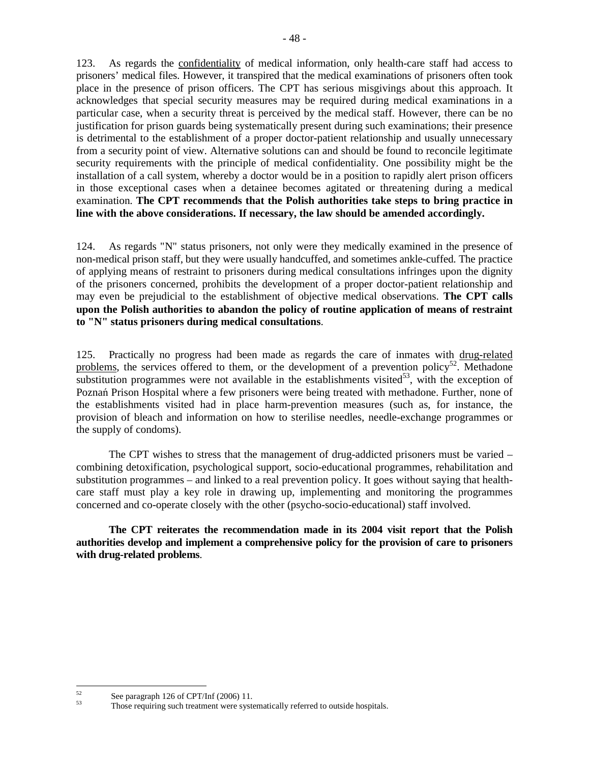123. As regards the confidentiality of medical information, only health-care staff had access to prisoners' medical files. However, it transpired that the medical examinations of prisoners often took place in the presence of prison officers. The CPT has serious misgivings about this approach. It acknowledges that special security measures may be required during medical examinations in a particular case, when a security threat is perceived by the medical staff. However, there can be no justification for prison guards being systematically present during such examinations; their presence is detrimental to the establishment of a proper doctor-patient relationship and usually unnecessary from a security point of view. Alternative solutions can and should be found to reconcile legitimate security requirements with the principle of medical confidentiality. One possibility might be the installation of a call system, whereby a doctor would be in a position to rapidly alert prison officers in those exceptional cases when a detainee becomes agitated or threatening during a medical examination. **The CPT recommends that the Polish authorities take steps to bring practice in line with the above considerations. If necessary, the law should be amended accordingly.** 

124. As regards "N" status prisoners, not only were they medically examined in the presence of non-medical prison staff, but they were usually handcuffed, and sometimes ankle-cuffed. The practice of applying means of restraint to prisoners during medical consultations infringes upon the dignity of the prisoners concerned, prohibits the development of a proper doctor-patient relationship and may even be prejudicial to the establishment of objective medical observations. **The CPT calls upon the Polish authorities to abandon the policy of routine application of means of restraint to "N" status prisoners during medical consultations**.

125. Practically no progress had been made as regards the care of inmates with drug-related problems, the services offered to them, or the development of a prevention policy<sup>52</sup>. Methadone substitution programmes were not available in the establishments visited<sup>53</sup>, with the exception of Poznań Prison Hospital where a few prisoners were being treated with methadone. Further, none of the establishments visited had in place harm-prevention measures (such as, for instance, the provision of bleach and information on how to sterilise needles, needle-exchange programmes or the supply of condoms).

The CPT wishes to stress that the management of drug-addicted prisoners must be varied – combining detoxification, psychological support, socio-educational programmes, rehabilitation and substitution programmes – and linked to a real prevention policy. It goes without saying that healthcare staff must play a key role in drawing up, implementing and monitoring the programmes concerned and co-operate closely with the other (psycho-socio-educational) staff involved.

 **The CPT reiterates the recommendation made in its 2004 visit report that the Polish authorities develop and implement a comprehensive policy for the provision of care to prisoners with drug-related problems**.

 $52$  $5<sup>52</sup>$  See paragraph 126 of CPT/Inf (2006) 11.

Those requiring such treatment were systematically referred to outside hospitals.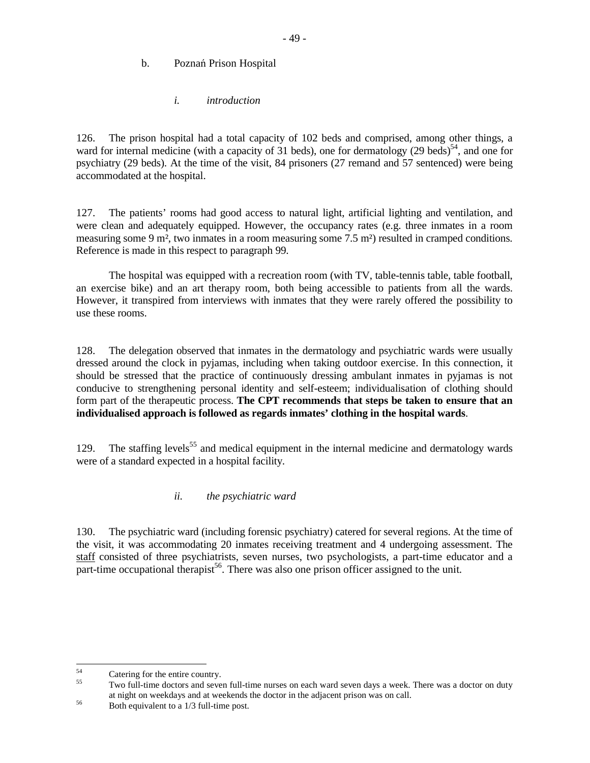# b. Poznań Prison Hospital

# *i. introduction*

126. The prison hospital had a total capacity of 102 beds and comprised, among other things, a ward for internal medicine (with a capacity of 31 beds), one for dermatology (29 beds)<sup>54</sup>, and one for psychiatry (29 beds). At the time of the visit, 84 prisoners (27 remand and 57 sentenced) were being accommodated at the hospital.

127. The patients' rooms had good access to natural light, artificial lighting and ventilation, and were clean and adequately equipped. However, the occupancy rates (e.g. three inmates in a room measuring some 9 m<sup>2</sup>, two inmates in a room measuring some 7.5 m<sup>2</sup>) resulted in cramped conditions. Reference is made in this respect to paragraph 99.

 The hospital was equipped with a recreation room (with TV, table-tennis table, table football, an exercise bike) and an art therapy room, both being accessible to patients from all the wards. However, it transpired from interviews with inmates that they were rarely offered the possibility to use these rooms.

128. The delegation observed that inmates in the dermatology and psychiatric wards were usually dressed around the clock in pyjamas, including when taking outdoor exercise. In this connection, it should be stressed that the practice of continuously dressing ambulant inmates in pyjamas is not conducive to strengthening personal identity and self-esteem; individualisation of clothing should form part of the therapeutic process. **The CPT recommends that steps be taken to ensure that an individualised approach is followed as regards inmates' clothing in the hospital wards**.

129. The staffing levels<sup>55</sup> and medical equipment in the internal medicine and dermatology wards were of a standard expected in a hospital facility.

## *ii. the psychiatric ward*

130. The psychiatric ward (including forensic psychiatry) catered for several regions. At the time of the visit, it was accommodating 20 inmates receiving treatment and 4 undergoing assessment. The staff consisted of three psychiatrists, seven nurses, two psychologists, a part-time educator and a part-time occupational therapist<sup>56</sup>. There was also one prison officer assigned to the unit.

<sup>54</sup>  $^{54}$  Catering for the entire country.

Two full-time doctors and seven full-time nurses on each ward seven days a week. There was a doctor on duty at night on weekdays and at weekends the doctor in the adjacent prison was on call.

<sup>56</sup> Both equivalent to a 1/3 full-time post.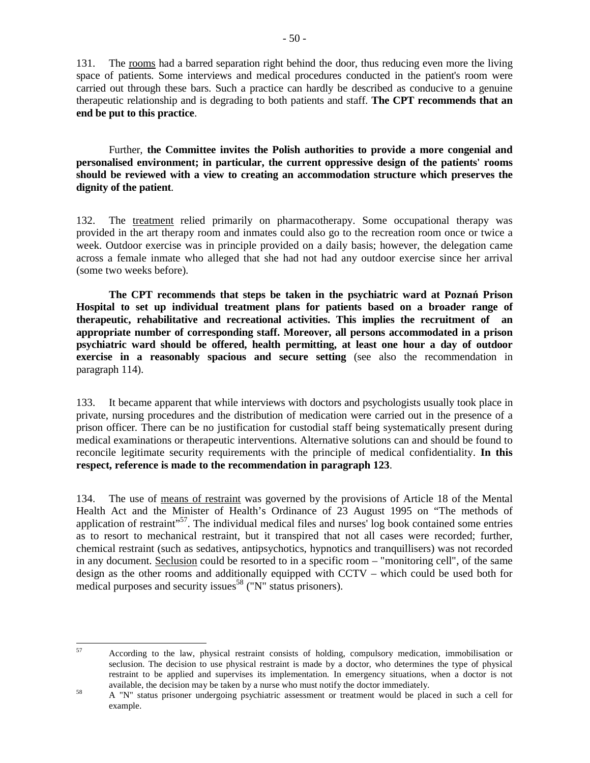131. The rooms had a barred separation right behind the door, thus reducing even more the living space of patients. Some interviews and medical procedures conducted in the patient's room were carried out through these bars. Such a practice can hardly be described as conducive to a genuine therapeutic relationship and is degrading to both patients and staff. **The CPT recommends that an end be put to this practice**.

Further, **the Committee invites the Polish authorities to provide a more congenial and personalised environment; in particular, the current oppressive design of the patients' rooms should be reviewed with a view to creating an accommodation structure which preserves the dignity of the patient**.

132. The treatment relied primarily on pharmacotherapy. Some occupational therapy was provided in the art therapy room and inmates could also go to the recreation room once or twice a week. Outdoor exercise was in principle provided on a daily basis; however, the delegation came across a female inmate who alleged that she had not had any outdoor exercise since her arrival (some two weeks before).

**The CPT recommends that steps be taken in the psychiatric ward at Pozna**ń **Prison Hospital to set up individual treatment plans for patients based on a broader range of therapeutic, rehabilitative and recreational activities. This implies the recruitment of an appropriate number of corresponding staff. Moreover, all persons accommodated in a prison psychiatric ward should be offered, health permitting, at least one hour a day of outdoor exercise in a reasonably spacious and secure setting** (see also the recommendation in paragraph 114).

133. It became apparent that while interviews with doctors and psychologists usually took place in private, nursing procedures and the distribution of medication were carried out in the presence of a prison officer. There can be no justification for custodial staff being systematically present during medical examinations or therapeutic interventions. Alternative solutions can and should be found to reconcile legitimate security requirements with the principle of medical confidentiality. **In this respect, reference is made to the recommendation in paragraph 123**.

134. The use of means of restraint was governed by the provisions of Article 18 of the Mental Health Act and the Minister of Health's Ordinance of 23 August 1995 on "The methods of application of restraint<sup>57</sup>. The individual medical files and nurses' log book contained some entries as to resort to mechanical restraint, but it transpired that not all cases were recorded; further, chemical restraint (such as sedatives, antipsychotics, hypnotics and tranquillisers) was not recorded in any document. Seclusion could be resorted to in a specific room – "monitoring cell", of the same design as the other rooms and additionally equipped with CCTV – which could be used both for medical purposes and security issues<sup>58</sup> ("N" status prisoners).

<sup>57</sup> <sup>57</sup> According to the law, physical restraint consists of holding, compulsory medication, immobilisation or seclusion. The decision to use physical restraint is made by a doctor, who determines the type of physical restraint to be applied and supervises its implementation. In emergency situations, when a doctor is not available, the decision may be taken by a nurse who must notify the doctor immediately.

<sup>58</sup> A "N" status prisoner undergoing psychiatric assessment or treatment would be placed in such a cell for example.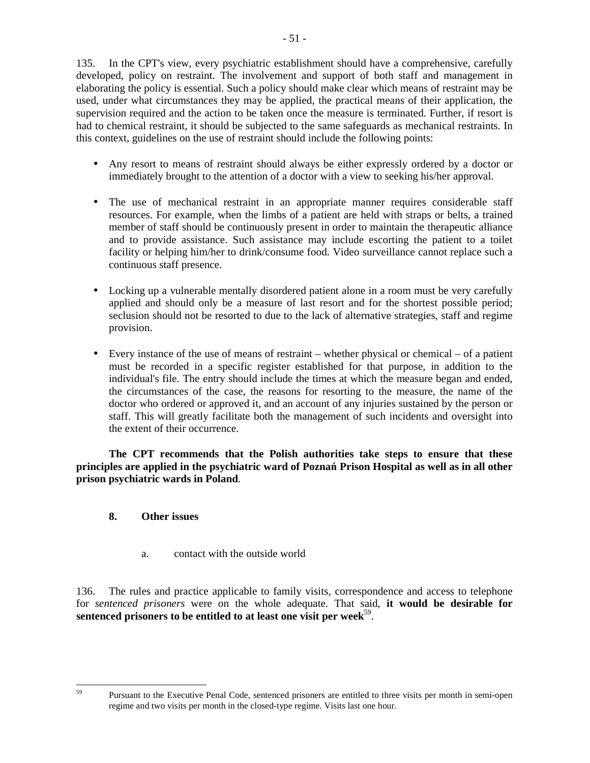135. In the CPT's view, every psychiatric establishment should have a comprehensive, carefully developed, policy on restraint. The involvement and support of both staff and management in elaborating the policy is essential. Such a policy should make clear which means of restraint may be used, under what circumstances they may be applied, the practical means of their application, the supervision required and the action to be taken once the measure is terminated. Further, if resort is had to chemical restraint, it should be subjected to the same safeguards as mechanical restraints. In this context, guidelines on the use of restraint should include the following points:

- Any resort to means of restraint should always be either expressly ordered by a doctor or immediately brought to the attention of a doctor with a view to seeking his/her approval.
- The use of mechanical restraint in an appropriate manner requires considerable staff resources. For example, when the limbs of a patient are held with straps or belts, a trained member of staff should be continuously present in order to maintain the therapeutic alliance and to provide assistance. Such assistance may include escorting the patient to a toilet facility or helping him/her to drink/consume food. Video surveillance cannot replace such a continuous staff presence.
- Locking up a vulnerable mentally disordered patient alone in a room must be very carefully applied and should only be a measure of last resort and for the shortest possible period; seclusion should not be resorted to due to the lack of alternative strategies, staff and regime provision.
- Every instance of the use of means of restraint whether physical or chemical of a patient must be recorded in a specific register established for that purpose, in addition to the individual's file. The entry should include the times at which the measure began and ended, the circumstances of the case, the reasons for resorting to the measure, the name of the doctor who ordered or approved it, and an account of any injuries sustained by the person or staff. This will greatly facilitate both the management of such incidents and oversight into the extent of their occurrence.

**The CPT recommends that the Polish authorities take steps to ensure that these principles are applied in the psychiatric ward of Pozna**ń **Prison Hospital as well as in all other prison psychiatric wards in Poland**.

# **8. Other issues**

a. contact with the outside world

136. The rules and practice applicable to family visits, correspondence and access to telephone for *sentenced prisoners* were on the whole adequate. That said, **it would be desirable for**  sentenced prisoners to be entitled to at least one visit per week<sup>59</sup>.

 $59$ 

Pursuant to the Executive Penal Code, sentenced prisoners are entitled to three visits per month in semi-open regime and two visits per month in the closed-type regime. Visits last one hour.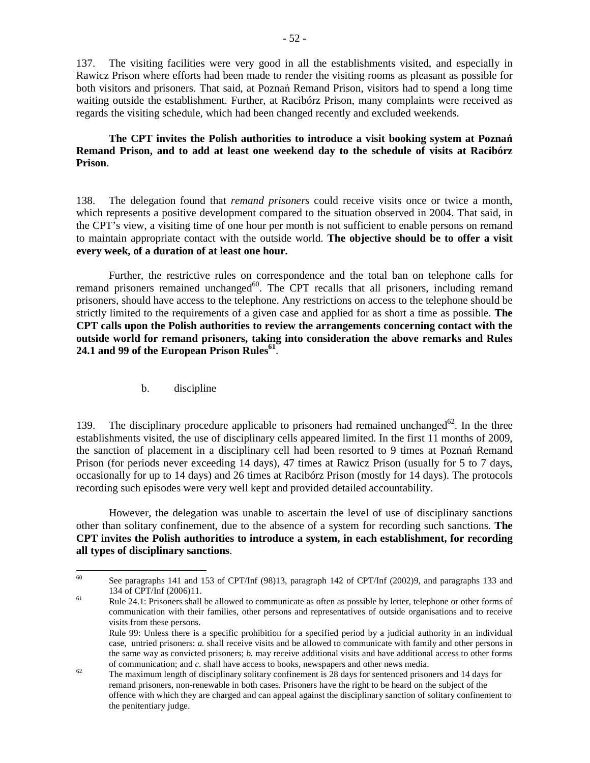137. The visiting facilities were very good in all the establishments visited, and especially in Rawicz Prison where efforts had been made to render the visiting rooms as pleasant as possible for both visitors and prisoners. That said, at Poznań Remand Prison, visitors had to spend a long time waiting outside the establishment. Further, at Racibórz Prison, many complaints were received as regards the visiting schedule, which had been changed recently and excluded weekends.

**The CPT invites the Polish authorities to introduce a visit booking system at Pozna**ń **Remand Prison, and to add at least one weekend day to the schedule of visits at Racibórz Prison**.

138. The delegation found that *remand prisoners* could receive visits once or twice a month, which represents a positive development compared to the situation observed in 2004. That said, in the CPT's view, a visiting time of one hour per month is not sufficient to enable persons on remand to maintain appropriate contact with the outside world. **The objective should be to offer a visit every week, of a duration of at least one hour.**

 Further, the restrictive rules on correspondence and the total ban on telephone calls for remand prisoners remained unchanged $^{60}$ . The CPT recalls that all prisoners, including remand prisoners, should have access to the telephone. Any restrictions on access to the telephone should be strictly limited to the requirements of a given case and applied for as short a time as possible. **The CPT calls upon the Polish authorities to review the arrangements concerning contact with the outside world for remand prisoners, taking into consideration the above remarks and Rules 24.1 and 99 of the European Prison Rules<sup>61</sup>** .

b. discipline

139. The disciplinary procedure applicable to prisoners had remained unchanged<sup>62</sup>. In the three establishments visited, the use of disciplinary cells appeared limited. In the first 11 months of 2009, the sanction of placement in a disciplinary cell had been resorted to 9 times at Poznań Remand Prison (for periods never exceeding 14 days), 47 times at Rawicz Prison (usually for 5 to 7 days, occasionally for up to 14 days) and 26 times at Racibórz Prison (mostly for 14 days). The protocols recording such episodes were very well kept and provided detailed accountability.

 However, the delegation was unable to ascertain the level of use of disciplinary sanctions other than solitary confinement, due to the absence of a system for recording such sanctions. **The CPT invites the Polish authorities to introduce a system, in each establishment, for recording all types of disciplinary sanctions**.

<sup>60</sup> <sup>60</sup> See paragraphs 141 and 153 of CPT/Inf (98)13, paragraph 142 of CPT/Inf (2002)9, and paragraphs 133 and 134 of CPT/Inf (2006)11.

<sup>&</sup>lt;sup>61</sup> Rule 24.1: Prisoners shall be allowed to communicate as often as possible by letter, telephone or other forms of communication with their families, other persons and representatives of outside organisations and to receive visits from these persons.

Rule 99: Unless there is a specific prohibition for a specified period by a judicial authority in an individual case, untried prisoners: *a.* shall receive visits and be allowed to communicate with family and other persons in the same way as convicted prisoners; *b.* may receive additional visits and have additional access to other forms of communication; and *c.* shall have access to books, newspapers and other news media.

<sup>&</sup>lt;sup>62</sup> The maximum length of disciplinary solitary confinement is 28 days for sentenced prisoners and 14 days for remand prisoners, non-renewable in both cases. Prisoners have the right to be heard on the subject of the offence with which they are charged and can appeal against the disciplinary sanction of solitary confinement to the penitentiary judge.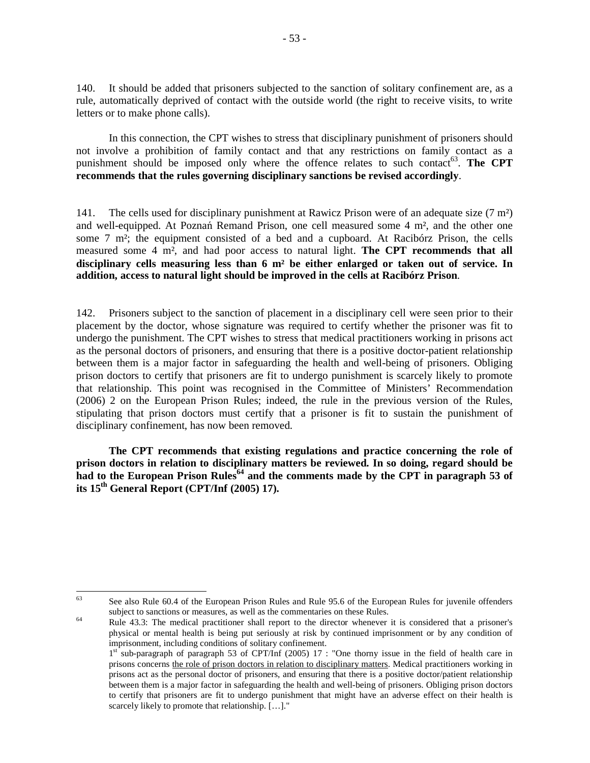140. It should be added that prisoners subjected to the sanction of solitary confinement are, as a rule, automatically deprived of contact with the outside world (the right to receive visits, to write letters or to make phone calls).

In this connection, the CPT wishes to stress that disciplinary punishment of prisoners should not involve a prohibition of family contact and that any restrictions on family contact as a punishment should be imposed only where the offence relates to such contact<sup>63</sup>. The CPT **recommends that the rules governing disciplinary sanctions be revised accordingly**.

141. The cells used for disciplinary punishment at Rawicz Prison were of an adequate size (7 m²) and well-equipped. At Poznań Remand Prison, one cell measured some 4 m², and the other one some 7 m<sup>2</sup>; the equipment consisted of a bed and a cupboard. At Racibórz Prison, the cells measured some 4 m², and had poor access to natural light. **The CPT recommends that all disciplinary cells measuring less than 6 m² be either enlarged or taken out of service. In addition, access to natural light should be improved in the cells at Racibórz Prison**.

142. Prisoners subject to the sanction of placement in a disciplinary cell were seen prior to their placement by the doctor, whose signature was required to certify whether the prisoner was fit to undergo the punishment. The CPT wishes to stress that medical practitioners working in prisons act as the personal doctors of prisoners, and ensuring that there is a positive doctor-patient relationship between them is a major factor in safeguarding the health and well-being of prisoners. Obliging prison doctors to certify that prisoners are fit to undergo punishment is scarcely likely to promote that relationship. This point was recognised in the Committee of Ministers' Recommendation (2006) 2 on the European Prison Rules; indeed, the rule in the previous version of the Rules, stipulating that prison doctors must certify that a prisoner is fit to sustain the punishment of disciplinary confinement, has now been removed.

**The CPT recommends that existing regulations and practice concerning the role of prison doctors in relation to disciplinary matters be reviewed. In so doing, regard should be had to the European Prison Rules<sup>64</sup> and the comments made by the CPT in paragraph 53 of its 15th General Report (CPT/Inf (2005) 17).** 

<sup>63</sup> See also Rule 60.4 of the European Prison Rules and Rule 95.6 of the European Rules for juvenile offenders subject to sanctions or measures, as well as the commentaries on these Rules.

<sup>&</sup>lt;sup>64</sup> Rule 43.3: The medical practitioner shall report to the director whenever it is considered that a prisoner's physical or mental health is being put seriously at risk by continued imprisonment or by any condition of imprisonment, including conditions of solitary confinement.

 $1<sup>st</sup>$  sub-paragraph of paragraph 53 of CPT/Inf (2005) 17 : "One thorny issue in the field of health care in prisons concerns the role of prison doctors in relation to disciplinary matters. Medical practitioners working in prisons act as the personal doctor of prisoners, and ensuring that there is a positive doctor/patient relationship between them is a major factor in safeguarding the health and well-being of prisoners. Obliging prison doctors to certify that prisoners are fit to undergo punishment that might have an adverse effect on their health is scarcely likely to promote that relationship. […]."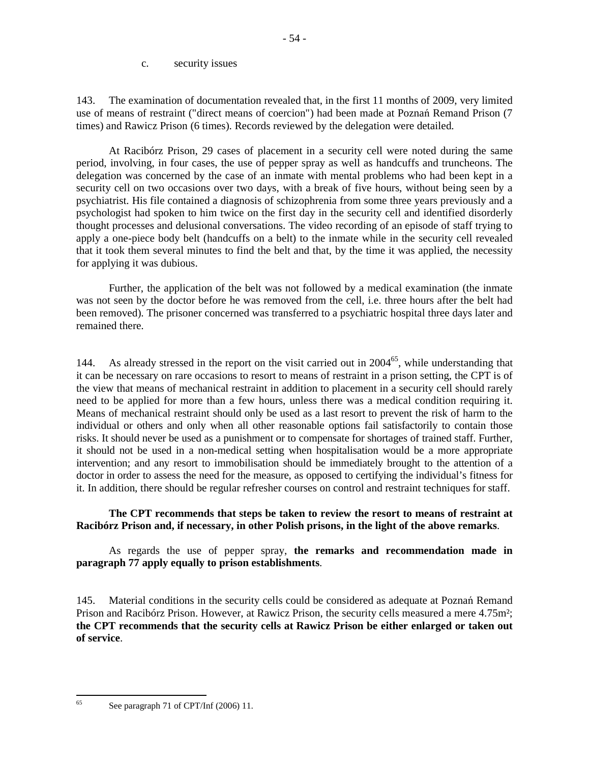c. security issues

143. The examination of documentation revealed that, in the first 11 months of 2009, very limited use of means of restraint ("direct means of coercion") had been made at Poznań Remand Prison (7 times) and Rawicz Prison (6 times). Records reviewed by the delegation were detailed.

At Racibórz Prison, 29 cases of placement in a security cell were noted during the same period, involving, in four cases, the use of pepper spray as well as handcuffs and truncheons. The delegation was concerned by the case of an inmate with mental problems who had been kept in a security cell on two occasions over two days, with a break of five hours, without being seen by a psychiatrist. His file contained a diagnosis of schizophrenia from some three years previously and a psychologist had spoken to him twice on the first day in the security cell and identified disorderly thought processes and delusional conversations. The video recording of an episode of staff trying to apply a one-piece body belt (handcuffs on a belt) to the inmate while in the security cell revealed that it took them several minutes to find the belt and that, by the time it was applied, the necessity for applying it was dubious.

Further, the application of the belt was not followed by a medical examination (the inmate was not seen by the doctor before he was removed from the cell, i.e. three hours after the belt had been removed). The prisoner concerned was transferred to a psychiatric hospital three days later and remained there.

144. As already stressed in the report on the visit carried out in  $2004^{65}$ , while understanding that it can be necessary on rare occasions to resort to means of restraint in a prison setting, the CPT is of the view that means of mechanical restraint in addition to placement in a security cell should rarely need to be applied for more than a few hours, unless there was a medical condition requiring it. Means of mechanical restraint should only be used as a last resort to prevent the risk of harm to the individual or others and only when all other reasonable options fail satisfactorily to contain those risks. It should never be used as a punishment or to compensate for shortages of trained staff. Further, it should not be used in a non-medical setting when hospitalisation would be a more appropriate intervention; and any resort to immobilisation should be immediately brought to the attention of a doctor in order to assess the need for the measure, as opposed to certifying the individual's fitness for it. In addition, there should be regular refresher courses on control and restraint techniques for staff.

## **The CPT recommends that steps be taken to review the resort to means of restraint at Racibórz Prison and, if necessary, in other Polish prisons, in the light of the above remarks**.

As regards the use of pepper spray, **the remarks and recommendation made in paragraph 77 apply equally to prison establishments**.

145. Material conditions in the security cells could be considered as adequate at Poznań Remand Prison and Racibórz Prison. However, at Rawicz Prison, the security cells measured a mere 4.75m²; **the CPT recommends that the security cells at Rawicz Prison be either enlarged or taken out of service**.

See paragraph 71 of CPT/Inf (2006) 11.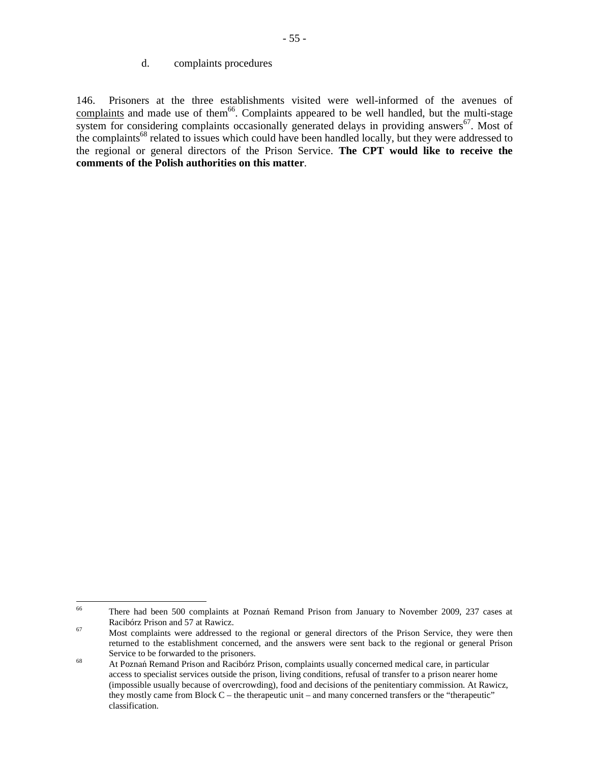#### d. complaints procedures

146. Prisoners at the three establishments visited were well-informed of the avenues of complaints and made use of them<sup>66</sup>. Complaints appeared to be well handled, but the multi-stage system for considering complaints occasionally generated delays in providing answers<sup>67</sup>. Most of the complaints<sup>68</sup> related to issues which could have been handled locally, but they were addressed to the regional or general directors of the Prison Service. **The CPT would like to receive the comments of the Polish authorities on this matter**.

<sup>66</sup> There had been 500 complaints at Poznań Remand Prison from January to November 2009, 237 cases at Racibórz Prison and 57 at Rawicz.

<sup>&</sup>lt;sup>67</sup> Most complaints were addressed to the regional or general directors of the Prison Service, they were then returned to the establishment concerned, and the answers were sent back to the regional or general Prison Service to be forwarded to the prisoners.

<sup>68</sup> At Poznań Remand Prison and Racibórz Prison, complaints usually concerned medical care, in particular access to specialist services outside the prison, living conditions, refusal of transfer to a prison nearer home (impossible usually because of overcrowding), food and decisions of the penitentiary commission. At Rawicz, they mostly came from Block C – the therapeutic unit – and many concerned transfers or the "therapeutic" classification.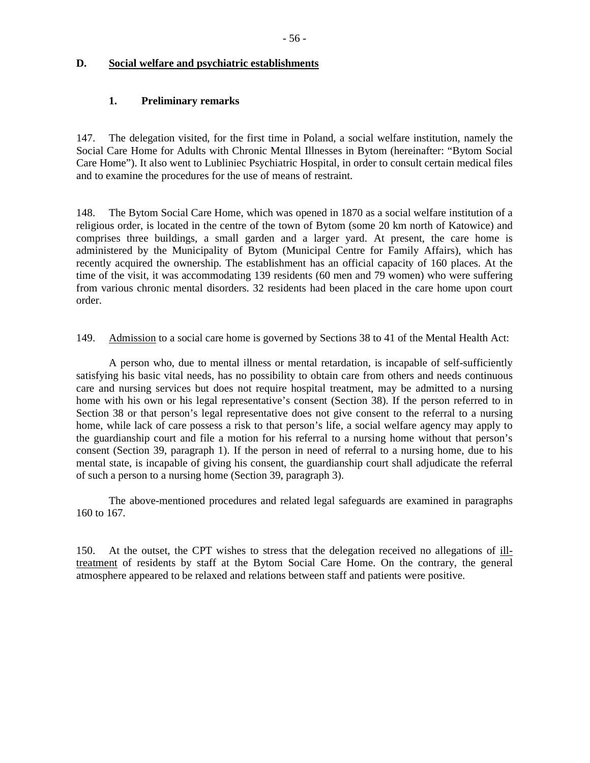# **D. Social welfare and psychiatric establishments**

## **1. Preliminary remarks**

147. The delegation visited, for the first time in Poland, a social welfare institution, namely the Social Care Home for Adults with Chronic Mental Illnesses in Bytom (hereinafter: "Bytom Social Care Home"). It also went to Lubliniec Psychiatric Hospital, in order to consult certain medical files and to examine the procedures for the use of means of restraint.

148. The Bytom Social Care Home, which was opened in 1870 as a social welfare institution of a religious order, is located in the centre of the town of Bytom (some 20 km north of Katowice) and comprises three buildings, a small garden and a larger yard. At present, the care home is administered by the Municipality of Bytom (Municipal Centre for Family Affairs), which has recently acquired the ownership. The establishment has an official capacity of 160 places. At the time of the visit, it was accommodating 139 residents (60 men and 79 women) who were suffering from various chronic mental disorders. 32 residents had been placed in the care home upon court order.

149. Admission to a social care home is governed by Sections 38 to 41 of the Mental Health Act:

 A person who, due to mental illness or mental retardation, is incapable of self-sufficiently satisfying his basic vital needs, has no possibility to obtain care from others and needs continuous care and nursing services but does not require hospital treatment, may be admitted to a nursing home with his own or his legal representative's consent (Section 38). If the person referred to in Section 38 or that person's legal representative does not give consent to the referral to a nursing home, while lack of care possess a risk to that person's life, a social welfare agency may apply to the guardianship court and file a motion for his referral to a nursing home without that person's consent (Section 39, paragraph 1). If the person in need of referral to a nursing home, due to his mental state, is incapable of giving his consent, the guardianship court shall adjudicate the referral of such a person to a nursing home (Section 39, paragraph 3).

The above-mentioned procedures and related legal safeguards are examined in paragraphs 160 to 167.

150. At the outset, the CPT wishes to stress that the delegation received no allegations of illtreatment of residents by staff at the Bytom Social Care Home. On the contrary, the general atmosphere appeared to be relaxed and relations between staff and patients were positive.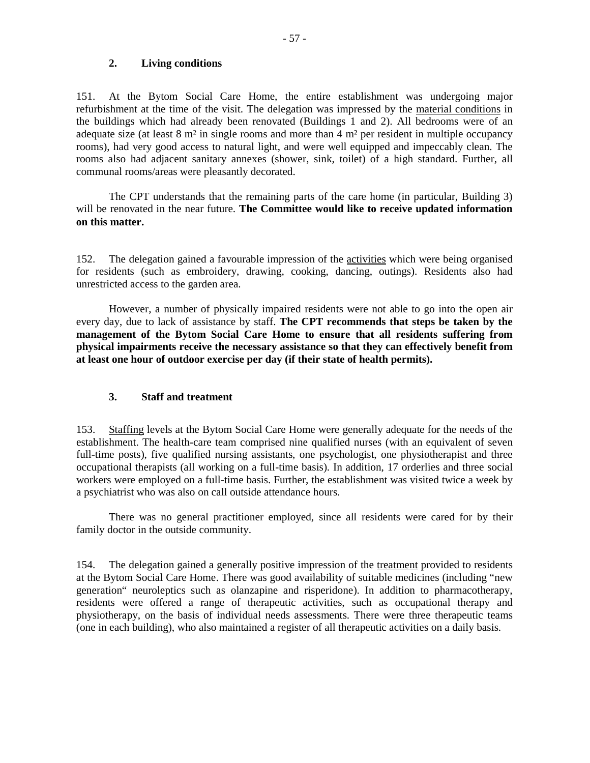### **2. Living conditions**

151. At the Bytom Social Care Home, the entire establishment was undergoing major refurbishment at the time of the visit. The delegation was impressed by the material conditions in the buildings which had already been renovated (Buildings 1 and 2). All bedrooms were of an adequate size (at least  $8 \text{ m}^2$  in single rooms and more than  $4 \text{ m}^2$  per resident in multiple occupancy rooms), had very good access to natural light, and were well equipped and impeccably clean. The rooms also had adjacent sanitary annexes (shower, sink, toilet) of a high standard. Further, all communal rooms/areas were pleasantly decorated.

The CPT understands that the remaining parts of the care home (in particular, Building 3) will be renovated in the near future. **The Committee would like to receive updated information on this matter.** 

152. The delegation gained a favourable impression of the activities which were being organised for residents (such as embroidery, drawing, cooking, dancing, outings). Residents also had unrestricted access to the garden area.

However, a number of physically impaired residents were not able to go into the open air every day, due to lack of assistance by staff. **The CPT recommends that steps be taken by the management of the Bytom Social Care Home to ensure that all residents suffering from physical impairments receive the necessary assistance so that they can effectively benefit from at least one hour of outdoor exercise per day (if their state of health permits).** 

### **3. Staff and treatment**

153. Staffing levels at the Bytom Social Care Home were generally adequate for the needs of the establishment. The health-care team comprised nine qualified nurses (with an equivalent of seven full-time posts), five qualified nursing assistants, one psychologist, one physiotherapist and three occupational therapists (all working on a full-time basis). In addition, 17 orderlies and three social workers were employed on a full-time basis. Further, the establishment was visited twice a week by a psychiatrist who was also on call outside attendance hours.

There was no general practitioner employed, since all residents were cared for by their family doctor in the outside community.

154. The delegation gained a generally positive impression of the treatment provided to residents at the Bytom Social Care Home. There was good availability of suitable medicines (including "new generation" neuroleptics such as olanzapine and risperidone). In addition to pharmacotherapy, residents were offered a range of therapeutic activities, such as occupational therapy and physiotherapy, on the basis of individual needs assessments. There were three therapeutic teams (one in each building), who also maintained a register of all therapeutic activities on a daily basis.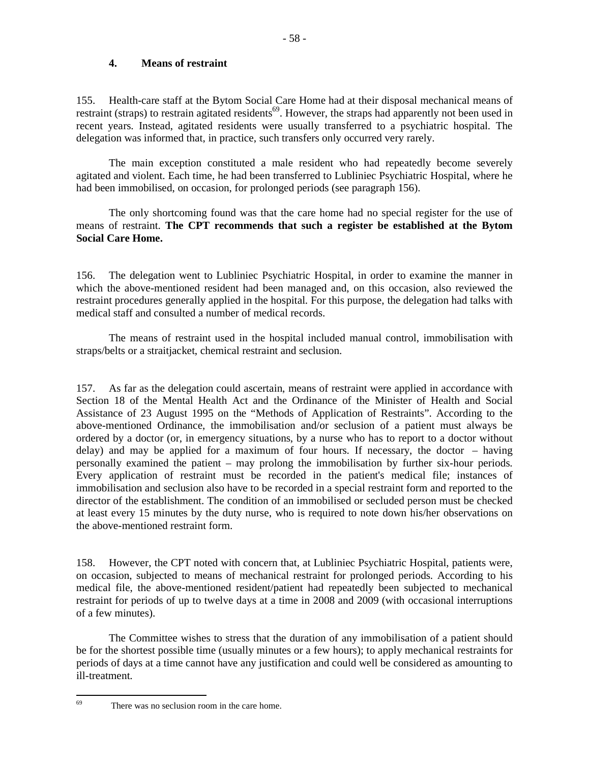# **4. Means of restraint**

155. Health-care staff at the Bytom Social Care Home had at their disposal mechanical means of restraint (straps) to restrain agitated residents<sup>69</sup>. However, the straps had apparently not been used in recent years. Instead, agitated residents were usually transferred to a psychiatric hospital. The delegation was informed that, in practice, such transfers only occurred very rarely.

The main exception constituted a male resident who had repeatedly become severely agitated and violent. Each time, he had been transferred to Lubliniec Psychiatric Hospital, where he had been immobilised, on occasion, for prolonged periods (see paragraph 156).

The only shortcoming found was that the care home had no special register for the use of means of restraint. **The CPT recommends that such a register be established at the Bytom Social Care Home.**

156. The delegation went to Lubliniec Psychiatric Hospital, in order to examine the manner in which the above-mentioned resident had been managed and, on this occasion, also reviewed the restraint procedures generally applied in the hospital. For this purpose, the delegation had talks with medical staff and consulted a number of medical records.

The means of restraint used in the hospital included manual control, immobilisation with straps/belts or a straitjacket, chemical restraint and seclusion.

157. As far as the delegation could ascertain, means of restraint were applied in accordance with Section 18 of the Mental Health Act and the Ordinance of the Minister of Health and Social Assistance of 23 August 1995 on the "Methods of Application of Restraints". According to the above-mentioned Ordinance, the immobilisation and/or seclusion of a patient must always be ordered by a doctor (or, in emergency situations, by a nurse who has to report to a doctor without delay) and may be applied for a maximum of four hours. If necessary, the doctor – having personally examined the patient – may prolong the immobilisation by further six-hour periods. Every application of restraint must be recorded in the patient's medical file; instances of immobilisation and seclusion also have to be recorded in a special restraint form and reported to the director of the establishment. The condition of an immobilised or secluded person must be checked at least every 15 minutes by the duty nurse, who is required to note down his/her observations on the above-mentioned restraint form.

158. However, the CPT noted with concern that, at Lubliniec Psychiatric Hospital, patients were, on occasion, subjected to means of mechanical restraint for prolonged periods. According to his medical file, the above-mentioned resident/patient had repeatedly been subjected to mechanical restraint for periods of up to twelve days at a time in 2008 and 2009 (with occasional interruptions of a few minutes).

The Committee wishes to stress that the duration of any immobilisation of a patient should be for the shortest possible time (usually minutes or a few hours); to apply mechanical restraints for periods of days at a time cannot have any justification and could well be considered as amounting to ill-treatment.

69

There was no seclusion room in the care home.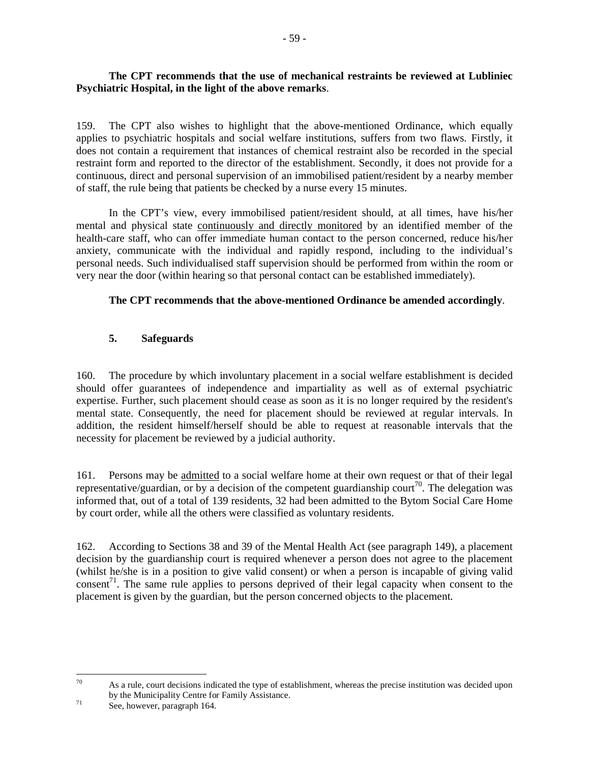# **The CPT recommends that the use of mechanical restraints be reviewed at Lubliniec Psychiatric Hospital, in the light of the above remarks**.

159. The CPT also wishes to highlight that the above-mentioned Ordinance, which equally applies to psychiatric hospitals and social welfare institutions, suffers from two flaws. Firstly, it does not contain a requirement that instances of chemical restraint also be recorded in the special restraint form and reported to the director of the establishment. Secondly, it does not provide for a continuous, direct and personal supervision of an immobilised patient/resident by a nearby member of staff, the rule being that patients be checked by a nurse every 15 minutes.

In the CPT's view, every immobilised patient/resident should, at all times, have his/her mental and physical state continuously and directly monitored by an identified member of the health-care staff, who can offer immediate human contact to the person concerned, reduce his/her anxiety, communicate with the individual and rapidly respond, including to the individual's personal needs. Such individualised staff supervision should be performed from within the room or very near the door (within hearing so that personal contact can be established immediately).

# **The CPT recommends that the above-mentioned Ordinance be amended accordingly**.

# **5. Safeguards**

160. The procedure by which involuntary placement in a social welfare establishment is decided should offer guarantees of independence and impartiality as well as of external psychiatric expertise. Further, such placement should cease as soon as it is no longer required by the resident's mental state. Consequently, the need for placement should be reviewed at regular intervals. In addition, the resident himself/herself should be able to request at reasonable intervals that the necessity for placement be reviewed by a judicial authority.

161. Persons may be admitted to a social welfare home at their own request or that of their legal representative/guardian, or by a decision of the competent guardianship court<sup>70</sup>. The delegation was informed that, out of a total of 139 residents, 32 had been admitted to the Bytom Social Care Home by court order, while all the others were classified as voluntary residents.

162. According to Sections 38 and 39 of the Mental Health Act (see paragraph 149), a placement decision by the guardianship court is required whenever a person does not agree to the placement (whilst he/she is in a position to give valid consent) or when a person is incapable of giving valid consent<sup>71</sup>. The same rule applies to persons deprived of their legal capacity when consent to the placement is given by the guardian, but the person concerned objects to the placement.

<sup>70</sup> As a rule, court decisions indicated the type of establishment, whereas the precise institution was decided upon by the Municipality Centre for Family Assistance.

 $71$  See, however, paragraph 164.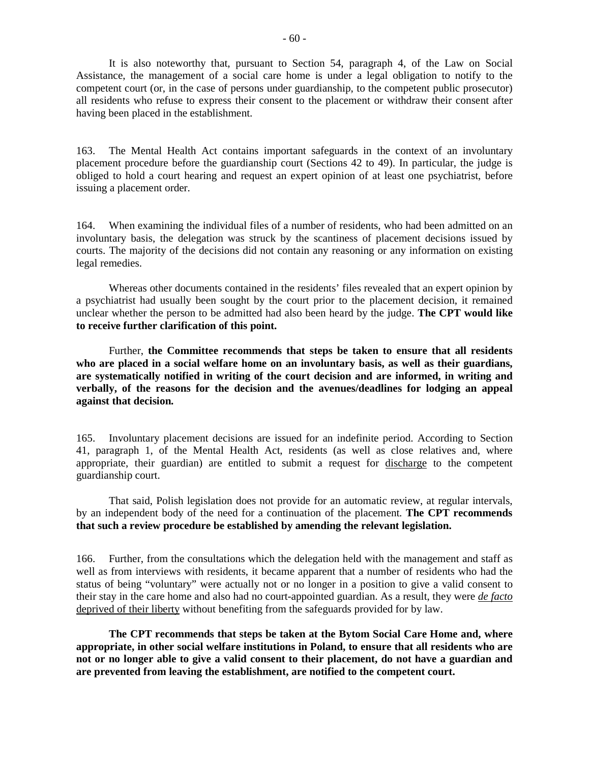It is also noteworthy that, pursuant to Section 54, paragraph 4, of the Law on Social Assistance, the management of a social care home is under a legal obligation to notify to the competent court (or, in the case of persons under guardianship, to the competent public prosecutor) all residents who refuse to express their consent to the placement or withdraw their consent after

having been placed in the establishment.

163. The Mental Health Act contains important safeguards in the context of an involuntary placement procedure before the guardianship court (Sections 42 to 49). In particular, the judge is obliged to hold a court hearing and request an expert opinion of at least one psychiatrist, before issuing a placement order.

164. When examining the individual files of a number of residents, who had been admitted on an involuntary basis, the delegation was struck by the scantiness of placement decisions issued by courts. The majority of the decisions did not contain any reasoning or any information on existing legal remedies.

Whereas other documents contained in the residents' files revealed that an expert opinion by a psychiatrist had usually been sought by the court prior to the placement decision, it remained unclear whether the person to be admitted had also been heard by the judge. **The CPT would like to receive further clarification of this point.**

Further, **the Committee recommends that steps be taken to ensure that all residents who are placed in a social welfare home on an involuntary basis, as well as their guardians, are systematically notified in writing of the court decision and are informed, in writing and verbally, of the reasons for the decision and the avenues/deadlines for lodging an appeal against that decision.** 

165. Involuntary placement decisions are issued for an indefinite period. According to Section 41, paragraph 1, of the Mental Health Act, residents (as well as close relatives and, where appropriate, their guardian) are entitled to submit a request for discharge to the competent guardianship court.

 That said, Polish legislation does not provide for an automatic review, at regular intervals, by an independent body of the need for a continuation of the placement. **The CPT recommends that such a review procedure be established by amending the relevant legislation.** 

166. Further, from the consultations which the delegation held with the management and staff as well as from interviews with residents, it became apparent that a number of residents who had the status of being "voluntary" were actually not or no longer in a position to give a valid consent to their stay in the care home and also had no court-appointed guardian. As a result, they were *de facto* deprived of their liberty without benefiting from the safeguards provided for by law.

**The CPT recommends that steps be taken at the Bytom Social Care Home and, where appropriate, in other social welfare institutions in Poland, to ensure that all residents who are not or no longer able to give a valid consent to their placement, do not have a guardian and are prevented from leaving the establishment, are notified to the competent court.**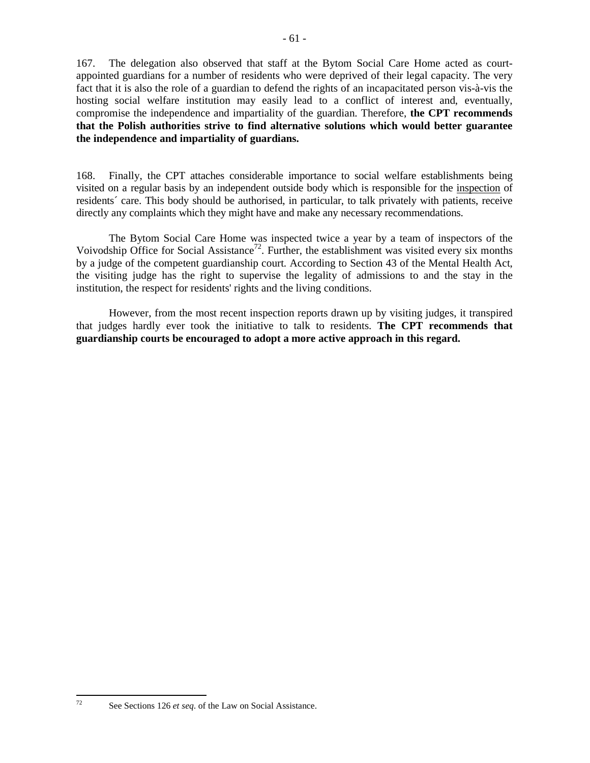167. The delegation also observed that staff at the Bytom Social Care Home acted as courtappointed guardians for a number of residents who were deprived of their legal capacity. The very fact that it is also the role of a guardian to defend the rights of an incapacitated person vis-à-vis the hosting social welfare institution may easily lead to a conflict of interest and, eventually, compromise the independence and impartiality of the guardian. Therefore, **the CPT recommends that the Polish authorities strive to find alternative solutions which would better guarantee the independence and impartiality of guardians.**

168. Finally, the CPT attaches considerable importance to social welfare establishments being visited on a regular basis by an independent outside body which is responsible for the inspection of residents´ care. This body should be authorised, in particular, to talk privately with patients, receive directly any complaints which they might have and make any necessary recommendations.

The Bytom Social Care Home was inspected twice a year by a team of inspectors of the Voivodship Office for Social Assistance<sup>72</sup>. Further, the establishment was visited every six months by a judge of the competent guardianship court. According to Section 43 of the Mental Health Act, the visiting judge has the right to supervise the legality of admissions to and the stay in the institution, the respect for residents' rights and the living conditions.

However, from the most recent inspection reports drawn up by visiting judges, it transpired that judges hardly ever took the initiative to talk to residents. **The CPT recommends that guardianship courts be encouraged to adopt a more active approach in this regard.**

See Sections 126 *et seq.* of the Law on Social Assistance.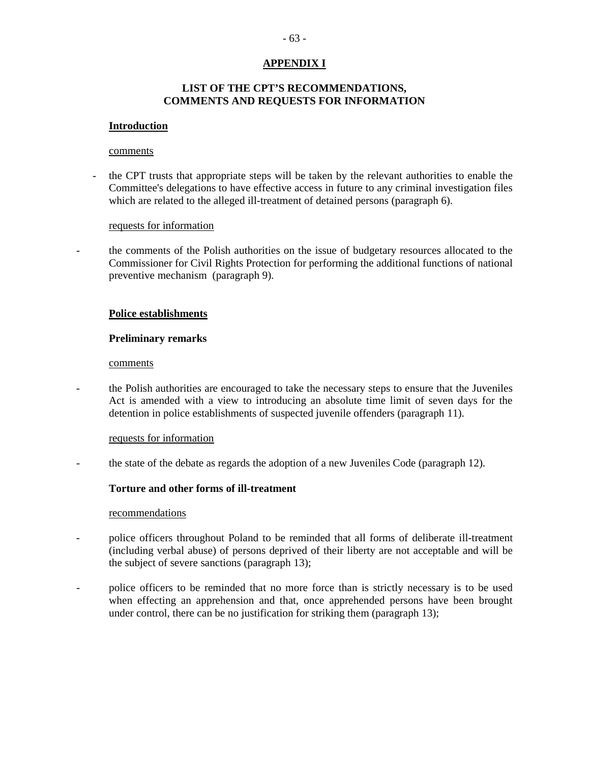# **APPENDIX I**

## **LIST OF THE CPT'S RECOMMENDATIONS, COMMENTS AND REQUESTS FOR INFORMATION**

#### **Introduction**

#### comments

- the CPT trusts that appropriate steps will be taken by the relevant authorities to enable the Committee's delegations to have effective access in future to any criminal investigation files which are related to the alleged ill-treatment of detained persons (paragraph 6).

#### requests for information

- the comments of the Polish authorities on the issue of budgetary resources allocated to the Commissioner for Civil Rights Protection for performing the additional functions of national preventive mechanism (paragraph 9).

### **Police establishments**

#### **Preliminary remarks**

#### comments

- the Polish authorities are encouraged to take the necessary steps to ensure that the Juveniles Act is amended with a view to introducing an absolute time limit of seven days for the detention in police establishments of suspected juvenile offenders (paragraph 11).

#### requests for information

- the state of the debate as regards the adoption of a new Juveniles Code (paragraph 12).

#### **Torture and other forms of ill-treatment**

- police officers throughout Poland to be reminded that all forms of deliberate ill-treatment (including verbal abuse) of persons deprived of their liberty are not acceptable and will be the subject of severe sanctions (paragraph 13);
- police officers to be reminded that no more force than is strictly necessary is to be used when effecting an apprehension and that, once apprehended persons have been brought under control, there can be no justification for striking them (paragraph 13);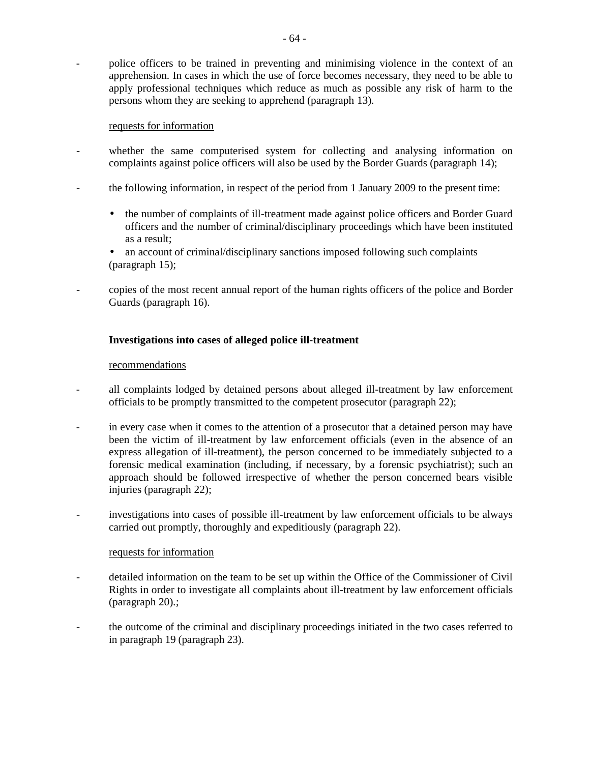- police officers to be trained in preventing and minimising violence in the context of an apprehension. In cases in which the use of force becomes necessary, they need to be able to apply professional techniques which reduce as much as possible any risk of harm to the persons whom they are seeking to apprehend (paragraph 13).

### requests for information

- whether the same computerised system for collecting and analysing information on complaints against police officers will also be used by the Border Guards (paragraph 14);
- the following information, in respect of the period from 1 January 2009 to the present time:
	- the number of complaints of ill-treatment made against police officers and Border Guard officers and the number of criminal/disciplinary proceedings which have been instituted as a result;
	- an account of criminal/disciplinary sanctions imposed following such complaints (paragraph 15);
- copies of the most recent annual report of the human rights officers of the police and Border Guards (paragraph 16).

## **Investigations into cases of alleged police ill-treatment**

### recommendations

- all complaints lodged by detained persons about alleged ill-treatment by law enforcement officials to be promptly transmitted to the competent prosecutor (paragraph 22);
- in every case when it comes to the attention of a prosecutor that a detained person may have been the victim of ill-treatment by law enforcement officials (even in the absence of an express allegation of ill-treatment), the person concerned to be immediately subjected to a forensic medical examination (including, if necessary, by a forensic psychiatrist); such an approach should be followed irrespective of whether the person concerned bears visible injuries (paragraph 22);
- investigations into cases of possible ill-treatment by law enforcement officials to be always carried out promptly, thoroughly and expeditiously (paragraph 22).

## requests for information

- detailed information on the team to be set up within the Office of the Commissioner of Civil Rights in order to investigate all complaints about ill-treatment by law enforcement officials (paragraph 20).;
- the outcome of the criminal and disciplinary proceedings initiated in the two cases referred to in paragraph 19 (paragraph 23).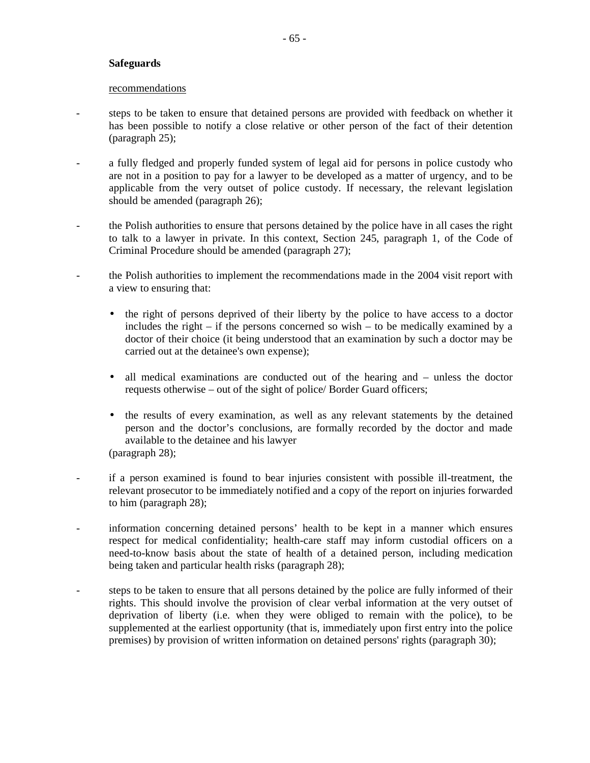### **Safeguards**

- steps to be taken to ensure that detained persons are provided with feedback on whether it has been possible to notify a close relative or other person of the fact of their detention (paragraph 25);
- a fully fledged and properly funded system of legal aid for persons in police custody who are not in a position to pay for a lawyer to be developed as a matter of urgency, and to be applicable from the very outset of police custody. If necessary, the relevant legislation should be amended (paragraph 26);
- the Polish authorities to ensure that persons detained by the police have in all cases the right to talk to a lawyer in private. In this context, Section 245, paragraph 1, of the Code of Criminal Procedure should be amended (paragraph 27);
- the Polish authorities to implement the recommendations made in the 2004 visit report with a view to ensuring that:
	- the right of persons deprived of their liberty by the police to have access to a doctor includes the right – if the persons concerned so wish – to be medically examined by a doctor of their choice (it being understood that an examination by such a doctor may be carried out at the detainee's own expense);
	- all medical examinations are conducted out of the hearing and unless the doctor requests otherwise – out of the sight of police/ Border Guard officers;
	- the results of every examination, as well as any relevant statements by the detained person and the doctor's conclusions, are formally recorded by the doctor and made available to the detainee and his lawyer (paragraph 28);
- if a person examined is found to bear injuries consistent with possible ill-treatment, the relevant prosecutor to be immediately notified and a copy of the report on injuries forwarded to him (paragraph 28);
- information concerning detained persons' health to be kept in a manner which ensures respect for medical confidentiality; health-care staff may inform custodial officers on a need-to-know basis about the state of health of a detained person, including medication being taken and particular health risks (paragraph 28);
- steps to be taken to ensure that all persons detained by the police are fully informed of their rights. This should involve the provision of clear verbal information at the very outset of deprivation of liberty (i.e. when they were obliged to remain with the police), to be supplemented at the earliest opportunity (that is, immediately upon first entry into the police premises) by provision of written information on detained persons' rights (paragraph 30);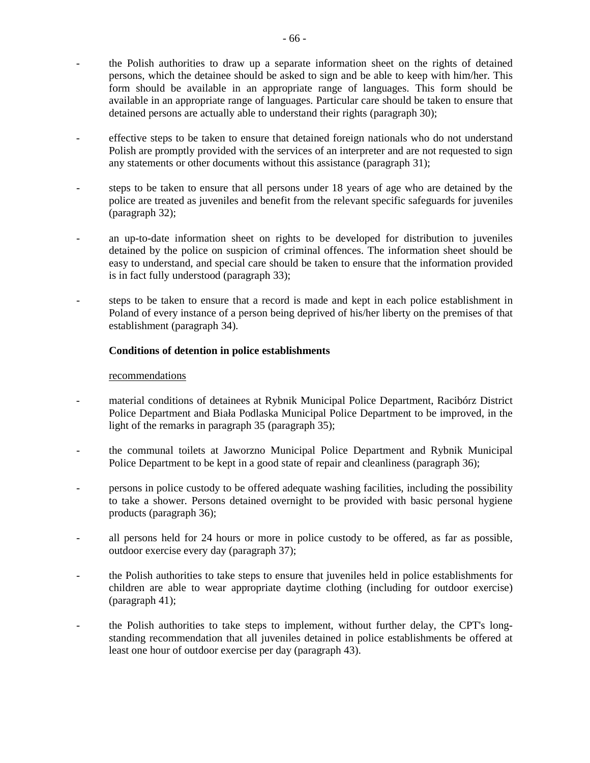- the Polish authorities to draw up a separate information sheet on the rights of detained persons, which the detainee should be asked to sign and be able to keep with him/her. This form should be available in an appropriate range of languages. This form should be available in an appropriate range of languages. Particular care should be taken to ensure that detained persons are actually able to understand their rights (paragraph 30);
- effective steps to be taken to ensure that detained foreign nationals who do not understand Polish are promptly provided with the services of an interpreter and are not requested to sign any statements or other documents without this assistance (paragraph 31);
- steps to be taken to ensure that all persons under 18 years of age who are detained by the police are treated as juveniles and benefit from the relevant specific safeguards for juveniles (paragraph 32);
- an up-to-date information sheet on rights to be developed for distribution to juveniles detained by the police on suspicion of criminal offences. The information sheet should be easy to understand, and special care should be taken to ensure that the information provided is in fact fully understood (paragraph 33);
- steps to be taken to ensure that a record is made and kept in each police establishment in Poland of every instance of a person being deprived of his/her liberty on the premises of that establishment (paragraph 34).

## **Conditions of detention in police establishments**

- material conditions of detainees at Rybnik Municipal Police Department, Racibórz District Police Department and Biała Podlaska Municipal Police Department to be improved, in the light of the remarks in paragraph 35 (paragraph 35);
- the communal toilets at Jaworzno Municipal Police Department and Rybnik Municipal Police Department to be kept in a good state of repair and cleanliness (paragraph 36);
- persons in police custody to be offered adequate washing facilities, including the possibility to take a shower. Persons detained overnight to be provided with basic personal hygiene products (paragraph 36);
- all persons held for 24 hours or more in police custody to be offered, as far as possible, outdoor exercise every day (paragraph 37);
- the Polish authorities to take steps to ensure that juveniles held in police establishments for children are able to wear appropriate daytime clothing (including for outdoor exercise) (paragraph 41);
- the Polish authorities to take steps to implement, without further delay, the CPT's longstanding recommendation that all juveniles detained in police establishments be offered at least one hour of outdoor exercise per day (paragraph 43).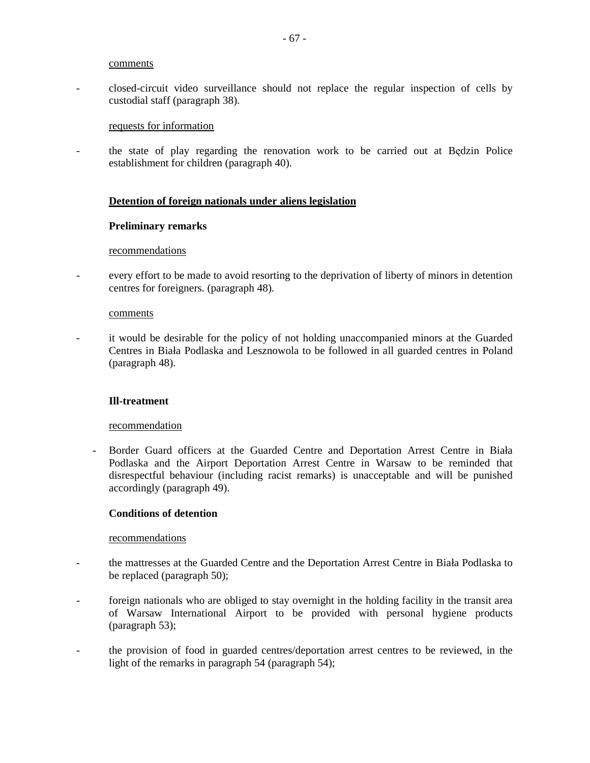#### comments

- closed-circuit video surveillance should not replace the regular inspection of cells by custodial staff (paragraph 38).

#### requests for information

- the state of play regarding the renovation work to be carried out at Będzin Police establishment for children (paragraph 40).

## **Detention of foreign nationals under aliens legislation**

### **Preliminary remarks**

#### recommendations

every effort to be made to avoid resorting to the deprivation of liberty of minors in detention centres for foreigners. (paragraph 48).

#### comments

- it would be desirable for the policy of not holding unaccompanied minors at the Guarded Centres in Biała Podlaska and Lesznowola to be followed in all guarded centres in Poland (paragraph 48).

## **Ill-treatment**

#### recommendation

- Border Guard officers at the Guarded Centre and Deportation Arrest Centre in Biała Podlaska and the Airport Deportation Arrest Centre in Warsaw to be reminded that disrespectful behaviour (including racist remarks) is unacceptable and will be punished accordingly (paragraph 49).

## **Conditions of detention**

- the mattresses at the Guarded Centre and the Deportation Arrest Centre in Biała Podlaska to be replaced (paragraph 50);
- foreign nationals who are obliged to stay overnight in the holding facility in the transit area of Warsaw International Airport to be provided with personal hygiene products (paragraph 53);
- the provision of food in guarded centres/deportation arrest centres to be reviewed, in the light of the remarks in paragraph 54 (paragraph 54);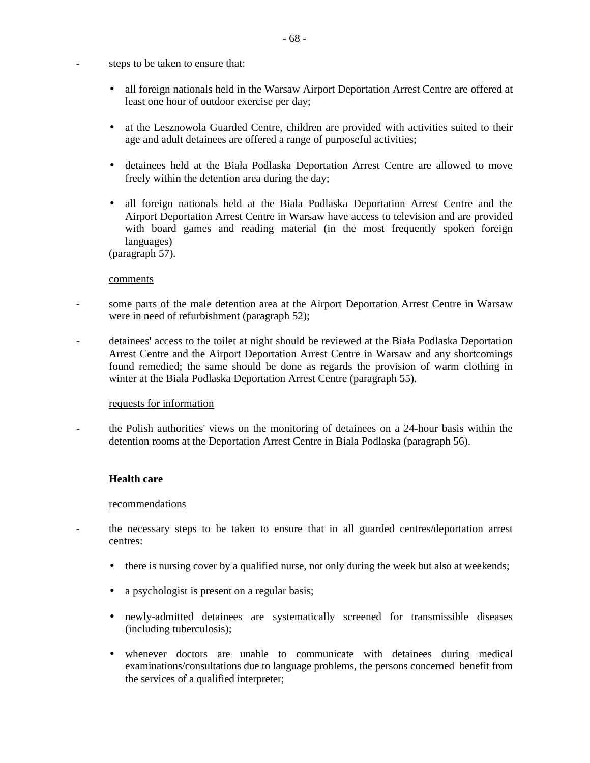steps to be taken to ensure that:

- all foreign nationals held in the Warsaw Airport Deportation Arrest Centre are offered at least one hour of outdoor exercise per day;
- at the Lesznowola Guarded Centre, children are provided with activities suited to their age and adult detainees are offered a range of purposeful activities;
- detainees held at the Biała Podlaska Deportation Arrest Centre are allowed to move freely within the detention area during the day;
- all foreign nationals held at the Biała Podlaska Deportation Arrest Centre and the Airport Deportation Arrest Centre in Warsaw have access to television and are provided with board games and reading material (in the most frequently spoken foreign languages)

(paragraph 57).

#### comments

- some parts of the male detention area at the Airport Deportation Arrest Centre in Warsaw were in need of refurbishment (paragraph 52);
- detainees' access to the toilet at night should be reviewed at the Biała Podlaska Deportation Arrest Centre and the Airport Deportation Arrest Centre in Warsaw and any shortcomings found remedied; the same should be done as regards the provision of warm clothing in winter at the Biała Podlaska Deportation Arrest Centre (paragraph 55).

#### requests for information

- the Polish authorities' views on the monitoring of detainees on a 24-hour basis within the detention rooms at the Deportation Arrest Centre in Biała Podlaska (paragraph 56).

### **Health care**

- the necessary steps to be taken to ensure that in all guarded centres/deportation arrest centres:
	- there is nursing cover by a qualified nurse, not only during the week but also at weekends;
	- a psychologist is present on a regular basis;
	- newly-admitted detainees are systematically screened for transmissible diseases (including tuberculosis);
	- whenever doctors are unable to communicate with detainees during medical examinations/consultations due to language problems, the persons concerned benefit from the services of a qualified interpreter;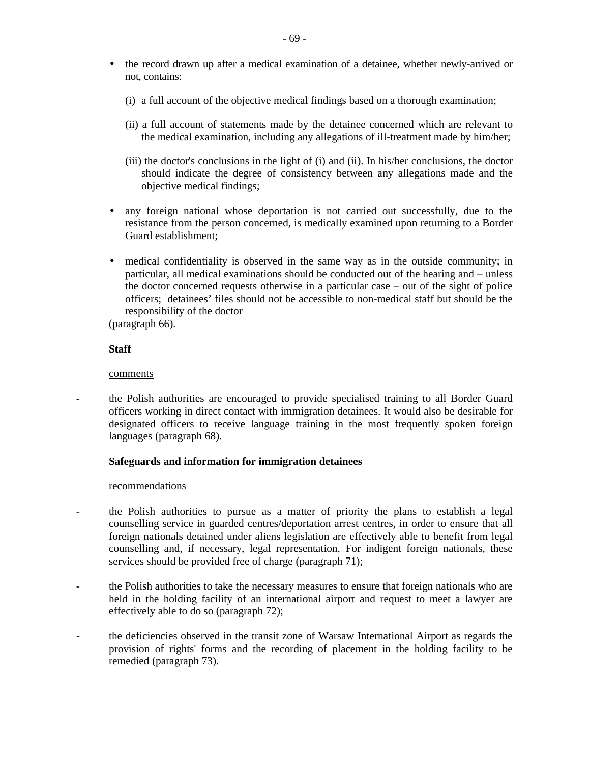- the record drawn up after a medical examination of a detainee, whether newly-arrived or not, contains:
	- (i) a full account of the objective medical findings based on a thorough examination;
	- (ii) a full account of statements made by the detainee concerned which are relevant to the medical examination, including any allegations of ill-treatment made by him/her;
	- (iii) the doctor's conclusions in the light of (i) and (ii). In his/her conclusions, the doctor should indicate the degree of consistency between any allegations made and the objective medical findings;
- any foreign national whose deportation is not carried out successfully, due to the resistance from the person concerned, is medically examined upon returning to a Border Guard establishment;
- medical confidentiality is observed in the same way as in the outside community; in particular, all medical examinations should be conducted out of the hearing and – unless the doctor concerned requests otherwise in a particular case – out of the sight of police officers; detainees' files should not be accessible to non-medical staff but should be the responsibility of the doctor

(paragraph 66).

### **Staff**

### comments

**-** the Polish authorities are encouraged to provide specialised training to all Border Guard officers working in direct contact with immigration detainees. It would also be desirable for designated officers to receive language training in the most frequently spoken foreign languages (paragraph 68).

## **Safeguards and information for immigration detainees**

- the Polish authorities to pursue as a matter of priority the plans to establish a legal counselling service in guarded centres/deportation arrest centres, in order to ensure that all foreign nationals detained under aliens legislation are effectively able to benefit from legal counselling and, if necessary, legal representation. For indigent foreign nationals, these services should be provided free of charge (paragraph 71);
- the Polish authorities to take the necessary measures to ensure that foreign nationals who are held in the holding facility of an international airport and request to meet a lawyer are effectively able to do so (paragraph 72);
- the deficiencies observed in the transit zone of Warsaw International Airport as regards the provision of rights' forms and the recording of placement in the holding facility to be remedied (paragraph 73).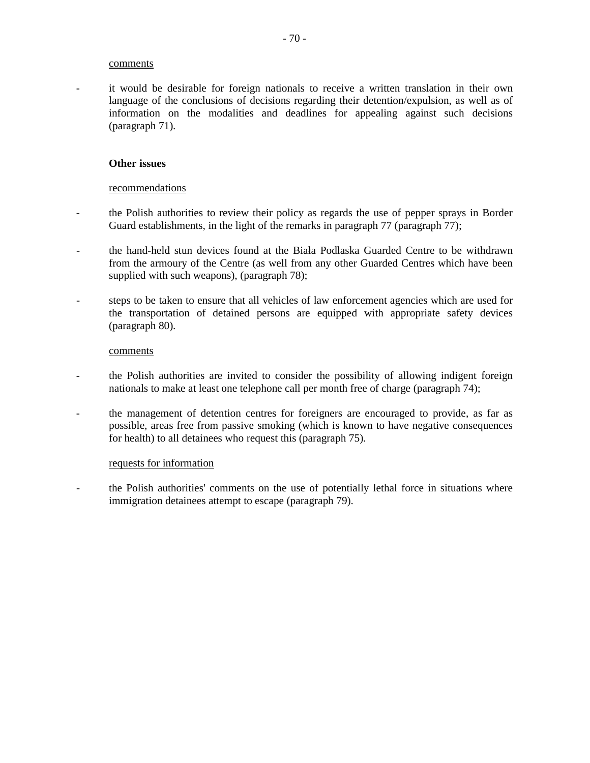#### comments

- it would be desirable for foreign nationals to receive a written translation in their own language of the conclusions of decisions regarding their detention/expulsion, as well as of information on the modalities and deadlines for appealing against such decisions (paragraph 71).

#### **Other issues**

### recommendations

- the Polish authorities to review their policy as regards the use of pepper sprays in Border Guard establishments, in the light of the remarks in paragraph 77 (paragraph 77);
- the hand-held stun devices found at the Biała Podlaska Guarded Centre to be withdrawn from the armoury of the Centre (as well from any other Guarded Centres which have been supplied with such weapons), (paragraph 78);
- steps to be taken to ensure that all vehicles of law enforcement agencies which are used for the transportation of detained persons are equipped with appropriate safety devices (paragraph 80).

#### comments

- the Polish authorities are invited to consider the possibility of allowing indigent foreign nationals to make at least one telephone call per month free of charge (paragraph 74);
- the management of detention centres for foreigners are encouraged to provide, as far as possible, areas free from passive smoking (which is known to have negative consequences for health) to all detainees who request this (paragraph 75).

#### requests for information

the Polish authorities' comments on the use of potentially lethal force in situations where immigration detainees attempt to escape (paragraph 79).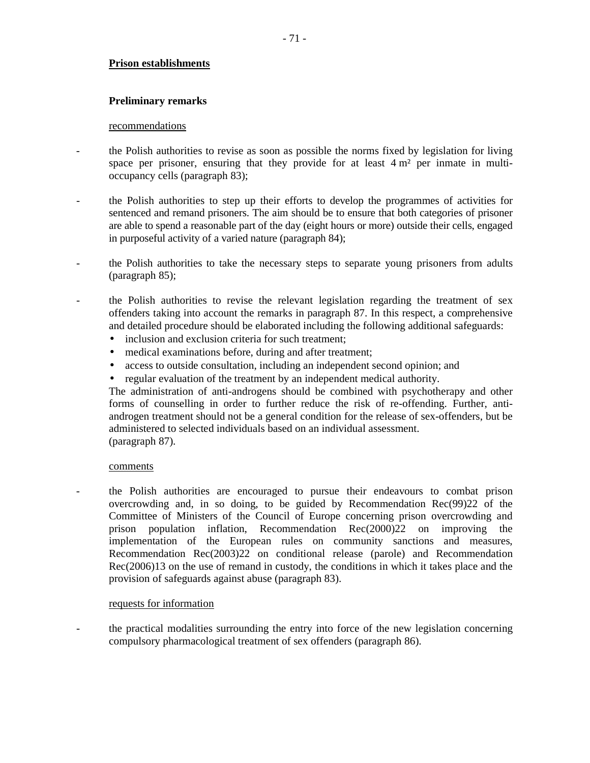# **Prison establishments**

## **Preliminary remarks**

#### recommendations

- the Polish authorities to revise as soon as possible the norms fixed by legislation for living space per prisoner, ensuring that they provide for at least  $4 \text{ m}^2$  per inmate in multioccupancy cells (paragraph 83);
- the Polish authorities to step up their efforts to develop the programmes of activities for sentenced and remand prisoners. The aim should be to ensure that both categories of prisoner are able to spend a reasonable part of the day (eight hours or more) outside their cells, engaged in purposeful activity of a varied nature (paragraph 84);
- the Polish authorities to take the necessary steps to separate young prisoners from adults (paragraph 85);
- the Polish authorities to revise the relevant legislation regarding the treatment of sex offenders taking into account the remarks in paragraph 87. In this respect, a comprehensive and detailed procedure should be elaborated including the following additional safeguards:
	- inclusion and exclusion criteria for such treatment;
	- medical examinations before, during and after treatment;
	- access to outside consultation, including an independent second opinion; and
	- regular evaluation of the treatment by an independent medical authority.

 The administration of anti-androgens should be combined with psychotherapy and other forms of counselling in order to further reduce the risk of re-offending. Further, antiandrogen treatment should not be a general condition for the release of sex-offenders, but be administered to selected individuals based on an individual assessment. (paragraph 87).

#### comments

- the Polish authorities are encouraged to pursue their endeavours to combat prison overcrowding and, in so doing, to be guided by Recommendation Rec(99)22 of the Committee of Ministers of the Council of Europe concerning prison overcrowding and prison population inflation, Recommendation Rec(2000)22 on improving the implementation of the European rules on community sanctions and measures, Recommendation Rec(2003)22 on conditional release (parole) and Recommendation Rec(2006)13 on the use of remand in custody, the conditions in which it takes place and the provision of safeguards against abuse (paragraph 83).

### requests for information

- the practical modalities surrounding the entry into force of the new legislation concerning compulsory pharmacological treatment of sex offenders (paragraph 86).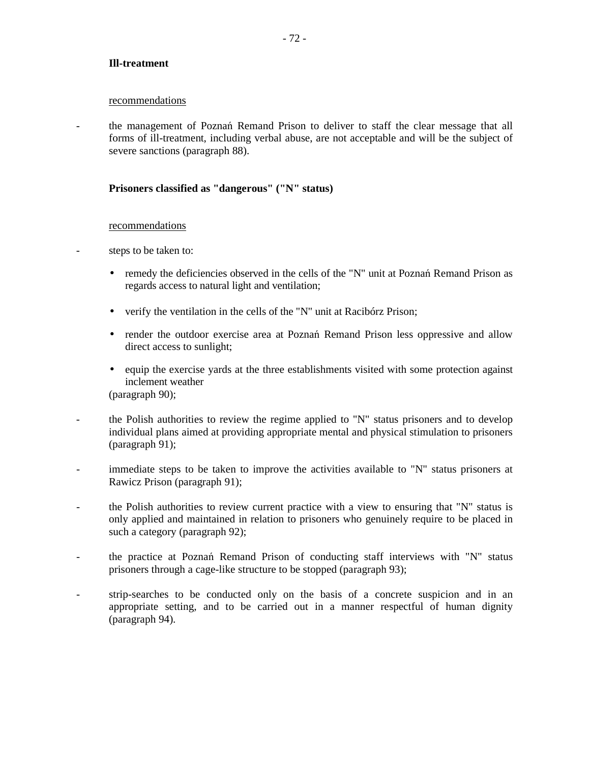### **Ill-treatment**

#### recommendations

- the management of Poznań Remand Prison to deliver to staff the clear message that all forms of ill-treatment, including verbal abuse, are not acceptable and will be the subject of severe sanctions (paragraph 88).

## **Prisoners classified as "dangerous" ("N" status)**

### recommendations

- steps to be taken to:
	- remedy the deficiencies observed in the cells of the "N" unit at Poznań Remand Prison as regards access to natural light and ventilation;
	- verify the ventilation in the cells of the "N" unit at Racibórz Prison;
	- render the outdoor exercise area at Poznań Remand Prison less oppressive and allow direct access to sunlight;
	- equip the exercise yards at the three establishments visited with some protection against inclement weather

(paragraph 90);

- the Polish authorities to review the regime applied to "N" status prisoners and to develop individual plans aimed at providing appropriate mental and physical stimulation to prisoners (paragraph 91);
- immediate steps to be taken to improve the activities available to "N" status prisoners at Rawicz Prison (paragraph 91);
- the Polish authorities to review current practice with a view to ensuring that "N" status is only applied and maintained in relation to prisoners who genuinely require to be placed in such a category (paragraph 92);
- the practice at Poznań Remand Prison of conducting staff interviews with "N" status prisoners through a cage-like structure to be stopped (paragraph 93);
- strip-searches to be conducted only on the basis of a concrete suspicion and in an appropriate setting, and to be carried out in a manner respectful of human dignity (paragraph 94).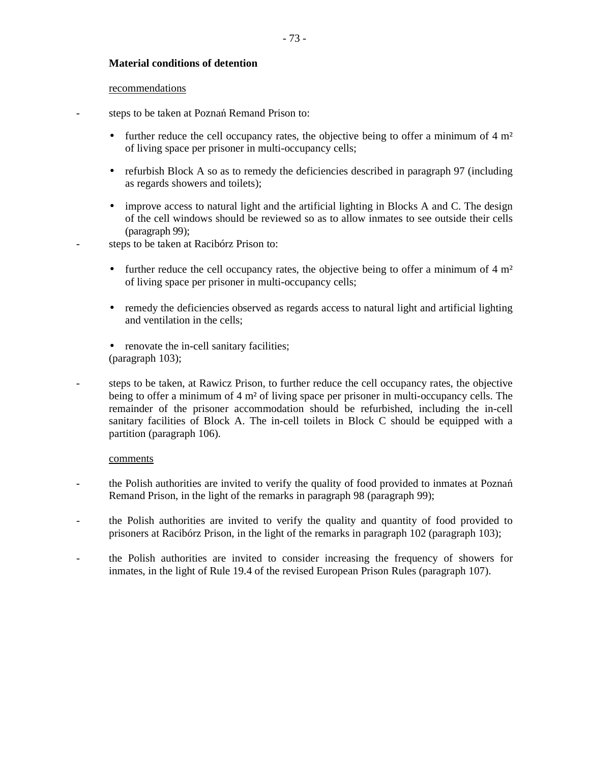# **Material conditions of detention**

#### recommendations

- steps to be taken at Poznań Remand Prison to:
	- further reduce the cell occupancy rates, the objective being to offer a minimum of  $4 \text{ m}^2$ of living space per prisoner in multi-occupancy cells;
	- refurbish Block A so as to remedy the deficiencies described in paragraph 97 (including as regards showers and toilets);
	- improve access to natural light and the artificial lighting in Blocks A and C. The design of the cell windows should be reviewed so as to allow inmates to see outside their cells (paragraph 99);
- steps to be taken at Racibórz Prison to:
	- further reduce the cell occupancy rates, the objective being to offer a minimum of 4 m<sup>2</sup> of living space per prisoner in multi-occupancy cells;
	- remedy the deficiencies observed as regards access to natural light and artificial lighting and ventilation in the cells;
	- renovate the in-cell sanitary facilities; (paragraph 103);
- steps to be taken, at Rawicz Prison, to further reduce the cell occupancy rates, the objective being to offer a minimum of 4 m² of living space per prisoner in multi-occupancy cells. The remainder of the prisoner accommodation should be refurbished, including the in-cell sanitary facilities of Block A. The in-cell toilets in Block C should be equipped with a partition (paragraph 106).

## comments

- the Polish authorities are invited to verify the quality of food provided to inmates at Poznań Remand Prison, in the light of the remarks in paragraph 98 (paragraph 99);
- the Polish authorities are invited to verify the quality and quantity of food provided to prisoners at Racibórz Prison, in the light of the remarks in paragraph 102 (paragraph 103);
- the Polish authorities are invited to consider increasing the frequency of showers for inmates, in the light of Rule 19.4 of the revised European Prison Rules (paragraph 107).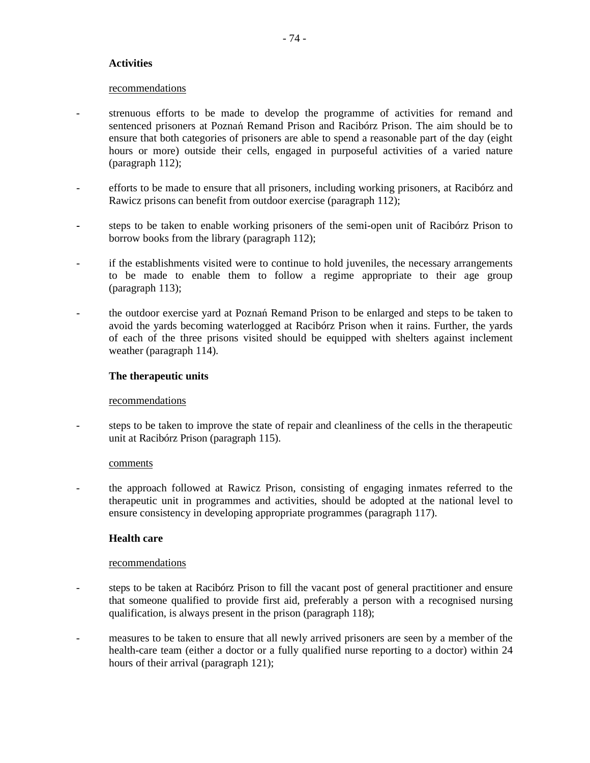## **Activities**

#### recommendations

- strenuous efforts to be made to develop the programme of activities for remand and sentenced prisoners at Poznań Remand Prison and Racibórz Prison. The aim should be to ensure that both categories of prisoners are able to spend a reasonable part of the day (eight hours or more) outside their cells, engaged in purposeful activities of a varied nature (paragraph 112);
- efforts to be made to ensure that all prisoners, including working prisoners, at Racibórz and Rawicz prisons can benefit from outdoor exercise (paragraph 112);
- steps to be taken to enable working prisoners of the semi-open unit of Racibórz Prison to borrow books from the library (paragraph 112);
- if the establishments visited were to continue to hold juveniles, the necessary arrangements to be made to enable them to follow a regime appropriate to their age group (paragraph 113);
- the outdoor exercise yard at Poznań Remand Prison to be enlarged and steps to be taken to avoid the yards becoming waterlogged at Racibórz Prison when it rains. Further, the yards of each of the three prisons visited should be equipped with shelters against inclement weather (paragraph 114).

# **The therapeutic units**

## recommendations

- steps to be taken to improve the state of repair and cleanliness of the cells in the therapeutic unit at Racibórz Prison (paragraph 115).

## comments

- the approach followed at Rawicz Prison, consisting of engaging inmates referred to the therapeutic unit in programmes and activities, should be adopted at the national level to ensure consistency in developing appropriate programmes (paragraph 117).

## **Health care**

## recommendations

- steps to be taken at Racibórz Prison to fill the vacant post of general practitioner and ensure that someone qualified to provide first aid, preferably a person with a recognised nursing qualification, is always present in the prison (paragraph 118);
- measures to be taken to ensure that all newly arrived prisoners are seen by a member of the health-care team (either a doctor or a fully qualified nurse reporting to a doctor) within 24 hours of their arrival (paragraph 121);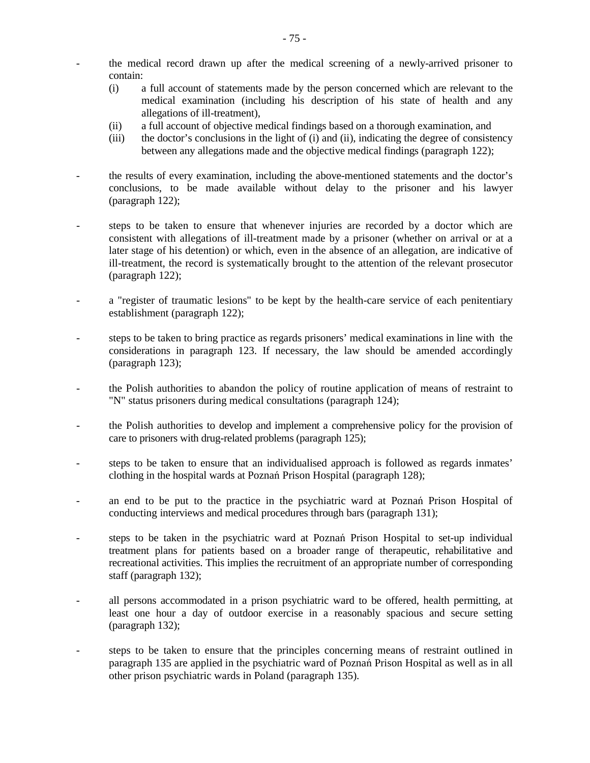- the medical record drawn up after the medical screening of a newly-arrived prisoner to contain:
	- (i) a full account of statements made by the person concerned which are relevant to the medical examination (including his description of his state of health and any allegations of ill-treatment),
	- (ii) a full account of objective medical findings based on a thorough examination, and
	- (iii) the doctor's conclusions in the light of (i) and (ii), indicating the degree of consistency between any allegations made and the objective medical findings (paragraph 122);
- the results of every examination, including the above-mentioned statements and the doctor's conclusions, to be made available without delay to the prisoner and his lawyer (paragraph 122);
- steps to be taken to ensure that whenever injuries are recorded by a doctor which are consistent with allegations of ill-treatment made by a prisoner (whether on arrival or at a later stage of his detention) or which, even in the absence of an allegation, are indicative of ill-treatment, the record is systematically brought to the attention of the relevant prosecutor (paragraph 122);
- a "register of traumatic lesions" to be kept by the health-care service of each penitentiary establishment (paragraph 122);
- steps to be taken to bring practice as regards prisoners' medical examinations in line with the considerations in paragraph 123. If necessary, the law should be amended accordingly (paragraph 123);
- the Polish authorities to abandon the policy of routine application of means of restraint to "N" status prisoners during medical consultations (paragraph 124);
- the Polish authorities to develop and implement a comprehensive policy for the provision of care to prisoners with drug-related problems (paragraph 125);
- steps to be taken to ensure that an individualised approach is followed as regards inmates' clothing in the hospital wards at Poznań Prison Hospital (paragraph 128);
- an end to be put to the practice in the psychiatric ward at Poznań Prison Hospital of conducting interviews and medical procedures through bars (paragraph 131);
- steps to be taken in the psychiatric ward at Poznań Prison Hospital to set-up individual treatment plans for patients based on a broader range of therapeutic, rehabilitative and recreational activities. This implies the recruitment of an appropriate number of corresponding staff (paragraph 132);
- all persons accommodated in a prison psychiatric ward to be offered, health permitting, at least one hour a day of outdoor exercise in a reasonably spacious and secure setting (paragraph 132);
- steps to be taken to ensure that the principles concerning means of restraint outlined in paragraph 135 are applied in the psychiatric ward of Poznań Prison Hospital as well as in all other prison psychiatric wards in Poland (paragraph 135).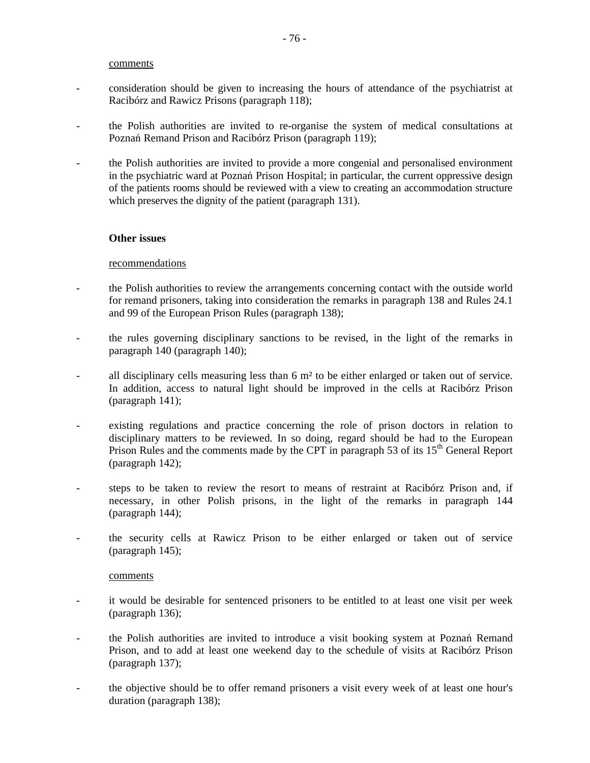#### comments

- consideration should be given to increasing the hours of attendance of the psychiatrist at Racibórz and Rawicz Prisons (paragraph 118);
- the Polish authorities are invited to re-organise the system of medical consultations at Poznań Remand Prison and Racibórz Prison (paragraph 119);
- the Polish authorities are invited to provide a more congenial and personalised environment in the psychiatric ward at Poznań Prison Hospital; in particular, the current oppressive design of the patients rooms should be reviewed with a view to creating an accommodation structure which preserves the dignity of the patient (paragraph 131).

#### **Other issues**

#### recommendations

- the Polish authorities to review the arrangements concerning contact with the outside world for remand prisoners, taking into consideration the remarks in paragraph 138 and Rules 24.1 and 99 of the European Prison Rules (paragraph 138);
- the rules governing disciplinary sanctions to be revised, in the light of the remarks in paragraph 140 (paragraph 140);
- all disciplinary cells measuring less than  $6 \text{ m}^2$  to be either enlarged or taken out of service. In addition, access to natural light should be improved in the cells at Racibórz Prison (paragraph 141);
- existing regulations and practice concerning the role of prison doctors in relation to disciplinary matters to be reviewed. In so doing, regard should be had to the European Prison Rules and the comments made by the CPT in paragraph 53 of its  $15<sup>th</sup>$  General Report (paragraph 142);
- steps to be taken to review the resort to means of restraint at Racibórz Prison and, if necessary, in other Polish prisons, in the light of the remarks in paragraph 144 (paragraph 144);
- the security cells at Rawicz Prison to be either enlarged or taken out of service (paragraph 145);

#### comments

- it would be desirable for sentenced prisoners to be entitled to at least one visit per week (paragraph 136);
- the Polish authorities are invited to introduce a visit booking system at Poznań Remand Prison, and to add at least one weekend day to the schedule of visits at Racibórz Prison (paragraph 137);
- the objective should be to offer remand prisoners a visit every week of at least one hour's duration (paragraph 138);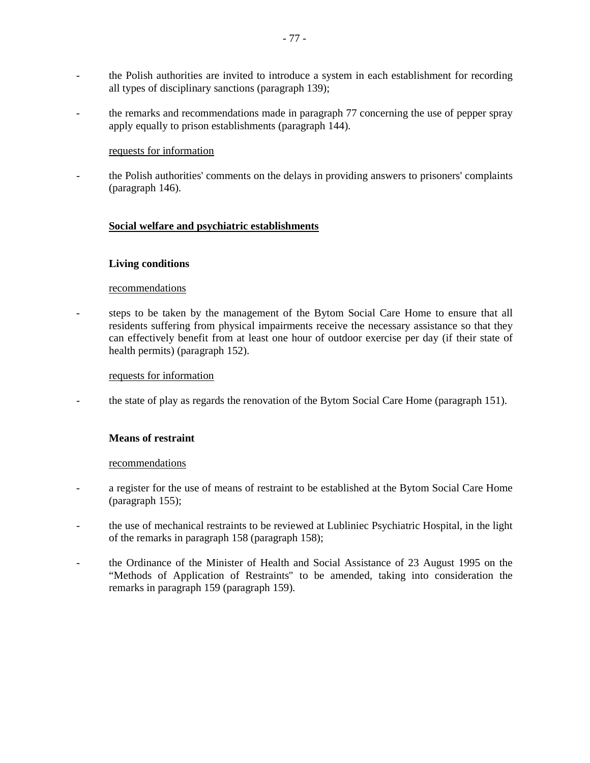- the Polish authorities are invited to introduce a system in each establishment for recording all types of disciplinary sanctions (paragraph 139);
- the remarks and recommendations made in paragraph 77 concerning the use of pepper spray apply equally to prison establishments (paragraph 144).

#### requests for information

- the Polish authorities' comments on the delays in providing answers to prisoners' complaints (paragraph 146).

#### **Social welfare and psychiatric establishments**

#### **Living conditions**

#### recommendations

- steps to be taken by the management of the Bytom Social Care Home to ensure that all residents suffering from physical impairments receive the necessary assistance so that they can effectively benefit from at least one hour of outdoor exercise per day (if their state of health permits) (paragraph 152).

#### requests for information

- the state of play as regards the renovation of the Bytom Social Care Home (paragraph 151).

## **Means of restraint**

#### recommendations

- a register for the use of means of restraint to be established at the Bytom Social Care Home (paragraph 155);
- the use of mechanical restraints to be reviewed at Lubliniec Psychiatric Hospital, in the light of the remarks in paragraph 158 (paragraph 158);
- the Ordinance of the Minister of Health and Social Assistance of 23 August 1995 on the "Methods of Application of Restraints" to be amended, taking into consideration the remarks in paragraph 159 (paragraph 159).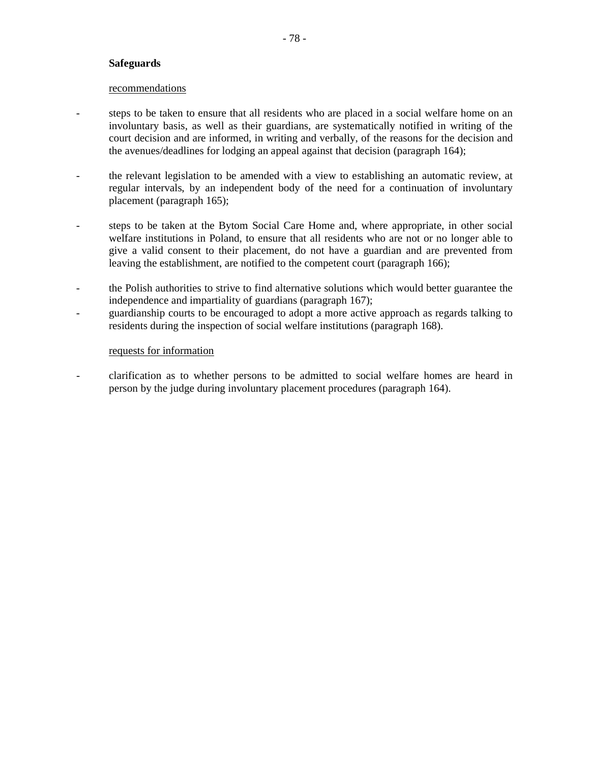### **Safeguards**

#### recommendations

- steps to be taken to ensure that all residents who are placed in a social welfare home on an involuntary basis, as well as their guardians, are systematically notified in writing of the court decision and are informed, in writing and verbally, of the reasons for the decision and the avenues/deadlines for lodging an appeal against that decision (paragraph 164);
- the relevant legislation to be amended with a view to establishing an automatic review, at regular intervals, by an independent body of the need for a continuation of involuntary placement (paragraph 165);
- steps to be taken at the Bytom Social Care Home and, where appropriate, in other social welfare institutions in Poland, to ensure that all residents who are not or no longer able to give a valid consent to their placement, do not have a guardian and are prevented from leaving the establishment, are notified to the competent court (paragraph 166);
- the Polish authorities to strive to find alternative solutions which would better guarantee the independence and impartiality of guardians (paragraph 167);
- guardianship courts to be encouraged to adopt a more active approach as regards talking to residents during the inspection of social welfare institutions (paragraph 168).

#### requests for information

- clarification as to whether persons to be admitted to social welfare homes are heard in person by the judge during involuntary placement procedures (paragraph 164).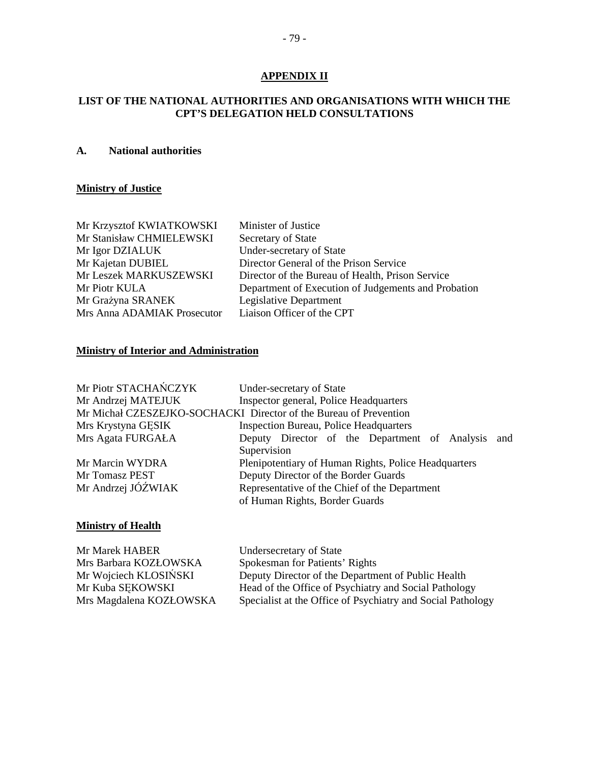# **APPENDIX II**

# **LIST OF THE NATIONAL AUTHORITIES AND ORGANISATIONS WITH WHICH THE CPT'S DELEGATION HELD CONSULTATIONS**

# **A. National authorities**

# **Ministry of Justice**

| Mr Krzysztof KWIATKOWSKI    | Minister of Justice                                 |
|-----------------------------|-----------------------------------------------------|
| Mr Stanisław CHMIELEWSKI    | Secretary of State                                  |
| Mr Igor DZIALUK             | Under-secretary of State                            |
| Mr Kajetan DUBIEL           | Director General of the Prison Service              |
| Mr Leszek MARKUSZEWSKI      | Director of the Bureau of Health, Prison Service    |
| Mr Piotr KULA               | Department of Execution of Judgements and Probation |
| Mr Grażyna SRANEK           | Legislative Department                              |
| Mrs Anna ADAMIAK Prosecutor | Liaison Officer of the CPT                          |

# **Ministry of Interior and Administration**

| Mr Piotr STACHAŃCZYK                                              | Under-secretary of State                             |  |  |  |  |  |  |
|-------------------------------------------------------------------|------------------------------------------------------|--|--|--|--|--|--|
| Mr Andrzej MATEJUK                                                | Inspector general, Police Headquarters               |  |  |  |  |  |  |
| Mr Michał CZESZEJKO-SOCHACKI Director of the Bureau of Prevention |                                                      |  |  |  |  |  |  |
| Mrs Krystyna GESIK                                                | <b>Inspection Bureau, Police Headquarters</b>        |  |  |  |  |  |  |
| Mrs Agata FURGAŁA                                                 | Deputy Director of the Department of Analysis and    |  |  |  |  |  |  |
|                                                                   | Supervision                                          |  |  |  |  |  |  |
| Mr Marcin WYDRA                                                   | Plenipotentiary of Human Rights, Police Headquarters |  |  |  |  |  |  |
| Mr Tomasz PEST                                                    | Deputy Director of the Border Guards                 |  |  |  |  |  |  |
| Mr Andrzej JÓŹWIAK                                                | Representative of the Chief of the Department        |  |  |  |  |  |  |
|                                                                   | of Human Rights, Border Guards                       |  |  |  |  |  |  |

# **Ministry of Health**

| Mr Marek HABER          | Undersecretary of State                                     |
|-------------------------|-------------------------------------------------------------|
| Mrs Barbara KOZŁOWSKA   | Spokesman for Patients' Rights                              |
| Mr Wojciech KLOSIŃSKI   | Deputy Director of the Department of Public Health          |
| Mr Kuba SEKOWSKI        | Head of the Office of Psychiatry and Social Pathology       |
| Mrs Magdalena KOZŁOWSKA | Specialist at the Office of Psychiatry and Social Pathology |